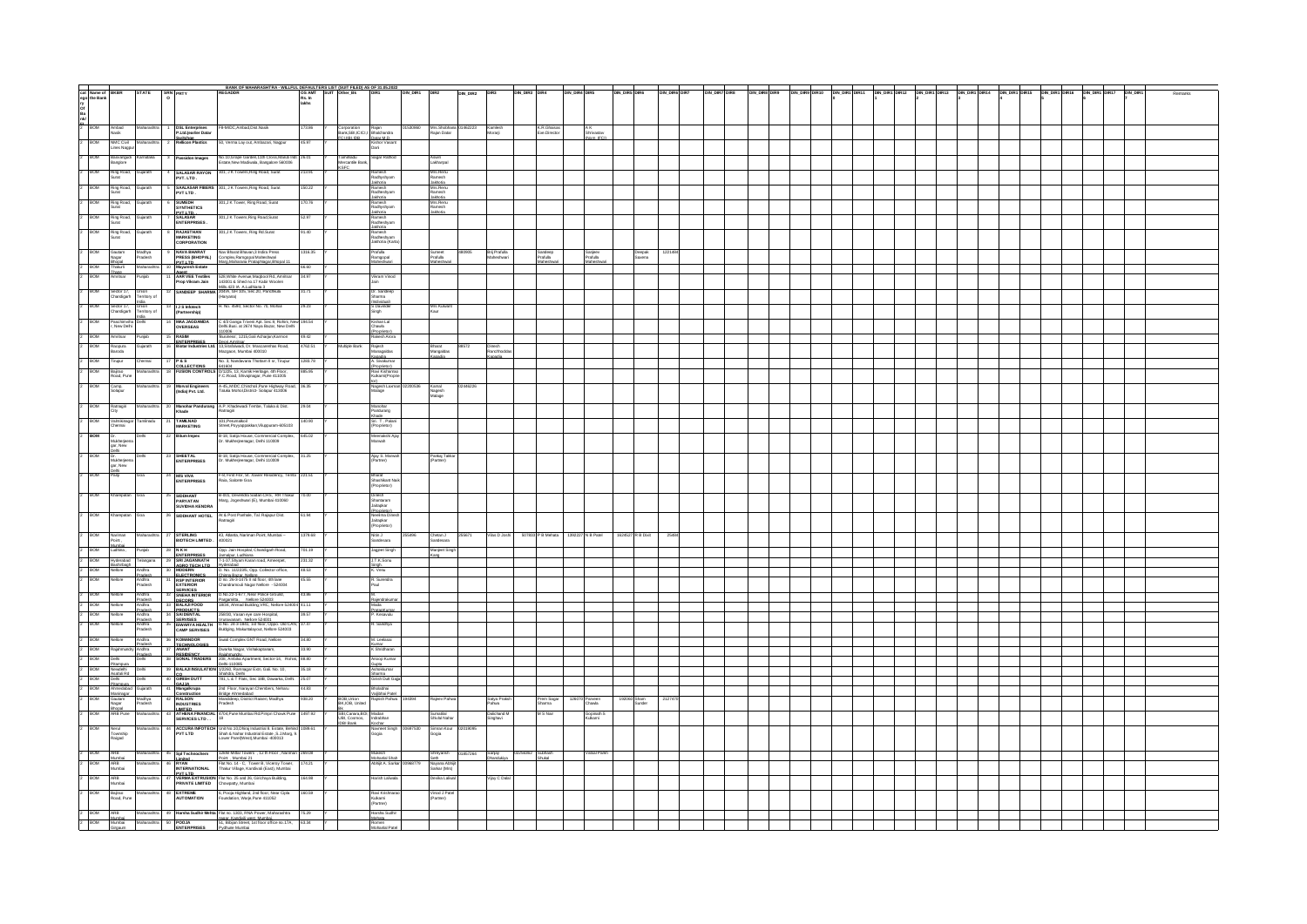|            | eat Name of BKBR STATE SEN PRTY<br>ep the Bank<br>Band<br>2 BOM Antoid Markarattra 1 DSLEM<br>2 BOM Antoid Markarattra 1 DSLEM |                                             |                   |                                    |                                                                                                                                                                                                                                                                                                                                                                                       | BANK OF MAHARASHTRA - WILLFUL DEFAULTERS LIST (SUIT FILED) AS OF 31.05.2022<br>REGADDR (SO AMT SUIT Odher_BK DIR1 ON_DIR1 DIR2 )                                                                                           |                                                                           |                                                                                                 |                                                                   |          |                                                                    | DIN_DIR2 DIR3               |                       | DIN_DIR3 DR4                | DIN_DIR4 DIR5            | DIN_DIR5 DIR6 |                       | DIN_DIR6 DIR7 | DIN DIRT DIR DIN DIRS DIR DIN DIRTO DIN DIRTORT1 DIN DIRT DIRTZ DIN DIRTORT3 DIN DIRTORT4 DIN DIRT DIRTS DIN DIRT DIRTORT DIRTORT DIRTORT7 DIN DIRT |  |  |  |  |  |  | Remarks |
|------------|--------------------------------------------------------------------------------------------------------------------------------|---------------------------------------------|-------------------|------------------------------------|---------------------------------------------------------------------------------------------------------------------------------------------------------------------------------------------------------------------------------------------------------------------------------------------------------------------------------------------------------------------------------------|----------------------------------------------------------------------------------------------------------------------------------------------------------------------------------------------------------------------------|---------------------------------------------------------------------------|-------------------------------------------------------------------------------------------------|-------------------------------------------------------------------|----------|--------------------------------------------------------------------|-----------------------------|-----------------------|-----------------------------|--------------------------|---------------|-----------------------|---------------|-----------------------------------------------------------------------------------------------------------------------------------------------------|--|--|--|--|--|--|---------|
|            |                                                                                                                                |                                             |                   |                                    |                                                                                                                                                                                                                                                                                                                                                                                       |                                                                                                                                                                                                                            |                                                                           |                                                                                                 |                                                                   |          |                                                                    |                             |                       |                             |                          |               |                       |               |                                                                                                                                                     |  |  |  |  |  |  |         |
|            |                                                                                                                                |                                             |                   |                                    |                                                                                                                                                                                                                                                                                                                                                                                       |                                                                                                                                                                                                                            |                                                                           |                                                                                                 |                                                                   |          |                                                                    |                             |                       |                             |                          |               |                       |               |                                                                                                                                                     |  |  |  |  |  |  |         |
|            |                                                                                                                                |                                             |                   |                                    |                                                                                                                                                                                                                                                                                                                                                                                       |                                                                                                                                                                                                                            |                                                                           |                                                                                                 |                                                                   |          |                                                                    |                             |                       |                             |                          |               |                       |               |                                                                                                                                                     |  |  |  |  |  |  |         |
|            |                                                                                                                                |                                             |                   |                                    |                                                                                                                                                                                                                                                                                                                                                                                       | 8-MIDC,Ambad,Dist.Nasik                                                                                                                                                                                                    | 173.86                                                                    |                                                                                                 |                                                                   | 01530860 | Mrs. Shobhana 01462223<br>Rajan Datar                              |                             |                       |                             |                          |               |                       |               |                                                                                                                                                     |  |  |  |  |  |  |         |
|            |                                                                                                                                |                                             |                   |                                    | <b>DSL Enterprises<br/>P.Ltd.(earlier Datar</b>                                                                                                                                                                                                                                                                                                                                       |                                                                                                                                                                                                                            |                                                                           | Corporation Rajan<br>Bank,SBUCICU Bhalchandra<br>FCLIIBLIDB Datar M.D.<br>Kishor Vasart<br>Dani |                                                                   |          |                                                                    | Kamlesh<br>Morarj           |                       | K.R.Ghaisas<br>Exe.Director | A K<br>Shriva            |               |                       |               |                                                                                                                                                     |  |  |  |  |  |  |         |
| Þ          | BOW                                                                                                                            | NMC Civil<br>Lines Nagpur                   |                   |                                    | Switchge<br>Relicon Plastics                                                                                                                                                                                                                                                                                                                                                          | Verma Lay out, Ambazari, Nagpur                                                                                                                                                                                            |                                                                           |                                                                                                 |                                                                   |          |                                                                    |                             |                       |                             |                          |               |                       |               |                                                                                                                                                     |  |  |  |  |  |  |         |
| Þ          |                                                                                                                                |                                             |                   |                                    |                                                                                                                                                                                                                                                                                                                                                                                       |                                                                                                                                                                                                                            |                                                                           |                                                                                                 |                                                                   |          |                                                                    |                             |                       |                             |                          |               |                       |               |                                                                                                                                                     |  |  |  |  |  |  |         |
|            | Basvangudi<br>Banglore<br>BOW                                                                                                  |                                             |                   |                                    | Passidon Images                                                                                                                                                                                                                                                                                                                                                                       | No.10,Grape Garden,11th Cross,Maruti Inc<br>Estate,New Madwala, Bangalore 560006                                                                                                                                           |                                                                           | Tamihadu<br>Mercantile Bank,                                                                    | Sagar Rathod                                                      |          | Aswin<br>Lakharpal                                                 |                             |                       |                             |                          |               |                       |               |                                                                                                                                                     |  |  |  |  |  |  |         |
| lz         | BOM                                                                                                                            |                                             |                   |                                    |                                                                                                                                                                                                                                                                                                                                                                                       | 301, J K Towers, Ring Road, Surat                                                                                                                                                                                          | 213 G1                                                                    |                                                                                                 |                                                                   |          |                                                                    |                             |                       |                             |                          |               |                       |               |                                                                                                                                                     |  |  |  |  |  |  |         |
|            | Ring Road,<br>Surat                                                                                                            |                                             |                   |                                    | 4 SALASAR RAYON<br>PVT. LTD.                                                                                                                                                                                                                                                                                                                                                          |                                                                                                                                                                                                                            |                                                                           |                                                                                                 | Ramesh<br>Radhyshyam                                              |          | Mrs.Renu<br>Ramesh<br>Jakhota<br>Mrs.Renu<br>Ramesh<br>Jakhota     |                             |                       |                             |                          |               |                       |               |                                                                                                                                                     |  |  |  |  |  |  |         |
|            | <b>Ring Road.</b><br>Surat<br>BOM                                                                                              |                                             |                   |                                    | SAALASAR FIBERS<br>PVT LTD.                                                                                                                                                                                                                                                                                                                                                           | 301, J K Towers, Ring Road, Surat                                                                                                                                                                                          | 50.22                                                                     |                                                                                                 | Jakhotia<br>Ramesh<br>Radheshyam<br>Jakhotia                      |          |                                                                    |                             |                       |                             |                          |               |                       |               |                                                                                                                                                     |  |  |  |  |  |  |         |
|            |                                                                                                                                |                                             |                   |                                    |                                                                                                                                                                                                                                                                                                                                                                                       |                                                                                                                                                                                                                            |                                                                           |                                                                                                 |                                                                   |          |                                                                    |                             |                       |                             |                          |               |                       |               |                                                                                                                                                     |  |  |  |  |  |  |         |
|            | BOW<br>Ring Road,<br>Surat                                                                                                     |                                             |                   |                                    |                                                                                                                                                                                                                                                                                                                                                                                       | 301,J K Tower, Ring Road, Surat                                                                                                                                                                                            | 170.76                                                                    |                                                                                                 | aannaa<br>Ramash<br>Radhyshyam                                    |          | Jaxrosa<br>Mrs.Renu<br>Ramesh<br>Jakhoša                           |                             |                       |                             |                          |               |                       |               |                                                                                                                                                     |  |  |  |  |  |  |         |
|            | Ring Road,<br>Surat<br>ROM                                                                                                     |                                             |                   |                                    | SUMEDH<br>SYNTHETICS<br>PYT.I.T.D<br>SALASAR<br>ENTERPRISES                                                                                                                                                                                                                                                                                                                           | 301,J K Towers, Ring Road, Surat                                                                                                                                                                                           | 52.97                                                                     |                                                                                                 | Jakhotia<br>Ramesh<br>Radheshyam                                  |          |                                                                    |                             |                       |                             |                          |               |                       |               |                                                                                                                                                     |  |  |  |  |  |  |         |
|            |                                                                                                                                |                                             |                   |                                    |                                                                                                                                                                                                                                                                                                                                                                                       |                                                                                                                                                                                                                            |                                                                           |                                                                                                 |                                                                   |          |                                                                    |                             |                       |                             |                          |               |                       |               |                                                                                                                                                     |  |  |  |  |  |  |         |
|            | Ring Road,<br>Surat<br><b>BOM</b>                                                                                              |                                             |                   |                                    | RAJASTHAN<br>MARKETING<br>CORPORATION                                                                                                                                                                                                                                                                                                                                                 | 301,J K Towers, Ring Rd.Surat                                                                                                                                                                                              |                                                                           |                                                                                                 | .lakhvita<br>Ramesh<br>Radheshyam<br>Jakhotia (Karta              |          |                                                                    |                             |                       |                             |                          |               |                       |               |                                                                                                                                                     |  |  |  |  |  |  |         |
|            |                                                                                                                                |                                             |                   |                                    |                                                                                                                                                                                                                                                                                                                                                                                       |                                                                                                                                                                                                                            |                                                                           |                                                                                                 |                                                                   |          |                                                                    |                             |                       |                             |                          |               |                       |               |                                                                                                                                                     |  |  |  |  |  |  |         |
|            | 2 BOM<br>Gautam<br>Nagar<br>Bhopal<br>Thakuri                                                                                  |                                             | Madhya<br>Pradesh |                                    |                                                                                                                                                                                                                                                                                                                                                                                       | Nav Bharat Bhavan,3 Indira Press<br>Complex,Ramgopal Maheshwari<br>Maro.Maharana PrataoNaoar.Bhooal 11                                                                                                                     | 1316.35                                                                   |                                                                                                 | Prafulla<br>Ramgopal<br>Mahashwari                                |          | Sumeet<br>Prafulla<br>480905                                       | Brij Prafulla<br>Maheshwari |                       | Sandeep<br>Prafulla         | Sanjeev<br>Prafulla      |               | Deepak<br>Saxena      |               |                                                                                                                                                     |  |  |  |  |  |  |         |
|            |                                                                                                                                |                                             |                   |                                    |                                                                                                                                                                                                                                                                                                                                                                                       |                                                                                                                                                                                                                            |                                                                           |                                                                                                 |                                                                   |          | Maheshwari                                                         |                             |                       |                             |                          |               |                       |               |                                                                                                                                                     |  |  |  |  |  |  |         |
|            | $\frac{2}{2}$ BOM<br>Thane<br>Amritsar                                                                                         |                                             |                   |                                    | 9<br>MAVA BHARAT<br>PRESS (BHOPAL)<br>PVT I TD<br>Mayuresh Estate<br>Anent<br>11 AAR VEE Textiles<br>Prop Vikram Jain                                                                                                                                                                                                                                                                 |                                                                                                                                                                                                                            | 66.60<br>34.97                                                            |                                                                                                 |                                                                   |          |                                                                    |                             |                       |                             |                          |               |                       |               |                                                                                                                                                     |  |  |  |  |  |  |         |
|            |                                                                                                                                |                                             | Punjab            |                                    |                                                                                                                                                                                                                                                                                                                                                                                       | 528, White Avenue, Magbool Rd., Amritsar<br>143001 & Shed no.17 Kabir Woolen                                                                                                                                               |                                                                           |                                                                                                 | Vikram Vinod                                                      |          |                                                                    |                             |                       |                             |                          |               |                       |               |                                                                                                                                                     |  |  |  |  |  |  |         |
|            |                                                                                                                                |                                             |                   |                                    | 12 SANDEEP SHARMA                                                                                                                                                                                                                                                                                                                                                                     | Mills 423 IA A Ludhiana 3<br>204/A, GH 105, Sec.20, Panchiula<br>(Haryana)                                                                                                                                                 |                                                                           |                                                                                                 |                                                                   |          |                                                                    |                             |                       |                             |                          |               |                       |               |                                                                                                                                                     |  |  |  |  |  |  |         |
|            | $2$ BOM                                                                                                                        | Sector 17, Union<br>Chandigarh Territory of |                   |                                    |                                                                                                                                                                                                                                                                                                                                                                                       |                                                                                                                                                                                                                            |                                                                           |                                                                                                 | Dr. Sandeep<br>Sharma<br>Andividuali<br>S Davinder                |          |                                                                    |                             |                       |                             |                          |               |                       |               |                                                                                                                                                     |  |  |  |  |  |  |         |
|            | 2 BOM                                                                                                                          | Sector 17, Union                            | Territory of      | 13   J S Infotech<br>(Partnership) |                                                                                                                                                                                                                                                                                                                                                                                       | H. No. 4590. Sector No. 70. Mohali                                                                                                                                                                                         | 29.23                                                                     |                                                                                                 |                                                                   | Kaur     | Mrs Kulwant                                                        |                             |                       |                             |                          |               |                       |               |                                                                                                                                                     |  |  |  |  |  |  |         |
|            | Chandigarh                                                                                                                     |                                             |                   |                                    |                                                                                                                                                                                                                                                                                                                                                                                       |                                                                                                                                                                                                                            |                                                                           |                                                                                                 | Singh                                                             |          |                                                                    |                             |                       |                             |                          |               |                       |               |                                                                                                                                                     |  |  |  |  |  |  |         |
|            | 2 BOM                                                                                                                          | Paschimviha Delhi<br>r, New Delhi           |                   |                                    | 14 MAA JAGDAMDA<br>OVERSEAS                                                                                                                                                                                                                                                                                                                                                           | C 4/3 Ganga Triveni Apt. Sec.9, Rohini, New 194.54<br>Dehi Busi: at 2674 Naya Bazar, New Delhi                                                                                                                             |                                                                           |                                                                                                 | Kishan Lal<br>Chawla                                              |          |                                                                    |                             |                       |                             |                          |               |                       |               |                                                                                                                                                     |  |  |  |  |  |  |         |
|            | 2 BOM<br>Amritsar                                                                                                              |                                             | Puniab            | 15 RASIM<br>FNTFRPRISES            |                                                                                                                                                                                                                                                                                                                                                                                       | 110006<br>Business', 1215,Gali Acharjan,Karmon                                                                                                                                                                             | 49.42                                                                     |                                                                                                 | (Proprietor)<br>Rakesh Arora                                      |          |                                                                    |                             |                       |                             |                          |               |                       |               |                                                                                                                                                     |  |  |  |  |  |  |         |
| 2 BOM      | Raopura                                                                                                                        |                                             |                   |                                    |                                                                                                                                                                                                                                                                                                                                                                                       | <b>ENTERPRISES</b> Commons, 1410,0am McDapan,Karmon<br>16 <b>Biotar Industries Ltd.</b> 13,Sitafalwad, Dr. Mascarenhas Road,                                                                                               | 4762.51                                                                   | Multiple Bank                                                                                   | Rajesh                                                            | Bharat   | 88572                                                              | Dinesh                      |                       |                             |                          |               |                       |               |                                                                                                                                                     |  |  |  |  |  |  |         |
|            | Baroda                                                                                                                         |                                             |                   |                                    |                                                                                                                                                                                                                                                                                                                                                                                       | Mazgaon, Mumbai 400010                                                                                                                                                                                                     |                                                                           |                                                                                                 | Managaldas                                                        |          | Mangaldas<br>Kapadia                                               | Ranchhodo                   | padia                 |                             |                          |               |                       |               |                                                                                                                                                     |  |  |  |  |  |  |         |
|            | $\frac{2}{2}$ BOM<br>Tirupur                                                                                                   |                                             |                   |                                    |                                                                                                                                                                                                                                                                                                                                                                                       | No. 3, Nandavana Thottam II sr, Tirupur 1283.78<br>17 P & S<br>COLLECTENING 641600, Nandavana Thottam II sr, Tirupur<br>18 FUSION CONTROLS 01/1225, 13, Karrik Heritage, 4th Floor,<br>F.C.Road, Shivajinagar, Pune 411005 |                                                                           |                                                                                                 | Kapadia<br>A. Sivakumar<br>(Proprietor)                           |          |                                                                    |                             |                       |                             |                          |               |                       |               |                                                                                                                                                     |  |  |  |  |  |  |         |
|            | Bajrao<br>Road, Pune                                                                                                           |                                             |                   |                                    |                                                                                                                                                                                                                                                                                                                                                                                       |                                                                                                                                                                                                                            | 885.95                                                                    |                                                                                                 | Ravi Kishanrao<br>Kulkarni(Proprie                                |          |                                                                    |                             |                       |                             |                          |               |                       |               |                                                                                                                                                     |  |  |  |  |  |  |         |
|            |                                                                                                                                |                                             |                   |                                    |                                                                                                                                                                                                                                                                                                                                                                                       |                                                                                                                                                                                                                            | 36.35                                                                     |                                                                                                 |                                                                   |          |                                                                    |                             |                       |                             |                          |               |                       |               |                                                                                                                                                     |  |  |  |  |  |  |         |
|            | BOM<br>Camp,<br>Solapur                                                                                                        |                                             |                   |                                    | Morval Engineers<br>(India) Pvt. Ltd.                                                                                                                                                                                                                                                                                                                                                 | .<br>A-45, MIDC, Chincholi, Pune Highway Road,<br>Taluka Mohol, District- Solapur 413006                                                                                                                                   |                                                                           |                                                                                                 | ion<br>Nagesh Laxma<br>Malage                                     | Kamal    | 02446226<br>Nagesh<br>Malage                                       |                             |                       |                             |                          |               |                       |               |                                                                                                                                                     |  |  |  |  |  |  |         |
|            |                                                                                                                                |                                             |                   |                                    |                                                                                                                                                                                                                                                                                                                                                                                       |                                                                                                                                                                                                                            |                                                                           |                                                                                                 |                                                                   |          |                                                                    |                             |                       |                             |                          |               |                       |               |                                                                                                                                                     |  |  |  |  |  |  |         |
|            | 2 BOM Ratnagiri<br>City                                                                                                        |                                             |                   |                                    |                                                                                                                                                                                                                                                                                                                                                                                       | Maharashtra 20 Manohar Pandurang A.P. Khadewadi Tembe, Taluka & Dist. 29.04<br>Khade                                                                                                                                       |                                                                           |                                                                                                 | Manchar<br>Pandurang                                              |          |                                                                    |                             |                       |                             |                          |               |                       |               |                                                                                                                                                     |  |  |  |  |  |  |         |
|            |                                                                                                                                |                                             |                   | 21 TAMILNAD                        |                                                                                                                                                                                                                                                                                                                                                                                       | 101, Perumalkoil                                                                                                                                                                                                           | 140.90                                                                    |                                                                                                 | Khade<br>Sri. T. Palani<br>(Proprietor)                           |          |                                                                    |                             |                       |                             |                          |               |                       |               |                                                                                                                                                     |  |  |  |  |  |  |         |
|            | 2 BOM<br>Valmikinaga                                                                                                           |                                             |                   |                                    | <b>MARKETING</b>                                                                                                                                                                                                                                                                                                                                                                      |                                                                                                                                                                                                                            |                                                                           |                                                                                                 |                                                                   |          |                                                                    |                             |                       |                             |                          |               |                       |               |                                                                                                                                                     |  |  |  |  |  |  |         |
|            | BOM                                                                                                                            |                                             |                   | 22 Bitum Impex                     |                                                                                                                                                                                                                                                                                                                                                                                       | B-18, Satija House, Commercial Complex,                                                                                                                                                                                    | 645.02                                                                    |                                                                                                 | Meerakshi Ajay<br>Marwah                                          |          |                                                                    |                             |                       |                             |                          |               |                       |               |                                                                                                                                                     |  |  |  |  |  |  |         |
|            | Dr.<br>Mukherjeer<br>gar, New                                                                                                  |                                             |                   |                                    |                                                                                                                                                                                                                                                                                                                                                                                       | Dr. Mukherjeenagar, Delhi 110009                                                                                                                                                                                           |                                                                           |                                                                                                 |                                                                   |          |                                                                    |                             |                       |                             |                          |               |                       |               |                                                                                                                                                     |  |  |  |  |  |  |         |
|            | BOM                                                                                                                            |                                             |                   |                                    | SHEETAL<br>ENTERPRISES                                                                                                                                                                                                                                                                                                                                                                | B-18, Satija House, Commercial Complex, 31.25<br>Dr. Mukherjeenagar, Delhi 110009                                                                                                                                          |                                                                           |                                                                                                 | .<br>Ajay S. Marwal<br>(Partner)                                  |          | Parkaj Takka<br>(Partner)                                          |                             |                       |                             |                          |               |                       |               |                                                                                                                                                     |  |  |  |  |  |  |         |
|            | Delhi<br>Dr.<br>Mukherjeer<br>gar, New                                                                                         |                                             |                   |                                    |                                                                                                                                                                                                                                                                                                                                                                                       |                                                                                                                                                                                                                            |                                                                           |                                                                                                 |                                                                   |          |                                                                    |                             |                       |                             |                          |               |                       |               |                                                                                                                                                     |  |  |  |  |  |  |         |
|            | Delhi<br>Panji<br>BOM                                                                                                          |                                             |                   |                                    |                                                                                                                                                                                                                                                                                                                                                                                       |                                                                                                                                                                                                                            |                                                                           |                                                                                                 |                                                                   |          |                                                                    |                             |                       |                             |                          |               |                       |               |                                                                                                                                                     |  |  |  |  |  |  |         |
|            |                                                                                                                                |                                             |                   |                                    | <b>M'S VIVA<br/>ENTERPRISES</b>                                                                                                                                                                                                                                                                                                                                                       | F-8, First Flor, St. Xavier Residency, Tembi 221.51<br>Raia, Saloete Goa                                                                                                                                                   |                                                                           |                                                                                                 | Bharat<br>Shashikart Nai                                          |          |                                                                    |                             |                       |                             |                          |               |                       |               |                                                                                                                                                     |  |  |  |  |  |  |         |
|            |                                                                                                                                |                                             |                   |                                    |                                                                                                                                                                                                                                                                                                                                                                                       |                                                                                                                                                                                                                            |                                                                           |                                                                                                 | (Proprietor)                                                      |          |                                                                    |                             |                       |                             |                          |               |                       |               |                                                                                                                                                     |  |  |  |  |  |  |         |
|            | <b>BOM</b>                                                                                                                     | Kharepatan                                  |                   |                                    | SIDDHANT<br>PARYATAN                                                                                                                                                                                                                                                                                                                                                                  | B-001, Devendra Sadan CHS, RR Thakur<br>Marg, Jogeshwari (E), Mumbai 410060                                                                                                                                                | 70.00                                                                     |                                                                                                 | Dinesh<br>Shantaram<br>Jaitapkar                                  |          |                                                                    |                             |                       |                             |                          |               |                       |               |                                                                                                                                                     |  |  |  |  |  |  |         |
|            |                                                                                                                                |                                             |                   |                                    | <b>SUVIDHA KENDRA</b>                                                                                                                                                                                                                                                                                                                                                                 |                                                                                                                                                                                                                            |                                                                           |                                                                                                 |                                                                   |          |                                                                    |                             |                       |                             |                          |               |                       |               |                                                                                                                                                     |  |  |  |  |  |  |         |
|            | <b>BOW</b><br>Kharepatan                                                                                                       |                                             |                   |                                    | 26 SIDDHANT HOTEL                                                                                                                                                                                                                                                                                                                                                                     | At & Post Panhale, Tal. Rajapur Dist.<br>Ratnagiri                                                                                                                                                                         | 61.94                                                                     |                                                                                                 | (Procrietor)<br>Neelima Dinesi<br>Jaitapkar<br>(Proprietor)       |          |                                                                    |                             |                       |                             |                          |               |                       |               |                                                                                                                                                     |  |  |  |  |  |  |         |
|            |                                                                                                                                |                                             |                   |                                    |                                                                                                                                                                                                                                                                                                                                                                                       |                                                                                                                                                                                                                            |                                                                           |                                                                                                 |                                                                   |          |                                                                    |                             |                       |                             |                          |               |                       |               |                                                                                                                                                     |  |  |  |  |  |  |         |
|            | $2$ BOM<br>Nariman<br>Point                                                                                                    |                                             |                   |                                    | STERLING<br>BIOTECH LIMITED.                                                                                                                                                                                                                                                                                                                                                          | 43, Atlanta, Nariman Point, Mumbai - 1379.68<br>400021                                                                                                                                                                     |                                                                           |                                                                                                 | Nitin J<br>Sandesara                                              |          | Chetan J<br>Sandesara<br>255671                                    |                             | Vilas D Joshi         | 507833 P B Mehata           | 1392227 N B Pate         |               |                       |               |                                                                                                                                                     |  |  |  |  |  |  |         |
|            | Mumhai<br>Ludhina                                                                                                              |                                             |                   |                                    |                                                                                                                                                                                                                                                                                                                                                                                       |                                                                                                                                                                                                                            |                                                                           |                                                                                                 |                                                                   |          |                                                                    |                             |                       |                             |                          |               |                       |               |                                                                                                                                                     |  |  |  |  |  |  |         |
|            |                                                                                                                                |                                             | Punjab            |                                    |                                                                                                                                                                                                                                                                                                                                                                                       | Opp. Jain Hospital, Chandigarh Road, 701.19                                                                                                                                                                                |                                                                           |                                                                                                 | <b>Jagjeet Singh</b>                                              |          | Manjeet Singh                                                      |                             |                       |                             |                          |               |                       |               |                                                                                                                                                     |  |  |  |  |  |  |         |
|            | Hyderabad<br>Bashirbach<br>Nellore                                                                                             |                                             | elangana          |                                    |                                                                                                                                                                                                                                                                                                                                                                                       | Jamalour. Ludhiana<br>7-1-37,Shyam Karan road, Ameerpet, 231.32                                                                                                                                                            |                                                                           |                                                                                                 | J.T.K.Sonu                                                        |          |                                                                    |                             |                       |                             |                          |               |                       |               |                                                                                                                                                     |  |  |  |  |  |  |         |
|            |                                                                                                                                |                                             | Andhra<br>Pradesh |                                    |                                                                                                                                                                                                                                                                                                                                                                                       | Hvderabad<br>D. No. 11/223/5, Opp. Collector office, 48.53                                                                                                                                                                 |                                                                           |                                                                                                 | Sinah.<br>K. Venu                                                 |          |                                                                    |                             |                       |                             |                          |               |                       |               |                                                                                                                                                     |  |  |  |  |  |  |         |
|            | 2 BOM<br>2 BOM<br>2 BOM<br>2 BOM<br>Nellore                                                                                    |                                             | Andhra<br>Pradesh |                                    | <b>EXAMPLE SET AND AN ALL CONCERNMENT</b><br>29 SKIJAGANNATH<br>4GRO TECH ITO<br>31 SSP INTERIOR<br>ST RISP INTERIOR<br>STRUCES<br>SFRUCES                                                                                                                                                                                                                                            | Chinna Bazar, Nelore<br>D no. 26-3-1475 II nd floor, 4th lane<br>Chandramouli Nagar Nelore - 524004                                                                                                                        | 45.55                                                                     |                                                                                                 | R. Surendra<br>Paul                                               |          |                                                                    |                             |                       |                             |                          |               |                       |               |                                                                                                                                                     |  |  |  |  |  |  |         |
|            | 2 BOM Nellore                                                                                                                  |                                             |                   |                                    |                                                                                                                                                                                                                                                                                                                                                                                       | D.No.22-1-677, Near Police Ground, 43.86 Y                                                                                                                                                                                 |                                                                           |                                                                                                 |                                                                   |          |                                                                    |                             |                       |                             |                          |               |                       |               |                                                                                                                                                     |  |  |  |  |  |  |         |
|            |                                                                                                                                |                                             |                   |                                    |                                                                                                                                                                                                                                                                                                                                                                                       | D.No.22-1-677, Wall Police Ground, 43.56<br>Pargamitta. Nellore 524003<br>18/34, Ahmad Building, VRC, Nellore 524004 41.11                                                                                                 |                                                                           |                                                                                                 |                                                                   |          |                                                                    |                             |                       |                             |                          |               |                       |               |                                                                                                                                                     |  |  |  |  |  |  |         |
|            | 2 BOM Nellore<br>2 BOM Nellore                                                                                                 |                                             |                   |                                    |                                                                                                                                                                                                                                                                                                                                                                                       |                                                                                                                                                                                                                            | $\begin{array}{c c} \hline & 39.57 & \textcolor{red}{\ddots} \end{array}$ |                                                                                                 | Raiendrakum<br>Mada<br>PrataoKumar<br>P. Kesavulu                 |          |                                                                    |                             |                       |                             |                          |               |                       |               |                                                                                                                                                     |  |  |  |  |  |  |         |
|            | $2$ BOM                                                                                                                        |                                             |                   |                                    |                                                                                                                                                                                                                                                                                                                                                                                       |                                                                                                                                                                                                                            |                                                                           |                                                                                                 | R. Sandhya                                                        |          |                                                                    |                             |                       |                             |                          |               |                       |               |                                                                                                                                                     |  |  |  |  |  |  |         |
|            | Nellore                                                                                                                        |                                             |                   |                                    | $\begin{tabular}{l c c c} $PiG026$ & \textbf{ESTEROR} \\ \hline Arofin & 32 & \textbf{SEBAVLFA} \\ \hline PiG0261 & 33 & \textbf{DECAAB} \\ \hline PiG0261 & 33 & \textbf{BFAA} \textbf{COD} \\ \hline RiG0261 & 34 & \textbf{SBAA} \textbf{AFO} \\ \hline PiG0261 & 34 & \textbf{SABABA} \textbf{RAD} \\ \hline PiG0261 & 34 & \textbf{SABABA} \textbf{SACA} \\ \hline PiG0261 & 35$ | 258/30, Vasan eye care Hospital, 39.57<br>258/30, Vasan eye care Hospital, 39.57<br>D.No. 24-3-1841, 1st floor, Oppo. Old CAN, 37.47<br>Buldging, Makurtalayout, Nellore 524003                                            |                                                                           |                                                                                                 |                                                                   |          |                                                                    |                             |                       |                             |                          |               |                       |               |                                                                                                                                                     |  |  |  |  |  |  |         |
|            |                                                                                                                                |                                             |                   |                                    |                                                                                                                                                                                                                                                                                                                                                                                       | Swati Complex GNT Road, Nellore 34.80 Y                                                                                                                                                                                    |                                                                           |                                                                                                 | M. Leelasai                                                       |          |                                                                    |                             |                       |                             |                          |               |                       |               |                                                                                                                                                     |  |  |  |  |  |  |         |
|            |                                                                                                                                |                                             |                   |                                    |                                                                                                                                                                                                                                                                                                                                                                                       | Dwarka Nagar, Vishakaptanam, 33.90 Y                                                                                                                                                                                       |                                                                           |                                                                                                 | Kumar<br>K Shridharan                                             |          |                                                                    |                             |                       |                             |                          |               |                       |               |                                                                                                                                                     |  |  |  |  |  |  |         |
|            |                                                                                                                                |                                             |                   |                                    |                                                                                                                                                                                                                                                                                                                                                                                       |                                                                                                                                                                                                                            |                                                                           |                                                                                                 |                                                                   |          |                                                                    |                             |                       |                             |                          |               |                       |               |                                                                                                                                                     |  |  |  |  |  |  |         |
|            |                                                                                                                                |                                             |                   |                                    |                                                                                                                                                                                                                                                                                                                                                                                       |                                                                                                                                                                                                                            |                                                                           |                                                                                                 |                                                                   |          |                                                                    |                             |                       |                             |                          |               |                       |               |                                                                                                                                                     |  |  |  |  |  |  |         |
|            |                                                                                                                                |                                             |                   |                                    |                                                                                                                                                                                                                                                                                                                                                                                       | Shahdra, Delhi<br>781, L.& T. Flats, Sec 188, Dawarka, Delhi. 25.07                                                                                                                                                        |                                                                           |                                                                                                 | Anoop Kumar<br>Gunta<br>Ashokkumar<br>Sharma<br>Girish Dutt Gajja |          |                                                                    |                             |                       |                             |                          |               |                       |               |                                                                                                                                                     |  |  |  |  |  |  |         |
|            |                                                                                                                                |                                             |                   |                                    |                                                                                                                                                                                                                                                                                                                                                                                       |                                                                                                                                                                                                                            |                                                                           |                                                                                                 | Bholabhai                                                         |          |                                                                    |                             |                       |                             |                          |               |                       |               |                                                                                                                                                     |  |  |  |  |  |  |         |
|            |                                                                                                                                |                                             |                   |                                    |                                                                                                                                                                                                                                                                                                                                                                                       |                                                                                                                                                                                                                            |                                                                           |                                                                                                 | Valibhai Patel                                                    |          |                                                                    |                             |                       |                             |                          |               |                       |               |                                                                                                                                                     |  |  |  |  |  |  |         |
|            |                                                                                                                                |                                             |                   |                                    |                                                                                                                                                                                                                                                                                                                                                                                       |                                                                                                                                                                                                                            |                                                                           | BOB, Union<br>BK, IOB, United                                                                   | Rajnish Pahwa                                                     | 94394    | Raipey Pahwa                                                       |                             | Satya Praksh<br>Pahwa | Prem Sagar<br>Sharma        | 126070 Parveen<br>Chawla |               | 192060 Sham<br>Sunder | 212747        |                                                                                                                                                     |  |  |  |  |  |  |         |
| $\sqrt{2}$ | Bhopal<br>ARB Pune<br><b>BOW</b>                                                                                               |                                             |                   |                                    |                                                                                                                                                                                                                                                                                                                                                                                       | Maharashtra 43 ATHENA FINANCIAL 4704, Pune Mumbai Rd. Pimpri Chowk Pune 1497.92                                                                                                                                            |                                                                           | Bk<br>SBI,Canara,BOI, Madan<br>UBI, Cosmos, Indrabhan                                           |                                                                   |          |                                                                    |                             | Dalichand M           | M S Nair                    |                          |               |                       |               |                                                                                                                                                     |  |  |  |  |  |  |         |
|            |                                                                                                                                |                                             |                   |                                    | SERVICES LTD.                                                                                                                                                                                                                                                                                                                                                                         |                                                                                                                                                                                                                            |                                                                           | <b>IDBI Bank</b>                                                                                |                                                                   |          | Sumatilal<br>Shivlal Nahar                                         | Singhavi                    |                       |                             | Gopinath S<br>Kulkarni   |               |                       |               |                                                                                                                                                     |  |  |  |  |  |  |         |
| Iz         | <b>BOM</b>                                                                                                                     |                                             |                   |                                    |                                                                                                                                                                                                                                                                                                                                                                                       | Maharashtra 44 ACCURA INFOTECH Unit No.10,Dhiraj Industrial E. Estate, Behind 1089.61<br>PVT LTD ENah & Nahar Industrial Estate ,S.J.Marg, 9.<br>Lower Parel(West),Mumbai -400013                                          |                                                                           |                                                                                                 | Kochar<br>Navnest Singh<br>Gogia                                  | 00697530 | Simran Kour 02019095                                               |                             |                       |                             |                          |               |                       |               |                                                                                                                                                     |  |  |  |  |  |  |         |
|            | Nerul<br>Township<br>Raigad                                                                                                    |                                             |                   |                                    |                                                                                                                                                                                                                                                                                                                                                                                       |                                                                                                                                                                                                                            |                                                                           |                                                                                                 |                                                                   | Gogia    |                                                                    |                             |                       |                             |                          |               |                       |               |                                                                                                                                                     |  |  |  |  |  |  |         |
|            |                                                                                                                                |                                             |                   |                                    |                                                                                                                                                                                                                                                                                                                                                                                       |                                                                                                                                                                                                                            |                                                                           |                                                                                                 |                                                                   |          |                                                                    |                             |                       |                             |                          |               |                       |               |                                                                                                                                                     |  |  |  |  |  |  |         |
|            | 2 BOM ARB<br>2 BOM ARB<br>2 BOM ARB Mumbai                                                                                     |                                             |                   |                                    | Maharashtra 45 Spl Technochem<br>Maharashtra 46 RYAN                                                                                                                                                                                                                                                                                                                                  | 128/B Mittal Towers , 12 th Floor , Nariman 269.08 Y                                                                                                                                                                       |                                                                           |                                                                                                 | Mukesh<br>Mohanlal Shah<br>Abhijt A. Sarkar                       |          | Shreyansh 01857264 Sanjay 02256362 Subhash<br>Sam Dhandukka Sanjay |                             |                       |                             | Vatsal Parkh             |               |                       |               |                                                                                                                                                     |  |  |  |  |  |  |         |
|            |                                                                                                                                |                                             |                   |                                    |                                                                                                                                                                                                                                                                                                                                                                                       | Point Mumhai 21<br>Flat No. 14 - C, Tower B, Viceroy Tower,<br>Thakur Village, Kandivali (East), Mumbai                                                                                                                    | 174.21                                                                    |                                                                                                 |                                                                   | 00968779 | Nayana Abhijit<br>Sarkar (Mrs)                                     |                             |                       |                             |                          |               |                       |               |                                                                                                                                                     |  |  |  |  |  |  |         |
|            | BOM                                                                                                                            |                                             |                   |                                    |                                                                                                                                                                                                                                                                                                                                                                                       |                                                                                                                                                                                                                            | 164.98                                                                    |                                                                                                 | Harish Laliwa                                                     |          | wika Laliwa                                                        |                             | Vijay C Dala          |                             |                          |               |                       |               |                                                                                                                                                     |  |  |  |  |  |  |         |
|            | ARB<br>Mumbai                                                                                                                  |                                             |                   |                                    | <b>NATIONAL INTERNATIONAL</b><br>PATITO<br>TVERMA EXTRUSION<br>PRIVATE LIMITED                                                                                                                                                                                                                                                                                                        | Flat No. 25 and 26, Girichaya Building,<br>Chowpatty, Mumbai                                                                                                                                                               |                                                                           |                                                                                                 |                                                                   |          |                                                                    |                             |                       |                             |                          |               |                       |               |                                                                                                                                                     |  |  |  |  |  |  |         |
|            | BOM<br>Bajirao<br>Road, Pune                                                                                                   |                                             |                   | 48 EXTREME<br>AUTOMATION           |                                                                                                                                                                                                                                                                                                                                                                                       | 6, Pooja Highland, 2nd floor, Near Cipla                                                                                                                                                                                   | 160.59                                                                    |                                                                                                 |                                                                   |          | Vinod J Patel                                                      |                             |                       |                             |                          |               |                       |               |                                                                                                                                                     |  |  |  |  |  |  |         |
|            |                                                                                                                                |                                             |                   |                                    |                                                                                                                                                                                                                                                                                                                                                                                       | Foundation, Warje, Pune 411052                                                                                                                                                                                             |                                                                           |                                                                                                 | Ravi Krishnara<br>Kulkarni<br>(Partner)                           |          | Partner)                                                           |                             |                       |                             |                          |               |                       |               |                                                                                                                                                     |  |  |  |  |  |  |         |
|            |                                                                                                                                |                                             |                   |                                    |                                                                                                                                                                                                                                                                                                                                                                                       | Maharashtra 49 Harsha Sudhir Mehta Flat no. 1303, RNA Power, Maharashtra 75.29                                                                                                                                             |                                                                           |                                                                                                 | Harsha Sudhir                                                     |          |                                                                    |                             |                       |                             |                          |               |                       |               |                                                                                                                                                     |  |  |  |  |  |  |         |
|            | 2 BOM ARB N<br>2 BOM Mumbai<br>3 Giraaum                                                                                       |                                             |                   |                                    | Maharashtra 50 POOJA<br>FNTERPRISES                                                                                                                                                                                                                                                                                                                                                   | nagar, Kandivii west, Mumbai,<br>51, Bibijan Street, 1st floor office no.17A,<br>Pydrune Mumbai                                                                                                                            | 63.34                                                                     |                                                                                                 | Mehata                                                            |          |                                                                    |                             |                       |                             |                          |               |                       |               |                                                                                                                                                     |  |  |  |  |  |  |         |
|            |                                                                                                                                |                                             |                   |                                    |                                                                                                                                                                                                                                                                                                                                                                                       |                                                                                                                                                                                                                            |                                                                           |                                                                                                 | Romen<br>Mohanial Patel                                           |          |                                                                    |                             |                       |                             |                          |               |                       |               |                                                                                                                                                     |  |  |  |  |  |  |         |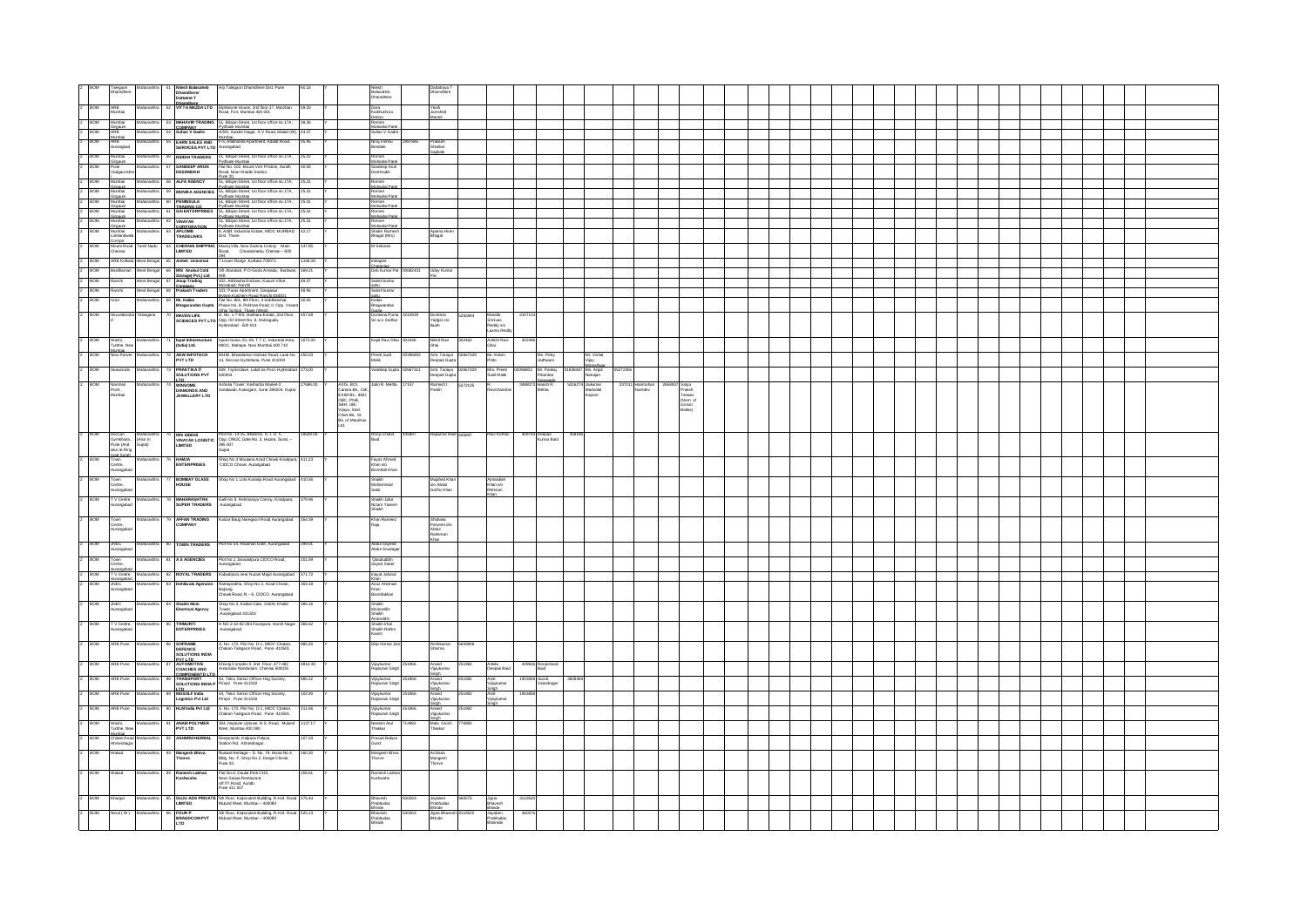| 2 BOM                       | Talegaon<br>Dhamdhere                                         | tharashtra                                            |           | Nilesh Balasaheb<br>Dhamdhere/<br>Dattatrat T               | Alp Talegaon Dhamdhere Dist. Pune                                                                                                                                                                                                                                 |          |                                                                                                                                            | Nilesh<br>Balasaheb<br>Dhamdhere                                                                                           |            | hamdhere                                    |                                                |        |                                                          |                                              |                     |                    |                                                           |  |  |  |  |  |  |  |  |
|-----------------------------|---------------------------------------------------------------|-------------------------------------------------------|-----------|-------------------------------------------------------------|-------------------------------------------------------------------------------------------------------------------------------------------------------------------------------------------------------------------------------------------------------------------|----------|--------------------------------------------------------------------------------------------------------------------------------------------|----------------------------------------------------------------------------------------------------------------------------|------------|---------------------------------------------|------------------------------------------------|--------|----------------------------------------------------------|----------------------------------------------|---------------------|--------------------|-----------------------------------------------------------|--|--|--|--|--|--|--|--|
| $2 - BOM$                   | ARB<br>Mumbai                                                 |                                                       |           |                                                             | Dhamdhere<br>VITTA MAZDA LTD Elphistone House, 2nd floor, 17, Marzban<br>Road, Fort, Mumbai 400 001                                                                                                                                                               | 59.20    |                                                                                                                                            | Dara<br>Kaikhushroo                                                                                                        |            | Yezdi<br>Jamshed                            |                                                |        |                                                          |                                              |                     |                    |                                                           |  |  |  |  |  |  |  |  |
| $\frac{2}{2}$ BOM           | Mumbai                                                        | Maharashtra                                           |           | 53 MAHAVIK I KADIN<br>COMPANY<br>54 Suhas V Gadre           | 53 MAHAVIR TRADING 51, Biblian Street, 1st floor office no.17A, 38.36<br>COMPANY Pyrfune Mumbai<br>54 Suhas V Gadre Al59, Sunder Nagar, S. V Road, Malad (W), 44.47                                                                                               |          |                                                                                                                                            | Romen<br>Mohanlal Pate<br>Suhas V Gadr                                                                                     |            |                                             |                                                |        |                                                          |                                              |                     |                    |                                                           |  |  |  |  |  |  |  |  |
| $2$ BOM                     | Clintaum<br>ARB<br>Mumhai<br>ARB<br>Aurangbad                 | Maharashtra                                           |           |                                                             | Mumhai<br>EARN SALES AND F-5, Alakhanda Apartment, Adalat Road,<br>SERVICES PVT LTD Aurangabad                                                                                                                                                                    | 35.95    |                                                                                                                                            | Niraj Vishnu<br>Bendale                                                                                                    |            | Prakash<br>Shankar                          |                                                |        |                                                          |                                              |                     |                    |                                                           |  |  |  |  |  |  |  |  |
| $2 - BOM$                   | Mumbai<br>Girgaum<br>Pune                                     | Maharashtra                                           |           |                                                             | 56 RIDDHI TRADERS 51, Biblian Street, 1st floor office no.17A, 25.22                                                                                                                                                                                              |          |                                                                                                                                            |                                                                                                                            |            |                                             |                                                |        |                                                          |                                              |                     |                    |                                                           |  |  |  |  |  |  |  |  |
| $2 - BOM$                   | Vadgaonsher                                                   |                                                       |           | 57<br>DESHMUKH                                              | Professor States Inc., 1971 1001 01102 1103<br>Professor Mumbai<br>Flat No. 102, Mount Vert Pristine, Aundh<br>Road, Near Khadki Station,                                                                                                                         | 30.59    |                                                                                                                                            | Romen<br>Mohanial Patel<br>Sandeep Arun<br>Deshmukh                                                                        |            |                                             |                                                |        |                                                          |                                              |                     |                    |                                                           |  |  |  |  |  |  |  |  |
| $2$ BOM<br>$2 - \text{BOM}$ | i<br>Mumbai<br>Girgaum<br>Girgaum<br>Mumbai                   | Maharashtr                                            |           | 58 ALFA AGENCY                                              | Pune 20.<br>51, Biblian Street, 1st floor office no.17A, 25.31<br>Figheral Pychuna Mumbal<br>59 MONIKA AGENCIES 51, Bibijan Street, 1st floor office no.17A, 25.31                                                                                                |          |                                                                                                                                            | Romen<br>Mohanial Patel<br>Mohanial Patel<br>Mohanial Patel<br>Romen<br>Mohanial Patel<br>Mohanial Patel<br>Mohanial Patel |            |                                             |                                                |        |                                                          |                                              |                     |                    |                                                           |  |  |  |  |  |  |  |  |
| $2$ BOM                     |                                                               | Maharashtr                                            |           | 60 PENNSULA                                                 | Pychune Mumbai<br>51, Bibijan Street, 1st floor office no.17A, 25.31                                                                                                                                                                                              |          |                                                                                                                                            |                                                                                                                            |            |                                             |                                                |        |                                                          |                                              |                     |                    |                                                           |  |  |  |  |  |  |  |  |
| $2$ BOM<br>2 BOM            | Girgaum<br>Mumbai<br>Girgaum                                  | Maharashti<br>Maharashtra                             |           | TRADING CO.<br>62 VINAYAK                                   | Pydhune Mumbai<br>51, Biblian Street, 1st floor office no.17A, 25.31<br>Pychune Mumbai<br>51, Biblian Street, 1st floor office no.17A, 25.31                                                                                                                      |          |                                                                                                                                            |                                                                                                                            |            |                                             |                                                |        |                                                          |                                              |                     |                    |                                                           |  |  |  |  |  |  |  |  |
| 2 BOM                       | Cinnaum<br>Mumbai<br>Lokhandwala                              | Maharashtra                                           |           | CORPORATION<br>TRADELINKS                                   | Purkung Mumhai<br>8, Addil: Industrial Estate, MIDC MURBAD<br>8, Addil: Industrial Estate, MIDC MURBAD<br>142.17                                                                                                                                                  |          |                                                                                                                                            | <b>Mohanial Patel</b><br>Shalini Ramesh<br>Bhagat (Mrs)                                                                    |            | Apama Hire<br>Bhagat                        |                                                |        |                                                          |                                              |                     |                    |                                                           |  |  |  |  |  |  |  |  |
| <b>BOM</b>                  | Compte                                                        | Mount Road Tamil Nadu<br>Chennai                      |           |                                                             | 64 CHENNAI SHIPPING Manoj Villa, New Zackria Colony Main<br>LIMITED Road, Choolaimedu, Chennai - 600                                                                                                                                                              | 147.85   |                                                                                                                                            | M Sekaran                                                                                                                  |            |                                             |                                                |        |                                                          |                                              |                     |                    |                                                           |  |  |  |  |  |  |  |  |
| $2$ BOM                     | ARB Kokata                                                    | West Benga                                            |           | 65 Amtek Universal                                          | 094<br>7 Lower Range Kolkata-700071                                                                                                                                                                                                                               | 1198.08  |                                                                                                                                            | Indraject<br>Chatteries<br>Deb Kumar Pal 00682431                                                                          |            |                                             |                                                |        |                                                          |                                              |                     |                    |                                                           |  |  |  |  |  |  |  |  |
| $2 - BOM$<br>$2$ BOM        | Bardhaman<br>Ranchi                                           | West Bengal<br>West Bengal                            |           | 66 M'S Anukul Cold<br>Storage(Pyt.) Ltd.<br>67 Anup Trading | Vil-Jharubati, P.O-Goda Annada, Burdwan, 169.21<br>WB<br>102, Abhilasha Enclave, Kusum Vihar,                                                                                                                                                                     | 49.37    |                                                                                                                                            | Satish kumar                                                                                                               |            | Uday Kuma                                   |                                                |        |                                                          |                                              |                     |                    |                                                           |  |  |  |  |  |  |  |  |
| 2 BOM                       | Ranchi                                                        | West Bengal                                           |           | Company<br>68 Prakash Traders                               | Morabadi. Ranchi<br>103, Paras Apartment, Gangaaur                                                                                                                                                                                                                | 48.95    |                                                                                                                                            | sahu<br>Satish kumar                                                                                                       |            |                                             |                                                |        |                                                          |                                              |                     |                    |                                                           |  |  |  |  |  |  |  |  |
| 2 BOM                       | Uran                                                          |                                                       |           |                                                             |                                                                                                                                                                                                                                                                   |          |                                                                                                                                            | sahu<br>Kailas<br>Bhagwandas                                                                                               |            |                                             |                                                |        |                                                          |                                              |                     |                    |                                                           |  |  |  |  |  |  |  |  |
| $2$ BOM                     | Secunderaba Telangana                                         |                                                       |           |                                                             |                                                                                                                                                                                                                                                                   |          |                                                                                                                                            | Donkena Puma 3213939                                                                                                       |            | Donkena<br>Yadgiri s/o<br>Ilaiah            | 5292894<br>Marella<br>Srinivas<br>Reddy s/o    | 210712 |                                                          |                                              |                     |                    |                                                           |  |  |  |  |  |  |  |  |
| 2 BOM                       |                                                               |                                                       |           |                                                             |                                                                                                                                                                                                                                                                   |          |                                                                                                                                            | Kapil Ravi Ghai 302446                                                                                                     |            |                                             | Laxma Redd<br>302462                           | 302496 |                                                          |                                              |                     |                    |                                                           |  |  |  |  |  |  |  |  |
| 2 BOM                       | Washi,<br>Turbho, New<br>Mumbai<br>New Parive                 | Maharashtra                                           |           | <b>AEW INFOTECH</b>                                         | Ispat Infrastructure Ispat House, EL-28, T.T.C. Industrial Area, 1672.00<br>(India) Ltd. MIDC, Mahape, Navi Mumbai 400 710                                                                                                                                        |          |                                                                                                                                            |                                                                                                                            |            | Nikhil Ravi<br>Ghai<br>Smt. Tanaya 02667329 | Ashish Ravi<br>Ghai<br>Mr. Kelvin              |        |                                                          |                                              |                     |                    |                                                           |  |  |  |  |  |  |  |  |
| BOM                         | voods                                                         |                                                       |           | PVT LTD                                                     | .<br>804/B, Bhandarkar Institute Road, Lane No. 250.03<br>14, Deccan Gymkhana, Pune 411004<br>509, Taj Enclave, Lakdi ka Pool, Hyderabad 273.00                                                                                                                   |          |                                                                                                                                            | Preet Sunil<br>Malik<br>Vandeep Gupta                                                                                      |            | eepak Gupt                                  | 667329                                         |        | Ms. Pirky<br>Jadhwani                                    |                                              | Mr. Vishal<br>Vijay |                    |                                                           |  |  |  |  |  |  |  |  |
| <b>BOM</b>                  |                                                               |                                                       |           | <b>PRAKTIKA IT<br/>SOLUTIONS PVT</b>                        |                                                                                                                                                                                                                                                                   | 27686.00 |                                                                                                                                            | Jatin R. Mehta                                                                                                             | 17157      | Smt. Tanaya<br>Deepak Gupta                 | Mrs. Preeti<br>Sunil Malik<br>5272135          |        | Mr. Parkaj<br>Pitambar<br>Sarawade<br>Harish R.<br>Mehta |                                              | Ms. Anjali          |                    |                                                           |  |  |  |  |  |  |  |  |
|                             | Nariman<br>Point<br>Mumbai                                    |                                                       |           | <b>ITD<br/>WINSOME<br/>DIAMONDS AND<br/>JEWELLERY LTD</b>   | -<br>Ashoka Tower, Kesharba Market-2,<br>Gotalwadi, Katargam, Surat 395004, Gujrat                                                                                                                                                                                |          | AXIS, BOI,<br>Canara Bk., CBI,<br>Canara Bk., IDBI,<br>OBC, PNB,<br>SBH, UBI,<br>Vijaya, Stan.<br>Phr.Bk., St.<br>Bk. of Mauritius<br>Ltd. |                                                                                                                            |            | Ramesh I.<br>Parikh                         |                                                |        |                                                          | <sup>74</sup> Jaikumar<br>Madanial<br>Kapoor |                     | Harimoha<br>Namdev | Satya<br>Praksh<br>Tanwar<br>(Nom of<br>consor.<br>Barks) |  |  |  |  |  |  |  |  |
|                             |                                                               |                                                       |           |                                                             |                                                                                                                                                                                                                                                                   |          |                                                                                                                                            |                                                                                                                            |            |                                             |                                                |        |                                                          |                                              |                     |                    |                                                           |  |  |  |  |  |  |  |  |
|                             |                                                               |                                                       |           |                                                             |                                                                                                                                                                                                                                                                   |          |                                                                                                                                            |                                                                                                                            |            |                                             |                                                |        |                                                          |                                              |                     |                    |                                                           |  |  |  |  |  |  |  |  |
| 2 BOM                       | Deccan<br>Gymkhana<br>Pune (And<br>also at Ring<br>mad Surati | Maharasht<br>(Also in<br>Gujrat)                      |           |                                                             | 75 M/S SIDDHI Plot No. 14-15, Bhatrone, G. I. D. C.<br>VINAYAK LOGISTIC Opp. ONGC Gate No. 2, Hazira, Surat, -<br>LIMITED 395 007<br>Gujnt                                                                                                                        | 8509.00  |                                                                                                                                            | Roop Chand<br>Baid                                                                                                         | 445897     | Rajkumar Baid 445897                        | Ravi Kothari                                   |        | 409783 Deepak<br>Kumar Baid                              | 45818                                        |                     |                    |                                                           |  |  |  |  |  |  |  |  |
| <b>BOM</b>                  | marl Surati<br>Town<br>Centre,<br>Aurangabad                  |                                                       |           | HAMJA<br>ENTERPRISES                                        | Shop No.3 Moulana Azad Chowk Kiradpura<br>CIDCO Chowk, Aurangabad                                                                                                                                                                                                 | 411.23   |                                                                                                                                            | Fayaz Ahmed<br>Khan s/o<br>Bismillah Khan                                                                                  |            |                                             |                                                |        |                                                          |                                              |                     |                    |                                                           |  |  |  |  |  |  |  |  |
| <b>BOM</b>                  | Town<br>Centre,<br>Aurangabad                                 |                                                       |           | BOMBAY GLASS<br>HOUSE                                       | Shop No 1 Lota Karanja Road Aurangabad 410.56                                                                                                                                                                                                                     |          |                                                                                                                                            | Shaikh<br>Mohammad<br>Sabir                                                                                                |            | Mujahed Kh<br>sío Abdul<br>Gaffar Khan      | Ajmatullah<br>Khan s/o<br>Rehman               |        |                                                          |                                              |                     |                    |                                                           |  |  |  |  |  |  |  |  |
| 2 BOM                       | TV Centre,<br>Aurangabad                                      |                                                       |           | 78 MAHARASHTRA<br>SUPER TRADERS                             | Galil No 8, Rehmaniya Colony, Kiradpura, 379.96<br>Aurangabad                                                                                                                                                                                                     |          |                                                                                                                                            |                                                                                                                            |            |                                             |                                                |        |                                                          |                                              |                     |                    |                                                           |  |  |  |  |  |  |  |  |
| 2 BOM                       |                                                               | Maharashtra                                           |           |                                                             |                                                                                                                                                                                                                                                                   |          |                                                                                                                                            | Shaikh Jafar<br>Nizam Yaseer<br>Shaikh<br>Khan Ramee:<br>Raia                                                              |            |                                             |                                                |        |                                                          |                                              |                     |                    |                                                           |  |  |  |  |  |  |  |  |
|                             | Town<br>Centre,<br>Aurangabad                                 |                                                       |           |                                                             | 79 AFFAN TRADING Kaisar Baug Naregaon Road Aurangabad 354.39                                                                                                                                                                                                      |          |                                                                                                                                            |                                                                                                                            |            | Shahana<br>Parveen dio<br>Abdul<br>aheman   |                                                |        |                                                          |                                              |                     |                    |                                                           |  |  |  |  |  |  |  |  |
| 2 BOM                       | <b>JNEC</b><br>Aurangabad                                     | Maharashtra                                           |           |                                                             | 80 TOWN TRADERS Plot No 54, Raushan Gate, Aurangabad 299.01                                                                                                                                                                                                       |          |                                                                                                                                            | Abdul Sayeed<br>Abdul Soudag                                                                                               |            |                                             |                                                |        |                                                          |                                              |                     |                    |                                                           |  |  |  |  |  |  |  |  |
| 2 BOW                       | Town<br>Centre,                                               |                                                       |           |                                                             | Maharashtra 81 A S AGENCIES Plot No.1 Jaswantpura CIDCO Road,                                                                                                                                                                                                     | 201.89   |                                                                                                                                            | Qutubuddin<br>Sayed Saber                                                                                                  |            |                                             |                                                |        |                                                          |                                              |                     |                    |                                                           |  |  |  |  |  |  |  |  |
|                             |                                                               |                                                       |           |                                                             | Announced<br>2 <b>BOM</b> TV Center, Maharastra 82 <b>ROYAL TRADERS</b><br>2 <b>BOM</b> TV Center, Maharastra 82 <b>ROYAL TRADERS</b> Kabagogura nav Nurani Majid Aurangabad<br>2 <b>BOM</b> Allence Maharastra 83 <b>Dehilwala Agenciae</b> Ratingrapha, Stop No |          |                                                                                                                                            | Inayat Jafarali<br>Khan<br>Azaz Ahemad<br>Khan<br>Bismillakhan                                                             |            |                                             |                                                |        |                                                          |                                              |                     |                    |                                                           |  |  |  |  |  |  |  |  |
|                             |                                                               |                                                       |           |                                                             | 83 Dehliwala Agencies<br>Baijang<br>Chowk Road, N = 6, CIDCO, Aurangabad<br>Chowk Road, N = 6, CIDCO, Aurangabad                                                                                                                                                  |          |                                                                                                                                            |                                                                                                                            |            |                                             |                                                |        |                                                          |                                              |                     |                    |                                                           |  |  |  |  |  |  |  |  |
| 2 BOM JNEC<br>Aurangabad    |                                                               | Maharashtra                                           |           | 84 Shalkh Moin<br>Electrical Agency                         | Shop No.3, Katkat Gate, 11609, Khalid 385.16<br>Tower,<br>Aurangabad 431303                                                                                                                                                                                       |          |                                                                                                                                            | Shaikh<br>Moinoddin<br>Shaikh                                                                                              |            |                                             |                                                |        |                                                          |                                              |                     |                    |                                                           |  |  |  |  |  |  |  |  |
| 2 BOM                       | urangabad                                                     | TV Centre, Maharashtra                                |           | 85 TRIMURTI<br>ENTERPRISES                                  | H NO 2-10-92-284 Fazalpura, Harsh Nagar 366.62<br>Aurangabad                                                                                                                                                                                                      |          |                                                                                                                                            | miroddin<br>Shaikh Irlan<br>Shaikh Rahim<br>Kasim                                                                          |            |                                             |                                                |        |                                                          |                                              |                     |                    |                                                           |  |  |  |  |  |  |  |  |
| 2 BOM                       |                                                               | ARB Pune Maharashtra                                  |           | 86 SOFRAME<br>DEFENCE<br>SOLUTIONS INDIA                    | S. No. 170, Plot No. D-1, MIDC Chakan,<br>Chakan-Talegaon Road, Pune -410501                                                                                                                                                                                      | 985.45   |                                                                                                                                            | Dilo Nimal Jair                                                                                                            |            | Rohitiumar<br>Sharma                        | 6659806                                        |        |                                                          |                                              |                     |                    |                                                           |  |  |  |  |  |  |  |  |
| 2 BOM                       | ARB Pune                                                      | Maharashtra                                           |           | <b>BUT LTD</b><br>AUTOMOTIVE                                | Khivraj Complex II, 2nd Floor, 477-482<br>AnnaSalai Nandanam, Chennai 600035                                                                                                                                                                                      | 4814.39  |                                                                                                                                            | Vijaykumar<br>Rajnarain Singh                                                                                              | 251966     | Anand                                       | 251982<br>Ankita<br>Deepak Baid                |        | 409626 Roopchand<br>Baid                                 |                                              |                     |                    |                                                           |  |  |  |  |  |  |  |  |
| <b>BOM</b>                  | ARB Pune                                                      | Maharashtra                                           | <b>RR</b> | COACHES AND<br>COMPONENTD LTD<br><b>TRANSPORT</b>           | 44, Telco Senior Officer Hsg Society,<br>SOLUTIONS INDIA P Pimpri Pune 411018                                                                                                                                                                                     | 985.22   |                                                                                                                                            | Vijaykumar<br>Rajnarain Singh                                                                                              | 1966       | ijaykumar<br>Singh<br>Anand<br>Vilaykumar   | 251982<br>Amit<br>Vijaykumar                   |        | 1903858 Jacob<br>Vaandrager                              | 36084                                        |                     |                    |                                                           |  |  |  |  |  |  |  |  |
| <b>BOM</b>                  |                                                               | ARB Pune Maharashtra                                  |           | <b>ETD</b><br>89 MOSOLF India                               | 44, Telco Senior Officer Hsg Society,<br>Pimpri Pune 411018                                                                                                                                                                                                       | 102.90   |                                                                                                                                            | Vijaykumar<br>Rajnarain Singh                                                                                              |            | Singh<br>Anand<br>Vijaykumar                | Singh<br>251982<br>Amit<br>Vijaykumar<br>Sinch | 190385 |                                                          |                                              |                     |                    |                                                           |  |  |  |  |  |  |  |  |
| 2 BOM                       | ARB Pune                                                      | Maharashtra                                           |           | Logistics Pvt Ltd                                           | 90 HLM India Pvt Ltd 5. No. 170, Plot No. D-1, MIDC Chakan,<br>Chakan-Talegaon Road, Pune 410501                                                                                                                                                                  | 311.66   |                                                                                                                                            | Vijaykumar<br>Rajnarain Singh                                                                                              | <b>GER</b> | Singh<br>Anand<br>Vijaykumar                | 251982                                         |        |                                                          |                                              |                     |                    |                                                           |  |  |  |  |  |  |  |  |
| <b>BOM</b>                  |                                                               |                                                       |           | 91 ANAM POLYMER<br>PVT LTD                                  | 304, Neptune Uptown, N.S. Road, Mulund<br>West. Mumbai 400 080                                                                                                                                                                                                    | 1137.17  |                                                                                                                                            | Neelam Atul<br>Thaidar                                                                                                     | 4982       | Singh<br>Mala Girish<br>Thakkar             | 776982                                         |        |                                                          |                                              |                     |                    |                                                           |  |  |  |  |  |  |  |  |
| <b>BOM</b>                  |                                                               | Maharashtra                                           |           |                                                             |                                                                                                                                                                                                                                                                   |          |                                                                                                                                            |                                                                                                                            |            |                                             |                                                |        |                                                          |                                              |                     |                    |                                                           |  |  |  |  |  |  |  |  |
|                             | Washi,<br>Turbho, New<br>Mumhai                               |                                                       | 92        | <b>ASHWINI HERBAL</b>                                       |                                                                                                                                                                                                                                                                   | 107.03   |                                                                                                                                            |                                                                                                                            |            |                                             |                                                |        |                                                          |                                              |                     |                    |                                                           |  |  |  |  |  |  |  |  |
| BOM                         | Wakad                                                         | Chitale Road Maharashtra<br>Ahmednagar<br>Maharashtra |           |                                                             | Deepstamb, Kalpana Palace,<br>Station Rd, Ahmednagar.                                                                                                                                                                                                             |          |                                                                                                                                            | Prasad Balas<br>Gund                                                                                                       |            |                                             |                                                |        |                                                          |                                              |                     |                    |                                                           |  |  |  |  |  |  |  |  |
| <b>BOM</b>                  | Wakad                                                         | Maharashtra                                           |           | 93 Mangesh Bhiva<br>Thorve                                  | Runwal Heritage - S. No. 19, Hissa No 4, 160.30<br>Bidg. No. F, Shop No.2, Dange Chowk,<br>Pune 33.                                                                                                                                                               | 106.61   |                                                                                                                                            | Mangesh Bhiva<br>Thorve                                                                                                    |            | Archana<br>Mangesh<br>Thorve                |                                                |        |                                                          |                                              |                     |                    |                                                           |  |  |  |  |  |  |  |  |
|                             |                                                               |                                                       |           | 94 Ramesh Lakhan<br>Kushwaha                                | Flat No.6, Daulat Park CHS,<br>Near Sarjaa Restaurant,<br>off ITI Road, Aundh,<br>Pune 411 007                                                                                                                                                                    |          |                                                                                                                                            | Ramesh Lakha<br>Kushwaha                                                                                                   |            |                                             |                                                |        |                                                          |                                              |                     |                    |                                                           |  |  |  |  |  |  |  |  |
| <b>BOM</b>                  | Khargar                                                       | Maharashtra                                           |           |                                                             | 95 GUJU ADS PRIVATE Sth Floor, Kalpvisksh Bulding, R.H.B. Road 376.44<br>LIMITED Mulund West, Mumbai - 400080                                                                                                                                                     |          |                                                                                                                                            | Bhavesh<br>Prabhudas                                                                                                       | 69506      | Jayaben<br>Prabhudas                        | 460575<br>Jigna<br>Bhavesh                     | 311952 |                                                          |                                              |                     |                    |                                                           |  |  |  |  |  |  |  |  |
| <b>BOM</b>                  | Nerul (W)                                                     |                                                       |           | 96 FOUR P<br>BRANDCOM PVT<br>LTD                            | 5th Floor, Kalpvruksh Building, R.H.B. Road 525.13<br>Mulund West, Mumbai - 400080                                                                                                                                                                                |          |                                                                                                                                            | Bhinde<br>Bhavesh<br>Prabhudas<br>Bhinde                                                                                   | 00263      | Bhinde<br>Jigna Bhavesh 3119520<br>Bhinde   | Bhinde<br>Jayaben<br>Prabhudas<br>Bhinmde      | 4605   |                                                          |                                              |                     |                    |                                                           |  |  |  |  |  |  |  |  |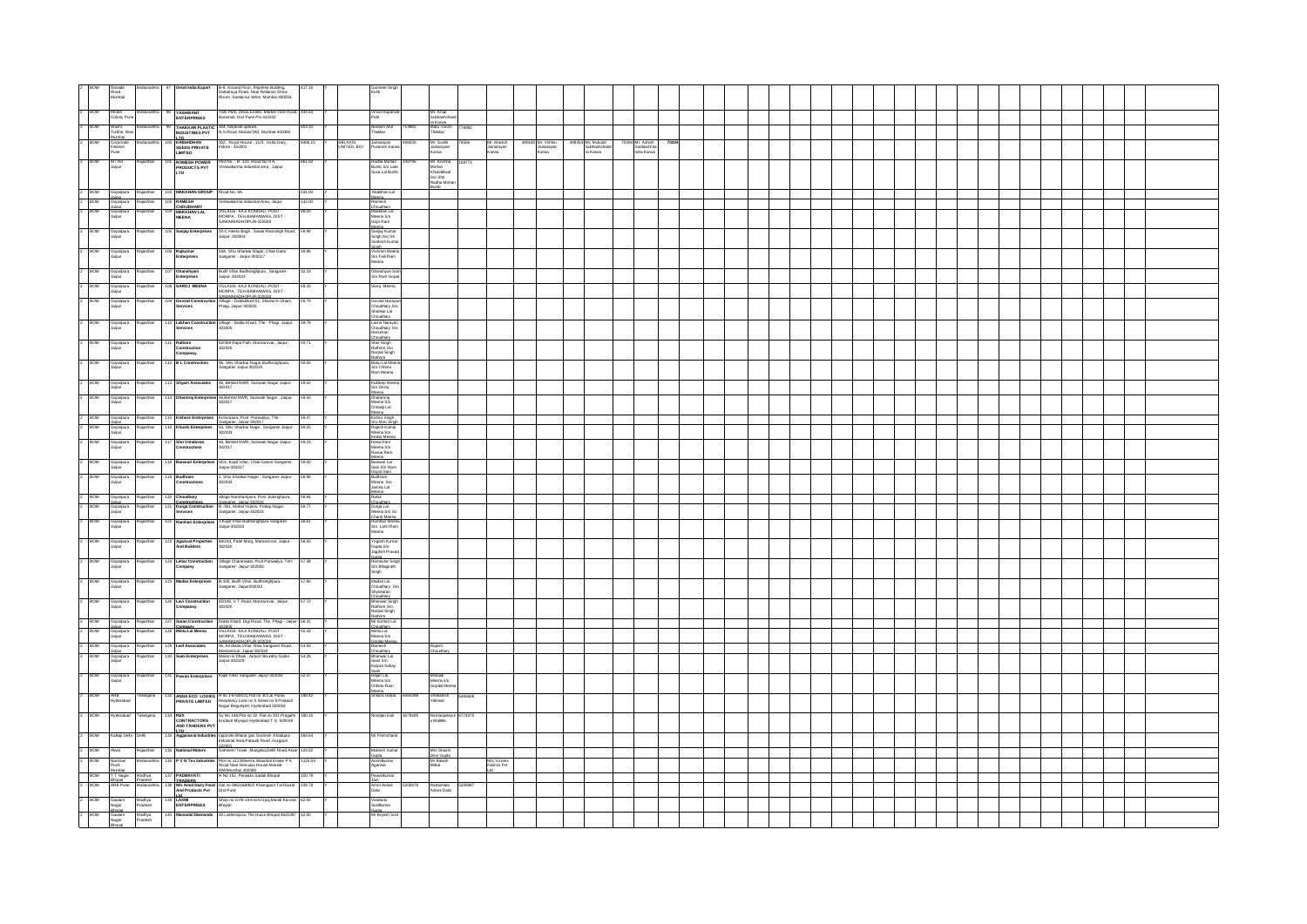|                             | Ranade<br>Road<br>Mumbai |                                                      |                                                                      |                                                                                                                                                                                                                                                                                                                                                                                                                                             | Maharashtra 97 Great India Export B-8, Ground Floor, Rajshree Building,<br>Dattatraya Road, Near Relance Show<br>Room, Santacruz West, Mumbai 400054.                                                            |                           | Gurmeet Sing<br>Kohli                                                     |         |                                                 |        |                                   |                                          |      |                                           |                                              |  |  |  |  |  |  |  |
|-----------------------------|--------------------------|------------------------------------------------------|----------------------------------------------------------------------|---------------------------------------------------------------------------------------------------------------------------------------------------------------------------------------------------------------------------------------------------------------------------------------------------------------------------------------------------------------------------------------------------------------------------------------------|------------------------------------------------------------------------------------------------------------------------------------------------------------------------------------------------------------------|---------------------------|---------------------------------------------------------------------------|---------|-------------------------------------------------|--------|-----------------------------------|------------------------------------------|------|-------------------------------------------|----------------------------------------------|--|--|--|--|--|--|--|
| 2 BOM                       |                          | Colony Pune                                          |                                                                      | <b>YASHWANT</b><br>ENTERPRISES                                                                                                                                                                                                                                                                                                                                                                                                              | Yatri Park, Desai Estate, Market Yard Road<br>Baramati, Dist Pune Pin 413102<br>444.64                                                                                                                           |                           | Vinod Rupar<br>Patil                                                      |         | Mr. Anup<br>Subhashchang                        |        |                                   |                                          |      |                                           |                                              |  |  |  |  |  |  |  |
| 2 BOM                       |                          | Washi,<br>Turbhe, New                                |                                                                      |                                                                                                                                                                                                                                                                                                                                                                                                                                             | 99 THAKKAR PLASTIC 304, Neptune uptown,<br>INDUSTRIES PVT N.S.Road, Mulund (W), Mumbal-400080<br>804.10                                                                                                          |                           | Neelam Atul<br>Thakkar                                                    | 14982   | ra Karwa<br>Mala Girish<br>Thakkar              | 776982 |                                   |                                          |      |                                           |                                              |  |  |  |  |  |  |  |
| 2 BOM                       |                          | Mumbai<br>Corporate<br>Finance<br>Pune               |                                                                      | <b>ITD</b><br>KRISHIDHAN<br>SEEDS PRIVATE<br>LIMITED                                                                                                                                                                                                                                                                                                                                                                                        | .<br>302 , Royal House , 11/3 , Usha Ganj ,<br>Indore - 452001<br>8485.15                                                                                                                                        | SBI, AXIS,<br>UNITED, BOI | Jainarayan<br>Pusaram Karw                                                |         | Mr. Sushi<br>Jainarayan<br>Karwa                | 70556  | Mr. Manish<br>Jainarayan<br>Karwa | 499140 Mr. Vishnu<br>Jainarayan<br>Karwa | 4993 | 54 Mr. Mukund<br>Subhashchand<br>ra Karwa | 70394 Mr. Ashish<br>Subhashcha<br>ndra Karwa |  |  |  |  |  |  |  |
| 2 BOM                       | M   Rd<br>Jaipur         |                                                      |                                                                      | ROMESH POWER<br>PRODUCTS PVT<br>LTD                                                                                                                                                                                                                                                                                                                                                                                                         | .<br>Plot No. - B- 123, Road No 9 A,<br>Vishwakarma Industrial area , Jaipur<br>861.50                                                                                                                           |                           | Radha Mohan<br>Bumb S/o Late<br>Suva Lal Bumb                             |         | Mr. Krishna                                     | 108773 |                                   |                                          |      |                                           |                                              |  |  |  |  |  |  |  |
|                             |                          |                                                      |                                                                      |                                                                                                                                                                                                                                                                                                                                                                                                                                             |                                                                                                                                                                                                                  |                           |                                                                           |         | Mohan<br>Khandelwal<br>S/o Shri<br>Radha Mohan  |        |                                   |                                          |      |                                           |                                              |  |  |  |  |  |  |  |
|                             |                          |                                                      |                                                                      | $\begin{tabular}{ c c c c c c c c } \hline 2&\text{BOM} & \text{Gopapiyon} & \text{Rajastian} & \text{102} & \text{MAMGHAN GROU} \\ \hline 2&\text{BOM} & \text{Japiyon} & \text{Rajastian} & \text{103} & \text{RAMESH} \\ \hline 2&\text{BOM} & \text{Japiyon} & \text{Rajastian} & \text{103} & \text{RAMESH} \\ \hline 2&\text{BOM} & \text{Gopapiyon} & \text{Rajastian} & \text{104} & \text{MAMGH$<br>102 MAKKHAN GROUP Road No. 9A, | 231.00<br>Vishwakarma Industrial Area, Jaipur<br>142.00 Y                                                                                                                                                        |                           | Makkhan Lal                                                               |         |                                                 |        |                                   |                                          |      |                                           |                                              |  |  |  |  |  |  |  |
|                             |                          |                                                      |                                                                      |                                                                                                                                                                                                                                                                                                                                                                                                                                             | VILLAGE- KAJI KONDALI, POST -<br>MORPA, TEH BAMANWAS, DIST -<br>SAWAIMADHOPUR-322028<br>98.00                                                                                                                    |                           | Meena<br>Ramesh<br>Choudhany<br>Maishan Lal<br>Meena<br>Gopi Ram<br>Meena |         |                                                 |        |                                   |                                          |      |                                           |                                              |  |  |  |  |  |  |  |
|                             |                          |                                                      | Rajasthan                                                            |                                                                                                                                                                                                                                                                                                                                                                                                                                             |                                                                                                                                                                                                                  |                           |                                                                           |         |                                                 |        |                                   |                                          |      |                                           |                                              |  |  |  |  |  |  |  |
| 2 BOM                       |                          | Gopalpura<br>Jaipur                                  |                                                                      | 105 Sanjay Enterprises                                                                                                                                                                                                                                                                                                                                                                                                                      | -<br>20-C Heera Bagh , Sawai Ramsingh Road, 59.99<br>Jaipur- 302004                                                                                                                                              |                           | Meera<br>Sanjay Kumar<br>Singh S/o Sh<br>Santosh Kumar                    |         |                                                 |        |                                   |                                          |      |                                           |                                              |  |  |  |  |  |  |  |
| 2 BOM                       |                          | Gopalpura<br>Jaipur                                  | Rajasthan                                                            | 106 Rajkumar<br>Enterprises                                                                                                                                                                                                                                                                                                                                                                                                                 | 54A, Shiv Shankar Nagar, Chak Gator<br>Sanganer - Jaipur-302017<br>59.96                                                                                                                                         |                           | Singh<br>Vishram Meen<br>S/o Faill Ram                                    |         |                                                 |        |                                   |                                          |      |                                           |                                              |  |  |  |  |  |  |  |
| 2 BOW                       |                          | Gopalpura<br>Jaipur                                  | ajasthar                                                             | Ghanshyam<br>Enterprises                                                                                                                                                                                                                                                                                                                                                                                                                    | Budh Vihar Budhsinghpura , Sanganer-<br>Jaipur- 302033<br>32.19                                                                                                                                                  |                           | .<br>Gharshyan Sair<br>S/o Ram Gopal                                      |         |                                                 |        |                                   |                                          |      |                                           |                                              |  |  |  |  |  |  |  |
| 2 BOM                       |                          | Gopalpura<br>Jaipur                                  | Rajasthar                                                            | SAROJ MEENA                                                                                                                                                                                                                                                                                                                                                                                                                                 | VILLAGE- KAJI KONDALI, POST<br>- MORPA, TEH BAMANWAS, DIST<br>- SAWAMADHOPUR-32028<br>- Village - Dablakhurd 01, Sharan Ki Dhari,<br>- Phagi, Jaipur-303005<br>58.33                                             |                           | Saroj Meena                                                               |         |                                                 |        |                                   |                                          |      |                                           |                                              |  |  |  |  |  |  |  |
| 2 BOM                       |                          | Gopalpura<br>Jaipur                                  | Rajasthan                                                            | 109 Govind Constructio<br>nvices                                                                                                                                                                                                                                                                                                                                                                                                            | 59.79                                                                                                                                                                                                            |                           | Govind Naraya<br>Choudhary S/o<br>Shankar Lal<br>Choudhary                |         |                                                 |        |                                   |                                          |      |                                           |                                              |  |  |  |  |  |  |  |
| 2 BOM                       |                          | Gopalpura<br>Jaipur                                  | Rajasthan                                                            |                                                                                                                                                                                                                                                                                                                                                                                                                                             | 110 Lakhan Construction Village - Dabia Khurd, The - Phagi, Jaipur-59.79<br>Services 303005                                                                                                                      |                           | Laxmi Narayan<br>Choudhary S/o<br>lanıman <sup>1</sup>                    |         |                                                 |        |                                   |                                          |      |                                           |                                              |  |  |  |  |  |  |  |
| 2 BOM                       |                          | Gopalpura<br>Jaipur                                  | Rajasthan                                                            | Rathore<br>Construction<br>Companay                                                                                                                                                                                                                                                                                                                                                                                                         | 62/369 Rajat Path, Marsarovar, Jaipur- 59.71                                                                                                                                                                     |                           | Choudhany<br>Sher Singh<br>Rathore Sio<br>Narpat Singh                    |         |                                                 |        |                                   |                                          |      |                                           |                                              |  |  |  |  |  |  |  |
| 2 BOM                       |                          | Gopalpura<br>Jaipur                                  | Rajasthan                                                            | 112 B L Construction                                                                                                                                                                                                                                                                                                                                                                                                                        | 96, Shiv Sharkar Nagar, Budhsinghpura, 59.65<br>Sanganer Jaipur-302033                                                                                                                                           |                           | Rathore<br>Babu Lal Meena<br>S/o Chhotu<br>Ram Meena                      |         |                                                 |        |                                   |                                          |      |                                           |                                              |  |  |  |  |  |  |  |
| 2 BOM                       |                          | Gopalpura<br>Jaipur                                  | Rajasthan                                                            |                                                                                                                                                                                                                                                                                                                                                                                                                                             | 113 Shyam Associates 46, Behind NWR, Sarswati Nagar Jaipur- 59.52<br>302017                                                                                                                                      |                           | Kuldeep Meena<br>S/o Girraj                                               |         |                                                 |        |                                   |                                          |      |                                           |                                              |  |  |  |  |  |  |  |
| 2 BOM                       | Jaipur                   | Gopalpura                                            | Rajasthan                                                            |                                                                                                                                                                                                                                                                                                                                                                                                                                             | 114 Dharmraj Enterprises 46, Behind NWR, Sasnwati Nagar , Jaipur- 59.50<br>302017                                                                                                                                |                           | <b>Google</b><br>Dharamraj<br>Meena S/o<br>Chiranji Lal                   |         |                                                 |        |                                   |                                          |      |                                           |                                              |  |  |  |  |  |  |  |
|                             | <b>BOW</b>               | Gopalpura Rajasthan<br>Jalour                        |                                                                      |                                                                                                                                                                                                                                                                                                                                                                                                                                             | 115 Kishore Enterprises Kishopura, Post-Panwaliya, The 59.47<br>Sanganer, Jaipur-302017<br>116 Khushi Enterprises 54, Shv: Sharkar Nage , Sanganer Jaipur- 59.25                                                 |                           | Meera<br>Kishor Singh<br>S/o Moti Singh                                   |         |                                                 |        |                                   |                                          |      |                                           |                                              |  |  |  |  |  |  |  |
| $2 - BOM$                   |                          | Gopalpura<br>Jaipur                                  | Rajasthan                                                            |                                                                                                                                                                                                                                                                                                                                                                                                                                             | 302033                                                                                                                                                                                                           |                           | Rajesh Kumar<br>Meena S/o<br>Kedar Meena                                  |         |                                                 |        |                                   |                                          |      |                                           |                                              |  |  |  |  |  |  |  |
|                             | <b>BOM</b>               | Gopalpura<br>Jaipur                                  | Rajasthan                                                            | 117 Shri Vrindavan<br>onstructons                                                                                                                                                                                                                                                                                                                                                                                                           | 46, Behind NWR, Sarswati Nagar Jaipur- 59.23                                                                                                                                                                     |                           | Deep Ram<br>Meera S/o<br>Rasua Ram                                        |         |                                                 |        |                                   |                                          |      |                                           |                                              |  |  |  |  |  |  |  |
| 2 BOW                       |                          | Gopalpura<br>Jaipur                                  | Rajasthan                                                            |                                                                                                                                                                                                                                                                                                                                                                                                                                             | 118 Banwari Enterprises SD1, Kapil Vihar, Chak Gatore Sanganer, 59.00<br>Jaipur-302017                                                                                                                           |                           | Meera<br>Banwari Lal<br>Sain S/o Ram<br><b>Scoal Sain</b>                 |         |                                                 |        |                                   |                                          |      |                                           |                                              |  |  |  |  |  |  |  |
| 2 BOM                       |                          | Gopalpura<br>Jaipur                                  | Rajasthan                                                            | 119 Budhram<br><b>Constructions</b>                                                                                                                                                                                                                                                                                                                                                                                                         | 2, Shiv Shankar Nagar , Sanganer Jaipur- 58.96<br>302033                                                                                                                                                         |                           | Budhram<br>Meena S/o<br>Jamna Lal                                         |         |                                                 |        |                                   |                                          |      |                                           |                                              |  |  |  |  |  |  |  |
| $2$ BOM<br>$2 - BOM$        |                          | Gopalpura<br>Jairur<br>Gopalpura<br>Jaipur           | Rajasthan                                                            | 120 Choudhary                                                                                                                                                                                                                                                                                                                                                                                                                               | 120 Choudhary village Narottampura, Post Jaisinghpura, 58.84<br>Chonstructions Sammare Librun.202076<br>121 Durga Construction B-361, Mahal Yojana, Pratap Nagar, 58.77<br>Services Sanganer, Jaipur-302033      |                           | ana.<br>Rahul<br>Chruthary                                                |         |                                                 |        |                                   |                                          |      |                                           |                                              |  |  |  |  |  |  |  |
|                             |                          |                                                      | Rajasthan                                                            |                                                                                                                                                                                                                                                                                                                                                                                                                                             |                                                                                                                                                                                                                  |                           | Durga Lal<br>Meera S/o Sri<br>Chand Meena                                 |         |                                                 |        |                                   |                                          |      |                                           |                                              |  |  |  |  |  |  |  |
| 2 BOM                       |                          | Gopalpura<br>Jaipur                                  | Rajasthan                                                            |                                                                                                                                                                                                                                                                                                                                                                                                                                             | 122 Ramhari Enterprises 3 Kapil Vihar Buchsinghpura Sanganer<br>58.61<br>Jaipur-302033                                                                                                                           |                           | Ramhari Meena<br>S/o Lahri Ram<br>Acena                                   |         |                                                 |        |                                   |                                          |      |                                           |                                              |  |  |  |  |  |  |  |
| $2$ BOM                     |                          | Gopalpura<br>Jaipur                                  | Rajasthan                                                            |                                                                                                                                                                                                                                                                                                                                                                                                                                             | 123 Agarwal Properties 80/244, Patel Marg, Mansarovar, Jaipur- 58.50<br>And Builders 302020                                                                                                                      |                           | Yogesh Kumar<br>Gupta S/o<br>Jagdish Prasad                               |         |                                                 |        |                                   |                                          |      |                                           |                                              |  |  |  |  |  |  |  |
|                             | BOM                      | Gopalpura<br>Jaipur                                  |                                                                      | Company                                                                                                                                                                                                                                                                                                                                                                                                                                     | 124 Lehar Construction Village Charanwals, Post Panwaliya, Teh- 57.38<br>Company Sarganer-Jaipur-302033                                                                                                          |                           | Region<br>Ramavtar Singh<br>S/o Bhagirath                                 |         |                                                 |        |                                   |                                          |      |                                           |                                              |  |  |  |  |  |  |  |
| 2 BOM                       |                          | Gopalpura<br>Jaipur                                  | Rajasthan                                                            |                                                                                                                                                                                                                                                                                                                                                                                                                                             | 125 Madan Enterprises B-105, Budh Vihar, Budhsinghpura.<br>Sanganer, Jaipur302033<br>57.80                                                                                                                       |                           | Madan Lal<br>Choudhary S/o<br>Shyokaran<br>Choudhary                      |         |                                                 |        |                                   |                                          |      |                                           |                                              |  |  |  |  |  |  |  |
| 2 BOM                       |                          |                                                      |                                                                      | Gopapura Rajasthan 126 Lavi Construction<br>Companay                                                                                                                                                                                                                                                                                                                                                                                        | 62/180, V T Road, Mansarovar, Jaipur- 57.72<br>302020                                                                                                                                                            |                           | Bhanwar Singh<br>Rathore S/o<br>Varpat Singh                              |         |                                                 |        |                                   |                                          |      |                                           |                                              |  |  |  |  |  |  |  |
| $\frac{2}{2}$ BOM           |                          |                                                      | Gopalpura Rajasthan<br>Jaiour                                        |                                                                                                                                                                                                                                                                                                                                                                                                                                             | 127 Saran Construction Dabia Khurd, Digi Road, The. Phagi - Jalpur- 56.31<br>Commany 303005<br>128 Mintu Lal Meena 300005 - WURPA, TEH BAMANIVAS, DIST<br>MORPA, TEH BAMANIVAS, DIST<br>8AWARIARHUNDI IID 272079 |                           | athore<br>Mr Kishori Lal<br>Choudharv                                     |         |                                                 |        |                                   |                                          |      |                                           |                                              |  |  |  |  |  |  |  |
|                             |                          | Gopalpura<br>Jaipur                                  | Rajasthan                                                            |                                                                                                                                                                                                                                                                                                                                                                                                                                             |                                                                                                                                                                                                                  |                           | Mintu Lal<br>Meena S/o                                                    |         |                                                 |        |                                   |                                          |      |                                           |                                              |  |  |  |  |  |  |  |
| 2 BOM<br>$\overline{2}$ BOM |                          | Gopalpura Rajasthan<br>Jaiour<br>Gopalpura<br>Jaipur | <b>Rajasthan</b>                                                     | 129 Leel Associates<br>130 Saini Enterprises                                                                                                                                                                                                                                                                                                                                                                                                | SAWAIMADHOPUR-322028<br>46, Krishana Vihar, New Sanganer Road, 54.93<br>Mansarovar, Jaiour-302020<br>Malion ki Dhani , Airport Boundry Galtor 54.28<br>Jaipur-302029                                             |                           | Goolal Meen<br>Ramesh                                                     |         | Rajesh<br>Choudhary                             |        |                                   |                                          |      |                                           |                                              |  |  |  |  |  |  |  |
|                             | BOM                      |                                                      |                                                                      |                                                                                                                                                                                                                                                                                                                                                                                                                                             | 131 Pawan Enterprises Kapil Vihar Sanganer Jaipur-302033<br>52.37                                                                                                                                                |                           | Choudhary<br>Bhanwar Lal<br>Saini Sib<br>Kalyan Sahay                     |         |                                                 |        |                                   |                                          |      |                                           |                                              |  |  |  |  |  |  |  |
|                             |                          | Gopalpura<br>Jaipur                                  |                                                                      |                                                                                                                                                                                                                                                                                                                                                                                                                                             |                                                                                                                                                                                                                  |                           | Hajari Lal<br>Meena S/o<br>Chhotu Ram                                     |         | Mintulal<br>Meena s/o<br>Gopilal Meer           |        |                                   |                                          |      |                                           |                                              |  |  |  |  |  |  |  |
| $2$ BOM                     | ARB                      | Hyderabad                                            | Telangana                                                            |                                                                                                                                                                                                                                                                                                                                                                                                                                             | 132 ANNA ECO LOGIKS H no 1-8-506/21, Flat no 301, al Puma<br>PRIVATE LIMITED Residency Lane no 6 Street no 8 Prakash<br>Nagar Begurnpet, Hyderabad 500016<br>198.42                                              |                           | uteena<br>Srikara Gatpa                                                   |         | Verkates<br>elmal                               |        |                                   |                                          |      |                                           |                                              |  |  |  |  |  |  |  |
| 2 BOM                       |                          | Hyderabad                                            | Felangana                                                            |                                                                                                                                                                                                                                                                                                                                                                                                                                             | <b>Sy No 148, Plot no 32, Flat no 201, Pragathi<br/>CONTRACTORS</b> Enclave Miyapur Hyderabad T G 500049<br><b>AND TRADERS PVT</b><br>180.15                                                                     |                           | Niranjan Gali                                                             | 3579485 | Ramanjaneyul 6774370<br>u Malela                |        |                                   |                                          |      |                                           |                                              |  |  |  |  |  |  |  |
| 2 BOM                       |                          | Kalkaji Delhi<br>Delhi                               |                                                                      |                                                                                                                                                                                                                                                                                                                                                                                                                                             | ITD<br>Aggarawal Industries opposite Bharat gas Godown ,Khadupur<br>Industrial Area,Pataud Road ,Gurgaon<br>484.64                                                                                               |                           |                                                                           |         |                                                 |        |                                   |                                          |      |                                           |                                              |  |  |  |  |  |  |  |
| 2 BOM<br>$2 - BOM$          |                          | Alwar                                                | Rajasthan<br>Maharashtra                                             |                                                                                                                                                                                                                                                                                                                                                                                                                                             | 122001 135 National Motors Sameem Tower , Murgska, Delhi Road Alwar 124.02                                                                                                                                       |                           | Mukesh kumar                                                              |         | Mrs Shashi<br>Devi Guota<br>Mr Bikash<br>Mittal |        |                                   |                                          |      |                                           |                                              |  |  |  |  |  |  |  |
|                             |                          | Nariman<br>Point                                     |                                                                      |                                                                                                                                                                                                                                                                                                                                                                                                                                             | 136 P V N Tex Industries Pict no 112.Minerva Industrial Estate P K 1124.59<br>Road Near Heroulas House Mulund<br>Milhouse ANDING AND ROOM COMPONERTY PROMOTOR H WORKS Park Strategy 100.79                       |                           | Guota<br>Arvindkumar<br>Agarwal<br>Pawankumar                             |         |                                                 |        | M/s Vicotex<br>Fabrics Pvt        |                                          |      |                                           |                                              |  |  |  |  |  |  |  |
| BOM<br>$2 - BOM$            |                          |                                                      | Funniai<br>TT Nagar Madhya<br>Bhooal Pradesh<br>ARB Pune Maharashtra |                                                                                                                                                                                                                                                                                                                                                                                                                                             | 137 PADMAVATI SWWM McMal 300080<br>178 PADMAVATI H No.152, Panvalia Sadak Bhopal 100.79<br>188 Miris Amel Dairy Food Gat no 895/1895/2 Khamgaon Tal Daurd 239.78<br>And Products Pvt Dist Pune                   |                           | Jain<br>Amol Ashok<br>Dalvi                                               | 5205978 | Ratnamala<br>Ashok Dalvi                        |        |                                   |                                          |      |                                           |                                              |  |  |  |  |  |  |  |
| 2 BOM                       |                          | Gautam<br>Nagar                                      | Madhya<br>Pradesh                                                    | 1td<br>139 LAXMI<br>ENTERPRISES                                                                                                                                                                                                                                                                                                                                                                                                             | -<br>Shop no GYB-19 Krishi Upaj Mandi Karond<br>- Bhopal                                                                                                                                                         |                           | Vandana<br>Sunilkumar                                                     |         |                                                 |        |                                   |                                          |      |                                           |                                              |  |  |  |  |  |  |  |
| $2$ BOM                     |                          | Rhonal<br>Gautam<br>Nagar<br>Bhopal                  | Madhya<br>Pradesh                                                    |                                                                                                                                                                                                                                                                                                                                                                                                                                             | 140 Manoolal Diamands 20 Lakherapura The Huzur Bhopal 4620387 52.00                                                                                                                                              |                           | 3unta<br>Mr Brijesh Son                                                   |         |                                                 |        |                                   |                                          |      |                                           |                                              |  |  |  |  |  |  |  |
|                             |                          |                                                      |                                                                      |                                                                                                                                                                                                                                                                                                                                                                                                                                             |                                                                                                                                                                                                                  |                           |                                                                           |         |                                                 |        |                                   |                                          |      |                                           |                                              |  |  |  |  |  |  |  |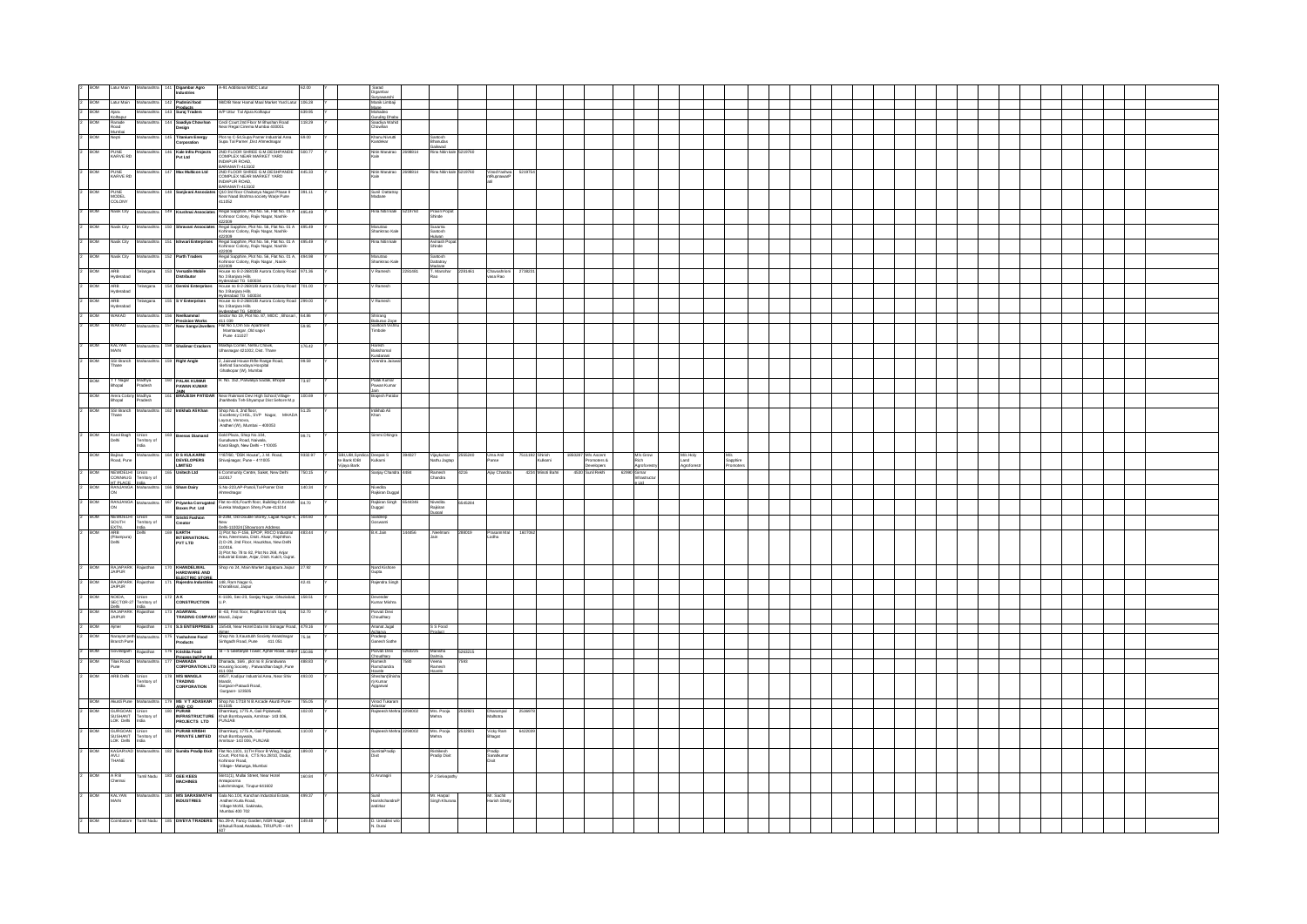|                | 2 BOM                                      |                                                          |                                                                                  |     | Latur Main Maharashtra 141 Digambar Agro                                     | A-91 Additional MIDC Latur                                                                                                                                                                                                                       |                  |                                                | Sarad<br>Digambar<br>Survawanshi<br>Mane<br>Mane          |                                                   |         |                                      |                            |                                                 |       |                              |                  |                 |  |  |  |  |  |  |  |  |
|----------------|--------------------------------------------|----------------------------------------------------------|----------------------------------------------------------------------------------|-----|------------------------------------------------------------------------------|--------------------------------------------------------------------------------------------------------------------------------------------------------------------------------------------------------------------------------------------------|------------------|------------------------------------------------|-----------------------------------------------------------|---------------------------------------------------|---------|--------------------------------------|----------------------------|-------------------------------------------------|-------|------------------------------|------------------|-----------------|--|--|--|--|--|--|--|--|
|                | 2 BOM Latur Main                           |                                                          |                                                                                  |     | Maharashtra 142 Padmini food                                                 | 98/D/B Near Hamal Maal Market Yard Latur                                                                                                                                                                                                         | 106.28           |                                                |                                                           |                                                   |         |                                      |                            |                                                 |       |                              |                  |                 |  |  |  |  |  |  |  |  |
|                | $2$ BOM<br>Ajara<br>Kolhapur<br>2 BOM      |                                                          |                                                                                  |     | Products<br>Maharashtra 143 Suraj Traders                                    | A/P Uttur Tal Ajara Kolhapur                                                                                                                                                                                                                     | 639.95<br>118.29 |                                                | Mane<br>Mahadeo<br>Guruling Dhabi                         |                                                   |         |                                      |                            |                                                 |       |                              |                  |                 |  |  |  |  |  |  |  |  |
|                | Ranade<br>Road<br>Mumbai<br>Nepti<br>2 BOM |                                                          |                                                                                  |     | Maharashtra 144 Saadiya Chowhan<br>Design                                    | Cecil Court 2nd Floor M Bhushan Road<br>Near Regal Cinema Mumbai 400001<br>Plot no C-54, Supa Pamer Industrial Area                                                                                                                              |                  |                                                | .<br>Saadiya Wahis<br>Chowhan<br><b>Chanu Nivrutti</b>    |                                                   |         |                                      |                            |                                                 |       |                              |                  |                 |  |  |  |  |  |  |  |  |
|                |                                            |                                                          | Maharashtra                                                                      |     | 145 Titanium Energy<br>Corporation                                           | Supa Tal Pamer , Dist Ahmednagar                                                                                                                                                                                                                 | 69.00            |                                                | andekar                                                   | Santosh<br>Bhanudas<br>Gaikwad<br>Rina Nitin kale |         |                                      |                            |                                                 |       |                              |                  |                 |  |  |  |  |  |  |  |  |
| $\overline{2}$ | BOM                                        | PUNE<br>KARVE RD                                         |                                                                                  |     | Maharashtra 146 Kale Infra Projects<br>Pyt Ltd                               | ND FLOOR SHREE G.M.DESHPANDE<br>OMPLEX NEAR MARKET YARD<br>INDAPUR ROAD.                                                                                                                                                                         | 500.77           |                                                | .<br>Nitin Marutrao<br>98814                              |                                                   | 219760  |                                      |                            |                                                 |       |                              |                  |                 |  |  |  |  |  |  |  |  |
| lz.            | <b>BOM</b><br>PUNE                         | FUNE<br>KARVE RD                                         | Maharashtra                                                                      |     | 147 Max Multicon Ltd                                                         | BARAMATI-413102<br>2ND FLOOR SHREE G.M.DESHPANDE<br>COMPLEX NEAR MARKET YARD<br>NDAPLIR ROAD<br>NDAPUR ROAD,<br>BARAMATI-413102                                                                                                                  | 445.33           |                                                | Nitin Manutrao<br>2698814                                 | Rina Nitin kale 5219760                           |         | VinodYashwa<br>ntRupnawarP<br>521975 |                            |                                                 |       |                              |                  |                 |  |  |  |  |  |  |  |  |
|                | BOM<br>PUNE<br>MODEL<br>COLONY             |                                                          | Maharashtra                                                                      |     | 148 Sanjivani Associato                                                      | Q10 3rd floor Chaitanya Nagari Phase II<br>Near Naad Brahma society Warje Pune<br>411052                                                                                                                                                         | 391.11           |                                                | Sunil Dattatr<br>fadane                                   |                                                   |         |                                      |                            |                                                 |       |                              |                  |                 |  |  |  |  |  |  |  |  |
|                | <b>BOM</b>                                 | Nasik City                                               | Maharashtra                                                                      |     | 149 Krushnai Associates                                                      | Regal Sapphire, Plot No. 56, Flat No. 01 A<br>Kohinoor Colony, Rajiv Nagar, Nashik-                                                                                                                                                              | 495.49           |                                                | lina Nitin kale 5219760                                   | Pravin Popa<br>Shinde                             |         |                                      |                            |                                                 |       |                              |                  |                 |  |  |  |  |  |  |  |  |
|                | <b>BOM</b>                                 | Nasik City                                               | Maharashtra                                                                      |     | 150 Shravani Associate                                                       | 422009<br>Regal Sapphire, Plot No. 56, Flat No. 01 A<br>inoor Colony, Rajiv Nagar, Nashik-                                                                                                                                                       | 495.49           |                                                | Marutrao<br>Sharikmao Kale                                | Suvarna<br>Santosh<br>Huluan                      |         |                                      |                            |                                                 |       |                              |                  |                 |  |  |  |  |  |  |  |  |
|                | <b>BOM</b>                                 | Nasik City                                               | aharashtra                                                                       | 151 | hwari Enterprises                                                            | ar marti<br>Regal Sapphire, Plot No. 56, Flat No. 01 A<br>Kohinoor Colony, Raily Neese Marti                                                                                                                                                     | 195.49           |                                                | na Nitin kale                                             | Avinash P<br>Shinde                               |         |                                      |                            |                                                 |       |                              |                  |                 |  |  |  |  |  |  |  |  |
|                | BOW                                        | lasik City                                               | Maharashtra                                                                      |     | 152 Parth Traders                                                            | stration<br>Regal Sapphire, Plot No. 56, Flat No. 01 A,<br>Kohinoor Colony, Rajiv Nagar , Nasik                                                                                                                                                  | 494.98           |                                                | Marutrao<br>Shankmao Kali                                 | Santosh<br>Dattatray                              |         |                                      |                            |                                                 |       |                              |                  |                 |  |  |  |  |  |  |  |  |
|                | BOW                                        | ARB<br>Hyderabad                                         | elangana                                                                         |     | 153 Versatile Mobile<br>Distributor                                          |                                                                                                                                                                                                                                                  | 371.36           |                                                | Ramesh                                                    | Madane<br>T. Marohar<br>Rao                       |         | Chavashrio<br>vasa Rao               |                            |                                                 |       |                              |                  |                 |  |  |  |  |  |  |  |  |
|                | BOM                                        | ARB<br>Hyderabad                                         | xlangana                                                                         |     | ımini Enterpris                                                              | Kohinoo Colony, Rajiy Nagar , Nasiiv<br>19200<br>19200 - Bara 2001/B Jurora Colony Road<br>19200 - Bara 2001/B Jurora Colony Road<br>19200 - Bara 2002/B Jurora Colony Road<br>19200 - Bara 2002/B Jurora Colony Road<br>1920 - Bara 2001/B Juro | 01.00            |                                                | Ramesh                                                    |                                                   |         |                                      |                            |                                                 |       |                              |                  |                 |  |  |  |  |  |  |  |  |
|                | BOM                                        | ARB<br>Hyderabad                                         | langana                                                                          |     | V Enterprises                                                                |                                                                                                                                                                                                                                                  | 299.00           |                                                | tamesh                                                    |                                                   |         |                                      |                            |                                                 |       |                              |                  |                 |  |  |  |  |  |  |  |  |
|                | BOW                                        | <b>WAKAD</b>                                             | aharashtra                                                                       |     |                                                                              |                                                                                                                                                                                                                                                  | 64.86            |                                                |                                                           |                                                   |         |                                      |                            |                                                 |       |                              |                  |                 |  |  |  |  |  |  |  |  |
|                | ROM                                        | <b>WAKAD</b>                                             |                                                                                  |     | 156 Neelkammal<br>Precision Works<br>157 New SangviJwe                       |                                                                                                                                                                                                                                                  |                  |                                                | Shrirang<br>Rahuran Zni<br>antosn v<br>imbole             |                                                   |         |                                      |                            |                                                 |       |                              |                  |                 |  |  |  |  |  |  |  |  |
|                |                                            |                                                          |                                                                                  |     |                                                                              | Mamtanagar , Old sagvi<br>Pune 411027                                                                                                                                                                                                            |                  |                                                |                                                           |                                                   |         |                                      |                            |                                                 |       |                              |                  |                 |  |  |  |  |  |  |  |  |
|                | <b>BOW</b><br>KALYAN<br>MAIN               |                                                          | Maharashtra                                                                      |     | 158 Shallmar Crackers                                                        | Makhija Corner, Nehru Chowk,<br>Ulhasnagar 421002, Dist. Thane                                                                                                                                                                                   | 76.42            |                                                | laresh<br>iakshomal<br>limodra Itil                       |                                                   |         |                                      |                            |                                                 |       |                              |                  |                 |  |  |  |  |  |  |  |  |
|                | ROM                                        | SSI Branch<br>Thane                                      |                                                                                  |     | 159 Right Angle                                                              | 2, Jaiswal House Riffe Range Road,<br>Behind Sarvodaya Hospital<br>Ghatkopar (W), Mumbai                                                                                                                                                         | .<br>20 K.G      |                                                |                                                           |                                                   |         |                                      |                            |                                                 |       |                              |                  |                 |  |  |  |  |  |  |  |  |
|                | <b>BOM</b>                                 | T T Nagar<br>Bhopai                                      | Madhya<br>Pradesh                                                                |     | 160 PALAK KUMAR<br>PAWAN KUMAR                                               | .<br>H. No. 152, Parwaliya Sadak, Bhopal                                                                                                                                                                                                         | 73.97            |                                                | <sup>3</sup> alak Kumar<br>awan Kumar                     |                                                   |         |                                      |                            |                                                 |       |                              |                  |                 |  |  |  |  |  |  |  |  |
|                | BOM                                        | Arera Colony Madhya<br>Bhopal Pradesh                    |                                                                                  |     |                                                                              |                                                                                                                                                                                                                                                  | 100.69           |                                                | <br>aicsh Patida                                          |                                                   |         |                                      |                            |                                                 |       |                              |                  |                 |  |  |  |  |  |  |  |  |
|                | BOM                                        | SSI Branch                                               | Maharashtr                                                                       |     | 162 Intikhab Ali Khan                                                        | Shop No.4, 2nd floor,<br>Excellency CHSL, SVP Nagar, MHADA                                                                                                                                                                                       | 51.25            |                                                | Intikhab Ali                                              |                                                   |         |                                      |                            |                                                 |       |                              |                  |                 |  |  |  |  |  |  |  |  |
|                | Thane                                      |                                                          |                                                                                  |     |                                                                              | Layout, Versova,<br>Andheri (W), Mumbai - 400053                                                                                                                                                                                                 |                  |                                                | Chan                                                      |                                                   |         |                                      |                            |                                                 |       |                              |                  |                 |  |  |  |  |  |  |  |  |
|                | 2 BOM                                      | Karol Bagh<br>Delhi                                      | Union<br>Territory of<br>India                                                   |     | 163 Beenas Diamand                                                           | Gold Plaza, Shop No.104,<br><b>Surudwara Road, Naiwala,</b><br>Karol Bagh, New Delhi -- 110005                                                                                                                                                   | 99.71            |                                                | Simmi Dhingra                                             |                                                   |         |                                      |                            |                                                 |       |                              |                  |                 |  |  |  |  |  |  |  |  |
|                | BOM                                        | Bajrao<br>Road, Pune                                     | <b>Maharashtr.</b>                                                               |     | <b>D S KULKARNI</b><br><b>DEVELOPERS</b><br>LIMITED                          | 1187/60, "DSK House", J. M. Road,<br>Shivajinagar, Pune - 411005                                                                                                                                                                                 | 933297           | SBI,UBI,Syndic<br>te Bank IDBI<br>Vijaya Barik | Jeepak S<br>Kulkarni                                      | Vijaykumar 2555240<br>Nathu Jagtap                |         | Uma Anil<br>Panse                    | 7511192 Shirish<br>Kulkami | 1850287 M/s Ascent<br>Promoters &<br>Developers |       | M/s Grow<br>Rich<br>Agrofore | M's Holy<br>Land | M/s<br>Sapphire |  |  |  |  |  |  |  |  |
|                | BOM                                        |                                                          | NEWDELHI<br>NONNAUG Territory of<br>HT PLACE India<br>RANJANGA Maharashtra<br>ON |     | 65 Unitech Ltd                                                               | 5 Community Centre, Saket, New Delhi<br>110017                                                                                                                                                                                                   | 150.15           |                                                | anjay Chand                                               | Ramesh<br>Chandra                                 | 216     | Ajay Chang                           | 4234 Minoti Bahr           | 4530 Suni Reich                                 | 62990 | 3 imar<br>nfrastructur       |                  |                 |  |  |  |  |  |  |  |  |
|                | <b>BOM</b>                                 |                                                          |                                                                                  |     | Sham Dairy                                                                   | S.No-223,AP-Panoli,Tal-Pamer Dist<br>Inperbank                                                                                                                                                                                                   | 40.34            |                                                | livedita<br>!ajkiran Dugga                                |                                                   |         |                                      |                            |                                                 |       |                              |                  |                 |  |  |  |  |  |  |  |  |
|                | BOW                                        | RANJANGA<br>ON                                           | Maharashtra                                                                      |     | 167 Priyanka Corruga<br>Boxes Pvt Ltd                                        | Flat no-401,Fourth floor, Building-D,Konark<br>Eureka Wadgaon Shery,Pune-411014                                                                                                                                                                  | 84.70            |                                                | Rajkiran Singh<br>Duggal<br>44346                         | Nivedita<br>Rajkiran<br>Duggal                    | 45284   |                                      |                            |                                                 |       |                              |                  |                 |  |  |  |  |  |  |  |  |
|                | <b>BOM</b>                                 |                                                          | Union<br>Territory of                                                            |     | 168 Srishti Fashion<br>Creator                                               | .<br>B-23/B, Old Double Storey, Lajpat Nagar-4,                                                                                                                                                                                                  | 03.00            |                                                | Sandeep<br>Goswami                                        |                                                   |         |                                      |                            |                                                 |       |                              |                  |                 |  |  |  |  |  |  |  |  |
|                | <b>BOM</b>                                 | NEWDELH<br>SOUTH<br>EXTN.<br>ARB<br>(Pitampura)<br>Delhi | India<br>Dolbi                                                                   |     | EARTH<br>INTERNATIONAL<br>PVT LTD                                            | New<br>1981 - Maria Showroom Address<br>1) Plot No F-156, EPOP, RIICO Industrial<br>Area, Neemrana, Disti. Alwar, Rajshthan.<br>2) D-29, 2nd Floor, Hauzishas, New Delhi                                                                         | 183.44           |                                                | B.K.Jain                                                  | . Neelmani<br>Jain                                |         | Prasam Ma<br>Lodha                   |                            |                                                 |       |                              |                  |                 |  |  |  |  |  |  |  |  |
|                |                                            |                                                          |                                                                                  |     |                                                                              | .110016.<br>3) Plot No 78 to 82, Plot No 268, Anjar<br>Industrial Estate, Anjar, Distt. Kutch, Gujrat.                                                                                                                                           |                  |                                                |                                                           |                                                   |         |                                      |                            |                                                 |       |                              |                  |                 |  |  |  |  |  |  |  |  |
|                | 2 BOM                                      | RAJAPARK<br>JAIPUR                                       |                                                                                  |     |                                                                              | Shop no 24, Main Market Jagatpura Jaipur 27.92                                                                                                                                                                                                   |                  |                                                | Vand Kishore<br>Supta                                     |                                                   |         |                                      |                            |                                                 |       |                              |                  |                 |  |  |  |  |  |  |  |  |
|                | 2 BOW                                      | RAJAPARK<br>JAIPUR                                       |                                                                                  |     | 170 KHANDELWAL<br>HARDWARE AND<br>FI FCTRIC STORE<br>171 Rajendra Industries | 148, Ram Nagar 6,<br>KhoraBisal, Jaipur                                                                                                                                                                                                          | 42.41            |                                                | lajendra Singh                                            |                                                   |         |                                      |                            |                                                 |       |                              |                  |                 |  |  |  |  |  |  |  |  |
|                | 2 BOM                                      | NOIDA.<br>SECTOR-27                                      | eritory of                                                                       |     | 172 AK<br>CONSTRUCTION                                                       | K-1106, Sec-23, Sanjay Nagar, Ghaziabad, 158.51<br><b>ILP</b>                                                                                                                                                                                    |                  |                                                | vender<br>umar Mishra                                     |                                                   |         |                                      |                            |                                                 |       |                              |                  |                 |  |  |  |  |  |  |  |  |
|                | <b>BOM</b><br><b>JAIPUR</b>                | Delh<br>RAJAPARK                                         |                                                                                  |     | 173 AGARWAL<br>TRADING COMPANY Mandi, Jaipur                                 | B -63, First floor, Rajdhani Krishi Upaj                                                                                                                                                                                                         | 52.70            |                                                | Parvati Devi<br>houthary                                  |                                                   |         |                                      |                            |                                                 |       |                              |                  |                 |  |  |  |  |  |  |  |  |
|                | 2 BOM<br>Aimer                             |                                                          |                                                                                  |     |                                                                              | 174 S.S ENTERPRISES 15/548, Near Hotel Data Inn Srinagar Road, 479.16                                                                                                                                                                            |                  |                                                |                                                           | S S Food                                          |         |                                      |                            |                                                 |       |                              |                  |                 |  |  |  |  |  |  |  |  |
|                | BOM                                        | Narayan pet<br>Branch Pune                               |                                                                                  |     | 75 Yashahree Food<br>Products                                                | Almer<br>Shop No 3,Kaustubh Society Anandnagar<br>Sinhgadh Road, Pune 411 051                                                                                                                                                                    | 534              |                                                | Ananat Jugal<br>Acharva<br>Pradeep<br><b>Ganesh Sathe</b> | Product                                           |         |                                      |                            |                                                 |       |                              |                  |                 |  |  |  |  |  |  |  |  |
|                | 2 BOM                                      | Govindgarh                                               | iasthan                                                                          |     | 176 Krishita Food<br>Process Ind Put Inf                                     | :B - 5 Geetanjali Tower, Ajmer Road, Jaipur 150.86                                                                                                                                                                                               |                  |                                                | Parvati Devi<br>Choudharv<br>5263225                      | Manisha<br>Dalmia.                                | 5263215 |                                      |                            |                                                 |       |                              |                  |                 |  |  |  |  |  |  |  |  |
|                | $2 - BOM$                                  | Tilak Road<br>Pune                                       | aharashtra                                                                       |     |                                                                              | Process Ind Put Ind. Dhanada, 16/6, plot no 8, Erandwana<br>CORPORATION LTD Housing Society , Patwardhan bagh ,Pune                                                                                                                              | 488.83           |                                                | Ramesh<br>Ramchandra                                      | Veena<br>Ramesh<br>avele                          |         |                                      |                            |                                                 |       |                              |                  |                 |  |  |  |  |  |  |  |  |
|                | BOM                                        | ARB Dehi                                                 | Union<br>Territory of<br>India                                                   |     | <sup>178</sup> MVS MANGLA<br>TRADING<br><b>CORPORATION</b>                   | 411 004<br>495/7, Kadipur Industrial Area, Near Shiv 493.00<br>Mandir,<br>Gurgaon-Pataudi Road,<br>Gurgaon- 123505                                                                                                                               |                  |                                                | Havele<br>Sheshan(Sh<br>n) Kumar<br>Aggarwal              |                                                   |         |                                      |                            |                                                 |       |                              |                  |                 |  |  |  |  |  |  |  |  |
|                |                                            |                                                          | Akurdi Pune Maharashtra                                                          |     |                                                                              | Shop No 17/18 N B Arcade Akurdi Pune 755.05                                                                                                                                                                                                      |                  |                                                | Vinod Tukaram                                             |                                                   |         |                                      |                            |                                                 |       |                              |                  |                 |  |  |  |  |  |  |  |  |
|                | BOM<br><b>BOM</b>                          |                                                          | Union                                                                            |     | 179 MS V T ADASKAR<br>AND CO<br>180 PURAB<br>NFRASTRUCTURE<br>PROJECTS LTD   | 411035<br>Dharmkunj, 1775 A, Gali Piplanwali,<br>Khuh Bombaywala, Amritsar- 143 006,<br>PUNJAB                                                                                                                                                   | 102.00           |                                                | daskar<br>Iajneesh Mehra                                  | Mrs. Pooja                                        | 253292  | Dharampal<br>Malhotra<br>253697      |                            |                                                 |       |                              |                  |                 |  |  |  |  |  |  |  |  |
|                | BOM                                        | GURGOAN<br>SUSHANT<br>LOK Dehi                           | Territory of<br>India                                                            |     | PURAB KRISHI<br>PRIVATE LIMITED                                              |                                                                                                                                                                                                                                                  | 10.00            |                                                |                                                           | lehra<br>Mrs. Pooja                               | 3292    | Vicky Ram<br>Bhagat<br>542203        |                            |                                                 |       |                              |                  |                 |  |  |  |  |  |  |  |  |
|                | BOM                                        |                                                          | GURGOAN Union<br>SUSHANT Territory of<br>LOK Delhi India                         |     | 82 Sumita Pradip Dixit                                                       | Dharmkunj, 1775 A, Gall Pipla<br>Khuh Bombaywala,<br>Amritsar: 143 006, PUNJAB                                                                                                                                                                   | 189.00           |                                                |                                                           | shra                                              |         |                                      |                            |                                                 |       |                              |                  |                 |  |  |  |  |  |  |  |  |
|                |                                            | KASARVAD<br>AVLI<br>THANE                                |                                                                                  |     |                                                                              | Flat No.1101, 11TH Floor B Wing, Rajgir<br>Court, Plot No.6, CTS No.28/10, Dadar,<br>Kohinoor Road,<br>Village– Matunga, Mumbai                                                                                                                  |                  |                                                | SumitaPradip<br>Dixit                                     | Rishikesh<br>Pradip Dixit                         |         | Pradip<br>Sanatkuma<br>Dixit         |                            |                                                 |       |                              |                  |                 |  |  |  |  |  |  |  |  |
|                | BOM<br>A R B<br>Chennai                    |                                                          | Tamil Nadu                                                                       |     | 183 GEE KEES<br>MACHINES                                                     | 56/41(1), Mullai Street, Near Hotel<br>apooma<br>shminagar, Tirupur-641602                                                                                                                                                                       | 160.84           |                                                | G Arunagiri                                               | P J Selvapathy                                    |         |                                      |                            |                                                 |       |                              |                  |                 |  |  |  |  |  |  |  |  |
|                | <b>BOM</b><br>KALYAN<br>MAIN               |                                                          |                                                                                  |     | 184 MS SARASWATH<br>USTRIES                                                  | Gala No.104, Kanchan Industrial Estate,<br>Ancheri Kurla Road,<br>Village Mohili, Sakinaka,<br>Mumbai 400 702                                                                                                                                    | 499.37           |                                                | Sunil<br>Harishchandre <sup>:</sup><br>andirkar           | Mr. Harpal<br>Singh Khurana                       |         | Mr. Sachit<br>Harish Shett           |                            |                                                 |       |                              |                  |                 |  |  |  |  |  |  |  |  |
|                | $\sim$ BOM                                 |                                                          |                                                                                  |     | <b>DIVEYA TRADERS</b>                                                        | No.29-A, Fancy Garden, NGR Nagar,<br>Uthukuli Road,Anaikadu, TIRUPUR – 641                                                                                                                                                                       | 9.48             |                                                | D. Umadevi<br>N. Durai                                    |                                                   |         |                                      |                            |                                                 |       |                              |                  |                 |  |  |  |  |  |  |  |  |
|                |                                            |                                                          |                                                                                  |     |                                                                              | <b>STATE OF BUILDING</b>                                                                                                                                                                                                                         |                  |                                                |                                                           |                                                   |         |                                      |                            |                                                 |       |                              |                  |                 |  |  |  |  |  |  |  |  |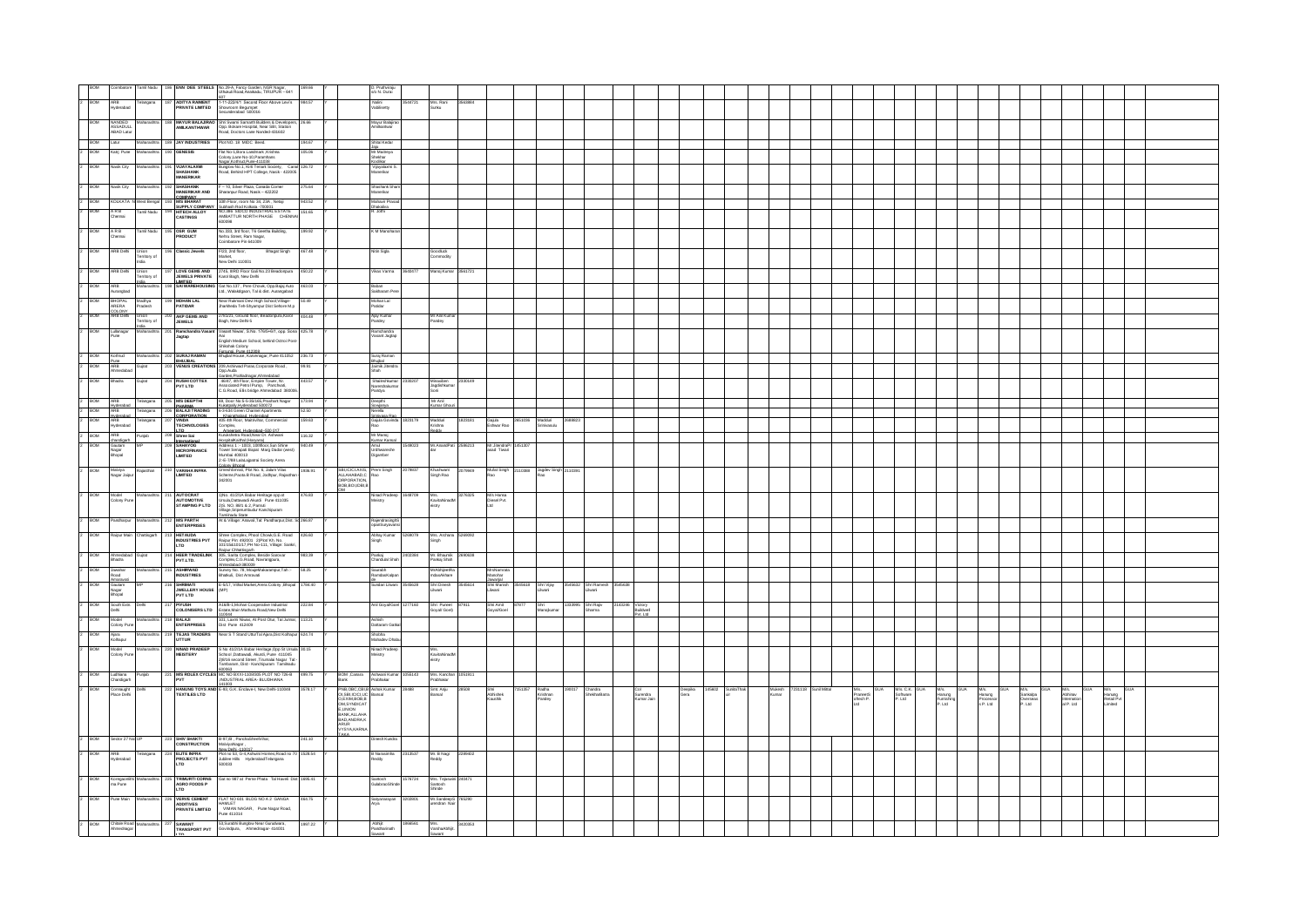| BOM                       |                                                   |                                |                                                                                    | 169.66                                                                                                                                                                                                                                                                                                                                                                                                                                                                  |                                                                          | D. Pruthviraju<br>s/o N. Durai                   |         |                                     |         |                                       |                                |        |                         |       |                                    |                 |                                                              |                               |                                     |                    |                                         |                                        |            |                          |                             |  |
|---------------------------|---------------------------------------------------|--------------------------------|------------------------------------------------------------------------------------|-------------------------------------------------------------------------------------------------------------------------------------------------------------------------------------------------------------------------------------------------------------------------------------------------------------------------------------------------------------------------------------------------------------------------------------------------------------------------|--------------------------------------------------------------------------|--------------------------------------------------|---------|-------------------------------------|---------|---------------------------------------|--------------------------------|--------|-------------------------|-------|------------------------------------|-----------------|--------------------------------------------------------------|-------------------------------|-------------------------------------|--------------------|-----------------------------------------|----------------------------------------|------------|--------------------------|-----------------------------|--|
| 2 BOM                     |                                                   |                                |                                                                                    | 984.57                                                                                                                                                                                                                                                                                                                                                                                                                                                                  |                                                                          |                                                  | 544721  |                                     | 3563884 |                                       |                                |        |                         |       |                                    |                 |                                                              |                               |                                     |                    |                                         |                                        |            |                          |                             |  |
|                           | ARB<br>Hyderabad                                  |                                |                                                                                    | Combatore Tamil Nada   186   <b>ENN DEE STEELS</b>   No.29-A, Fancy Garden, NGR Nagar,<br>ARB   Tdiangana   187   ADITYA RAMENT   UNAAN ROAANIA   TRUPUR - 641<br>  ARB   Tdiangana   187   ADITYA RAMENT   SI-11-2224/1 Second Foot Abov                                                                                                                                                                                                                               |                                                                          | Nalini<br>Vabilisetty                            |         | Mrs. Rani<br>Sunku                  |         |                                       |                                |        |                         |       |                                    |                 |                                                              |                               |                                     |                    |                                         |                                        |            |                          |                             |  |
| <b>BOM</b>                | NANDED                                            |                                |                                                                                    | 188 MAYUR BALAJRAO Shri Swami Samarth Builders & Developers,<br>AMILKANTHWAR Opp. Bokare Hospital, Near SBI, Station<br>Road, Doctors Lane Nanded 431602<br>26.66                                                                                                                                                                                                                                                                                                       |                                                                          | Mayur Balajir<br>Amilkantwar                     |         |                                     |         |                                       |                                |        |                         |       |                                    |                 |                                                              |                               |                                     |                    |                                         |                                        |            |                          |                             |  |
|                           | NANDED<br>ASSADULL<br>ABAD Latur                  |                                |                                                                                    |                                                                                                                                                                                                                                                                                                                                                                                                                                                                         |                                                                          |                                                  |         |                                     |         |                                       |                                |        |                         |       |                                    |                 |                                                              |                               |                                     |                    |                                         |                                        |            |                          |                             |  |
| BOM<br>$2 \overline{ROM}$ | Latur                                             | Maharashtra                    | 189 JAY INDUSTRIES<br>190 GENESIS                                                  | Plot NO. 18 MIDC Beed.<br>194.67<br>Flat No-1, Bora Landmark , Krishna<br>105.06                                                                                                                                                                                                                                                                                                                                                                                        |                                                                          | Shital Kedar                                     |         |                                     |         |                                       |                                |        |                         |       |                                    |                 |                                                              |                               |                                     |                    |                                         |                                        |            |                          |                             |  |
|                           |                                                   | Katrj Pune Maharashtra         |                                                                                    |                                                                                                                                                                                                                                                                                                                                                                                                                                                                         |                                                                          | Jaku<br>Mr Maitreya<br>Shekhar<br>Kodikar        |         |                                     |         |                                       |                                |        |                         |       |                                    |                 |                                                              |                               |                                     |                    |                                         |                                        |            |                          |                             |  |
| 2 BOM                     | Nasik City                                        | Maharashtra                    | VLIAYALAXMI<br><b>SHASHANK</b><br>MANERIKAR                                        | Flat No-1, Bora Landmant, Asarınsı<br>Colony, Lane No-10, Paramhans<br>Nanar, Kothrud Pune-411038<br>Bunglow No.1, Kirti Tenant Society, Canal 126.72<br>Road, Behind HPT College, Nasik - 422005                                                                                                                                                                                                                                                                       |                                                                          | Vijayalaxmi S.<br>Vlanerikar                     |         |                                     |         |                                       |                                |        |                         |       |                                    |                 |                                                              |                               |                                     |                    |                                         |                                        |            |                          |                             |  |
| <b>BOM</b>                | Nasik City                                        | Maharashtra                    | 192 SHASHANK                                                                       | 275.64                                                                                                                                                                                                                                                                                                                                                                                                                                                                  |                                                                          | Shashark Sha                                     |         |                                     |         |                                       |                                |        |                         |       |                                    |                 |                                                              |                               |                                     |                    |                                         |                                        |            |                          |                             |  |
|                           |                                                   |                                |                                                                                    | <b>SHASHANK</b> F - 10, Silver Plaza, Canada Comer<br>MANERIKAR AND Sharanpur Road, Nasik - 422202<br>COMPANY                                                                                                                                                                                                                                                                                                                                                           |                                                                          | Manerikar                                        |         |                                     |         |                                       |                                |        |                         |       |                                    |                 |                                                              |                               |                                     |                    |                                         |                                        |            |                          |                             |  |
|                           |                                                   |                                | 2 BOM KOLKATA N West Bengal 193 MS BHARAT<br>2 BOM ARB Tamil Nadu 194 HITECH ALLOY | 10th Floor, room No 34, 23A, Netaji<br>943.52<br>SUPPLY COMPANY Subhash Rod Koliata -700001<br>194 HITECH ALLOY NO.386 SIDCO INDUSTRIAL<br>151.65                                                                                                                                                                                                                                                                                                                       |                                                                          | Mahavir Prasas<br>hakaliya<br>idtoL.             |         |                                     |         |                                       |                                |        |                         |       |                                    |                 |                                                              |                               |                                     |                    |                                         |                                        |            |                          |                             |  |
|                           | A R B<br>Chennai                                  |                                | <b>CASTINGS</b>                                                                    | NO.386 SIDCO INDUSTRIAL ESTATE<br>AMBATTUR NORTH PHASE CHENNA                                                                                                                                                                                                                                                                                                                                                                                                           |                                                                          |                                                  |         |                                     |         |                                       |                                |        |                         |       |                                    |                 |                                                              |                               |                                     |                    |                                         |                                        |            |                          |                             |  |
| <b>BOM</b>                | ARB<br>Chennai                                    | Tamil Nadu                     | OSR GUM                                                                            | No.333, 3rd floor, T6 Geetha Building,<br>199.92                                                                                                                                                                                                                                                                                                                                                                                                                        |                                                                          | M Manoh                                          |         |                                     |         |                                       |                                |        |                         |       |                                    |                 |                                                              |                               |                                     |                    |                                         |                                        |            |                          |                             |  |
|                           |                                                   |                                | <b>RODUCT</b>                                                                      | Nehru Street, Ram Nagar,<br>Coimbatore Pin 641009                                                                                                                                                                                                                                                                                                                                                                                                                       |                                                                          |                                                  |         |                                     |         |                                       |                                |        |                         |       |                                    |                 |                                                              |                               |                                     |                    |                                         |                                        |            |                          |                             |  |
| BOM                       | ARB Dehi                                          | Union<br>Territory of<br>India | Classic Jewels                                                                     | F/23, 2nd floor,<br>Market,<br>New Delhi 110001<br>Bhagat Singh 467.48                                                                                                                                                                                                                                                                                                                                                                                                  |                                                                          | litin Sigla                                      |         | Goodluck<br>mmodity                 |         |                                       |                                |        |                         |       |                                    |                 |                                                              |                               |                                     |                    |                                         |                                        |            |                          |                             |  |
| <b>BOM</b>                | ARB Dehi                                          |                                |                                                                                    | 450.22                                                                                                                                                                                                                                                                                                                                                                                                                                                                  |                                                                          | ias Varma                                        |         | Aanoj Kumar                         | 3561721 |                                       |                                |        |                         |       |                                    |                 |                                                              |                               |                                     |                    |                                         |                                        |            |                          |                             |  |
|                           |                                                   | Union<br>Territory of<br>ndia  |                                                                                    | <b>LOVE GEMS AND 2745, IIIRD Floor Gall No. 23 Beadorpura</b>                                                                                                                                                                                                                                                                                                                                                                                                           |                                                                          |                                                  |         |                                     |         |                                       |                                |        |                         |       |                                    |                 |                                                              |                               |                                     |                    |                                         |                                        |            |                          |                             |  |
| <b>BOM</b>                | Aurangbad                                         | aharash                        | I MITED.<br>SAI WAREHOUSING                                                        | .<br>Gat No.137, Pere Chowk, Opp.Bajaj Auto                                                                                                                                                                                                                                                                                                                                                                                                                             |                                                                          | iaban<br>iakharam Peri                           |         |                                     |         |                                       |                                |        |                         |       |                                    |                 |                                                              |                               |                                     |                    |                                         |                                        |            |                          |                             |  |
| 2 BOM                     | BHOPAL<br>ARERA                                   | Madhya<br>Pradesh              | MOHAN LAL<br>PATIDAR                                                               | Near Rukmani Devi High School; Village-<br>Jharkheda Teh-Shyampur Dist Sehore M.p                                                                                                                                                                                                                                                                                                                                                                                       |                                                                          | Mohan Lal<br>Patidar                             |         |                                     |         |                                       |                                |        |                         |       |                                    |                 |                                                              |                               |                                     |                    |                                         |                                        |            |                          |                             |  |
| <b>BOM</b>                | ARB Dehi                                          | Union<br>Territory of          | AKP GEMS AND<br>JEWELS                                                             | 2781/21, Ground floor, Beadonpura, Karol<br>Bagh, New Delhi-5<br>404.48                                                                                                                                                                                                                                                                                                                                                                                                 |                                                                          | Ajay Kumar<br>Pandey                             |         | Mr Anil Kumar<br>Pandey             |         |                                       |                                |        |                         |       |                                    |                 |                                                              |                               |                                     |                    |                                         |                                        |            |                          |                             |  |
| <b>BOM</b>                |                                                   |                                |                                                                                    |                                                                                                                                                                                                                                                                                                                                                                                                                                                                         |                                                                          | lamchandra                                       |         |                                     |         |                                       |                                |        |                         |       |                                    |                 |                                                              |                               |                                     |                    |                                         |                                        |            |                          |                             |  |
|                           |                                                   |                                |                                                                                    |                                                                                                                                                                                                                                                                                                                                                                                                                                                                         |                                                                          | asant Jagtap                                     |         |                                     |         |                                       |                                |        |                         |       |                                    |                 |                                                              |                               |                                     |                    |                                         |                                        |            |                          |                             |  |
|                           |                                                   |                                |                                                                                    |                                                                                                                                                                                                                                                                                                                                                                                                                                                                         |                                                                          |                                                  |         |                                     |         |                                       |                                |        |                         |       |                                    |                 |                                                              |                               |                                     |                    |                                         |                                        |            |                          |                             |  |
| $2$ BOM<br>$2$ BOM        |                                                   |                                |                                                                                    | $\begin{tabular}{l c c c c c c c c} \hline \multicolumn{3}{c}{\multicolumn{3}{c}{\multicolumn{3}{c}{\multicolumn{3}{c}{\multicolumn{3}{c}{\multicolumn{3}{c}{\multicolumn{3}{c}{\multicolumn{3}{c}{\multicolumn{3}{c}{\multicolumn{3}{c}{\multicolumn{3}{c}{\multicolumn{3}{c}{\multicolumn{3}{c}{\multicolumn{3}{c}{\multicolumn{3}{c}{\multicolumn{3}{c}{\multicolumn{3}{c}{\multicolumn{3}{c}{\multicolumn{3}{c}{\multicolumn{3}{c}{\multicolumn{3}{c}{\multicolumn$ |                                                                          | Suraj Raman<br>Bhubal<br>Jaimik Jitendra<br>Shah |         |                                     |         |                                       |                                |        |                         |       |                                    |                 |                                                              |                               |                                     |                    |                                         |                                        |            |                          |                             |  |
| <b>BOM</b>                |                                                   | Guirat                         | 204 RUSHI COTTEX                                                                   | 443.57                                                                                                                                                                                                                                                                                                                                                                                                                                                                  |                                                                          | Shaileshkumar                                    |         | Minaxiben 2330149                   |         |                                       |                                |        |                         |       |                                    |                 |                                                              |                               |                                     |                    |                                         |                                        |            |                          |                             |  |
|                           |                                                   |                                | PVT LTD                                                                            | Carden Prahladnagar Ahmedabad<br>46/47, 4th Floor, Empire Tower, Nr.<br>Associated Petrol Pump, Panchvati,<br>C.G.Road, Ellis bridge Ahmedabad 380006.                                                                                                                                                                                                                                                                                                                  |                                                                          | larendrakum<br>andya                             |         | Jagdishkuma<br>Soni                 |         |                                       |                                |        |                         |       |                                    |                 |                                                              |                               |                                     |                    |                                         |                                        |            |                          |                             |  |
| 2 BOM ARB                 |                                                   | Telangana                      | 205 M'S DEEPTHI                                                                    | 69, Door No:5-5-35/165, Prashant Nagar<br>173.94                                                                                                                                                                                                                                                                                                                                                                                                                        |                                                                          | Deepthi<br>Sowianya                              |         | Mr Ani<br>Kumar Gho                 |         |                                       |                                |        |                         |       |                                    |                 |                                                              |                               |                                     |                    |                                         |                                        |            |                          |                             |  |
| $2 - BOM$                 |                                                   | Telangana                      | PHARMA<br>206 BALAJI TRADING                                                       | 52.50                                                                                                                                                                                                                                                                                                                                                                                                                                                                   |                                                                          | Nerela<br>Sriniyasa Rao                          |         |                                     |         |                                       |                                |        |                         |       |                                    |                 |                                                              |                               |                                     |                    |                                         |                                        |            |                          |                             |  |
| $2 - BOM$                 | Hyderabad<br>ARB<br>Hyderabad<br>ARB<br>Hyderabad | Telangana                      | CORPORATION<br>207 VINDA<br>TECHNOLOGIES                                           | 69, Door No-S-5-35165, Prashmar Nagar<br>Kadadaan Mood Soomaal Andrews<br>S-3-454 Green Character Apartments<br>Analysis and Common Apartments<br>Analysis Analysis and Monteveland<br>Analysis and Hudson<br>Monte Analysis and Monteveland<br>Ana<br>159.63                                                                                                                                                                                                           |                                                                          | Gajula Govinda                                   | 823179  | Madduri<br>Krishna                  | 1823181 | Gajula<br>Eshwar Rao                  | 2651036 Madduri<br>Srinivasulu | 268882 |                         |       |                                    |                 |                                                              |                               |                                     |                    |                                         |                                        |            |                          |                             |  |
| 2 BOM                     | ARB<br>chardioarh<br>Gautam<br>Nagar<br>Bhopal    | Punjab                         | 1TD<br>208 Shree Sai                                                               | 116.32                                                                                                                                                                                                                                                                                                                                                                                                                                                                  |                                                                          | Mr Manoj                                         |         |                                     |         |                                       |                                |        |                         |       |                                    |                 |                                                              |                               |                                     |                    |                                         |                                        |            |                          |                             |  |
| 2 BOM                     |                                                   | MP                             | International<br>209 SAHAYOG<br>MCROFINANCE<br>LIMITED                             | 940.49                                                                                                                                                                                                                                                                                                                                                                                                                                                                  |                                                                          | Kumar Karsal<br>Amul<br>Urdhwareshe<br>Digamber  | 549023  | Mr.AnandPati 2586213                |         | Mr.JitendraPr<br>asad Tiwari<br>45130 |                                |        |                         |       |                                    |                 |                                                              |                               |                                     |                    |                                         |                                        |            |                          |                             |  |
|                           |                                                   |                                |                                                                                    | 2:-E-7/88 LalaLajpatral Society Arera                                                                                                                                                                                                                                                                                                                                                                                                                                   |                                                                          |                                                  |         |                                     |         |                                       |                                |        |                         |       |                                    |                 |                                                              |                               |                                     |                    |                                         |                                        |            |                          |                             |  |
| 2 BOM                     | Malviya<br>Nagar Jaipur                           |                                | 210 VARAHA INFRA                                                                   | 2.16-7766 Casacapamar Society Arena<br>Colony Bhooal<br>UmeshSmrati, Plot No. 6, Jalam Vilas<br>Scherne, Paota B Road, Jodhpur, Rajasthan -<br>342001<br>1936.91                                                                                                                                                                                                                                                                                                        | SBI,ICICIAXIS,<br>ALLAHABAD,C<br>ORPORATION,<br>BOB,BOI,IDBI,B           | Prem Singh                                       | 2079837 | Khushwant<br>Singh Rao              | 2079949 | Mufat Singh                           | 110388 Jagdev Singh 2110391    |        |                         |       |                                    |                 |                                                              |                               |                                     |                    |                                         |                                        |            |                          |                             |  |
|                           |                                                   |                                |                                                                                    |                                                                                                                                                                                                                                                                                                                                                                                                                                                                         |                                                                          |                                                  |         |                                     |         |                                       |                                |        |                         |       |                                    |                 |                                                              |                               |                                     |                    |                                         |                                        |            |                          |                             |  |
| 2 BOM                     | Model<br>Colony Pune                              | Maharashtra                    | 211 AUTOCRAT<br><b>AUTOMOTIVE</b>                                                  | 1) No. 41/2/1A Babar Heritage opp.st<br>Ursula Dattawadi Akurdi Pune 411035<br>2) S. NO. 88/1 & 2, Panruti<br>476.83                                                                                                                                                                                                                                                                                                                                                    |                                                                          | Ninad Pradeep 1648709<br>Meistry                 |         | Mrs.<br>KavitaNinadM                | 3276325 | M/s Hansa<br>Diesel Pvt.              |                                |        |                         |       |                                    |                 |                                                              |                               |                                     |                    |                                         |                                        |            |                          |                             |  |
|                           |                                                   |                                | STAMPING PLTD                                                                      | Village, Sriperumbudur Kanchipuram                                                                                                                                                                                                                                                                                                                                                                                                                                      |                                                                          |                                                  |         |                                     |         |                                       |                                |        |                         |       |                                    |                 |                                                              |                               |                                     |                    |                                         |                                        |            |                          |                             |  |
| <b>BOM</b>                | Pandharpur                                        | Maharashtr                     | 212 MS PARTH<br><b>ENTERPRISES</b>                                                 | Tamihadu State<br>At & Village: Anavali, Tal: Pandharpur, Dist. So 266.87                                                                                                                                                                                                                                                                                                                                                                                               |                                                                          | RaiendrasinghS<br>panSurvayan                    |         |                                     |         |                                       |                                |        |                         |       |                                    |                 |                                                              |                               |                                     |                    |                                         |                                        |            |                          |                             |  |
| <b>BOM</b>                |                                                   | Raipur Main Chatisgarh         | 213 HETAUDA<br>INDUSTRIES PVT                                                      | Shree Complex, Phool Chowk, G.E. Road<br>Raipur Pin: 492001 2) Plot/ Kh. No.<br>426.60                                                                                                                                                                                                                                                                                                                                                                                  |                                                                          | Abhay Kumar<br>Singh                             | 5269079 | Mrs. Archana 5269092<br>Singh       |         |                                       |                                |        |                         |       |                                    |                 |                                                              |                               |                                     |                    |                                         |                                        |            |                          |                             |  |
|                           |                                                   |                                | $\mathsf{I}$                                                                       | 101/15&101/17.PH No-111, Village: Sankti,                                                                                                                                                                                                                                                                                                                                                                                                                               |                                                                          |                                                  |         |                                     |         |                                       |                                |        |                         |       |                                    |                 |                                                              |                               |                                     |                    |                                         |                                        |            |                          |                             |  |
| BOM                       |                                                   | Ahmedabad Gujrat<br>Bhadra     | <b>HEER TRADELINK</b><br>PVT.LTD.                                                  | Rainer Chhattisman, Magic Chaire Chhattisman,<br>305, Sarita Complex, Beside Sarovar<br>Complex, C.G. Road, Navrangpura,<br>983.39                                                                                                                                                                                                                                                                                                                                      |                                                                          | <sup>5</sup> ankaj<br>Chandulal Shah             | 2402384 | Mr. Bhaumik<br>Pankaj Shah          | 90638   |                                       |                                |        |                         |       |                                    |                 |                                                              |                               |                                     |                    |                                         |                                        |            |                          |                             |  |
| <b>BOM</b>                | Jawahar<br>Road                                   | aharas?                        | ASHIRWAD<br>INDUSTRIES                                                             | Umedabad-380009<br>Survey No. 78, MoujeMakarampur,Tah ><br>Bhatkuli, Dist Amravati<br>58.25                                                                                                                                                                                                                                                                                                                                                                             |                                                                          | Saurabh<br>RamdasKalpar                          |         | MrAbhijeetRa<br>mdasAkhare          |         | Aanohar                               |                                |        |                         |       |                                    |                 |                                                              |                               |                                     |                    |                                         |                                        |            |                          |                             |  |
| BOM                       | Amarayati<br>Gautam                               |                                |                                                                                    |                                                                                                                                                                                                                                                                                                                                                                                                                                                                         |                                                                          | .<br>Indari Lilwar                               |         | Shri Dinesh                         |         | Jawanial<br>Shri Manish               | Shri Vijay<br>Lilwani          | 45632  | Shri Rames              |       |                                    |                 |                                                              |                               |                                     |                    |                                         |                                        |            |                          |                             |  |
|                           | Nagar<br>Bhopal                                   |                                |                                                                                    | SHRIMATI<br>JWELLERY HOUSE (MP)<br>PVT LTD<br>PVT LTD                                                                                                                                                                                                                                                                                                                                                                                                                   |                                                                          |                                                  |         | ilwani                              |         | lnavl                                 |                                |        | kani                    |       |                                    |                 |                                                              |                               |                                     |                    |                                         |                                        |            |                          |                             |  |
| <b>BOM</b>                | South Extn.<br>Delhi                              |                                |                                                                                    | PWUSH AT6B-1 McNan Cooperative Industrial 222.84<br>COLONISERS LTD Extent Mah Mathura Road New Delhi<br>BALAJI 1971 Mah Mathura Road New Delhi<br>ENTER PRISES 10tl Pune 412409                                                                                                                                                                                                                                                                                         |                                                                          | il Goyal Go                                      |         | Shri Puneet<br>Goyal/ Goel)         | 87911   | Shri Amit<br>Goyal/Goel               | Shri<br>Manojkumar             | 133995 | Shri Rajiv<br>Sharma    | 13246 | 'ictory<br> ulidwell<br> ut: 1 srl |                 |                                                              |                               |                                     |                    |                                         |                                        |            |                          |                             |  |
|                           | Model<br>Colony Pune                              |                                |                                                                                    |                                                                                                                                                                                                                                                                                                                                                                                                                                                                         |                                                                          | ihish<br>attaram Gat <mark>k</mark>              |         |                                     |         |                                       |                                |        |                         |       |                                    |                 |                                                              |                               |                                     |                    |                                         |                                        |            |                          |                             |  |
| <b>BOM</b>                | Ajara<br>Kolhapur                                 |                                |                                                                                    | TEJAS TRADERS Near S T Stand UtturTal Ajara, Dist Kohapur - 624.74<br>UTTUR                                                                                                                                                                                                                                                                                                                                                                                             |                                                                          | Shobha<br>Mahadev Dhab                           |         |                                     |         |                                       |                                |        |                         |       |                                    |                 |                                                              |                               |                                     |                    |                                         |                                        |            |                          |                             |  |
| BOM                       | Model                                             |                                |                                                                                    |                                                                                                                                                                                                                                                                                                                                                                                                                                                                         |                                                                          | <b>Virgid Pradeen</b>                            |         |                                     |         |                                       |                                |        |                         |       |                                    |                 |                                                              |                               |                                     |                    |                                         |                                        |            |                          |                             |  |
|                           | Colony Pune                                       |                                | NINAD PRADEEP<br>MEISTERY                                                          | S No 41/2/1A Babar Heitlage,Opp St Ursula 30.15<br>School ,Daltawad, Akurd, Pune 411045<br>28/16 second Street, Tirumalai Nagar Tat:<br>Tambaram, Dist: Kanchipuram Tamihadu                                                                                                                                                                                                                                                                                            |                                                                          | eistry                                           |         | Mrs.<br>KavitaNinai<br>eistry       |         |                                       |                                |        |                         |       |                                    |                 |                                                              |                               |                                     |                    |                                         |                                        |            |                          |                             |  |
| <b>BOM</b>                |                                                   |                                |                                                                                    | MS ROLEX CYCLES MC NODES NATIONAL AREA THE PROPERTY OF PUT AND RELEASED PUT AND UNIT ALL AREA DISTRICT NO THE PUT AND RELEASED AND LOCAL AREA DISTRICT NO THE PUT AND RELEASED AND LOCAL AREA DISTRICT OF A STATE OF A STATE O<br>499.75                                                                                                                                                                                                                                |                                                                          |                                                  |         |                                     |         |                                       |                                |        |                         |       |                                    |                 |                                                              |                               |                                     |                    |                                         |                                        |            |                          |                             |  |
|                           | Ludhiana<br>Chandigarh                            |                                |                                                                                    | PVT MUSTRIAL AREA- BLUDHIANA<br>141003<br>222 HANUNG TOYS AND E-93, G.K. Enclaved, New Dehi-110048                                                                                                                                                                                                                                                                                                                                                                      | BOM ,Carara<br>Bank                                                      | Ashwani Kumar 1055143<br>Prabhakar               |         | Mrs. Kanchan 105191<br>Prabhakar    |         |                                       |                                |        |                         |       |                                    |                 |                                                              |                               |                                     |                    |                                         |                                        |            |                          |                             |  |
| ROM                       | Connaught Di                                      |                                | <b>TEXTILES LTD</b>                                                                | 3578.17                                                                                                                                                                                                                                                                                                                                                                                                                                                                 | PNB, OBC, CBI, BAshok Kumar<br>OI, SBI, ICICI, UC Bansal<br>O.EXIM.BOB.B |                                                  | 28488   | Smt. Anju<br>Bansal                 |         | Shri<br>Abhishek<br>Kaushik<br>51357  | Radha<br>Krishnan<br>Pandey    | 90017  | Chandra<br>ShekharBatra |       | Surendra<br>umar Jair              | Deepika<br>Gera | 145602 SunitaThak<br>Mukash<br>Kumar<br>7231118 Sunil Mittal | M/s.<br>PraneetS<br>oftech P. | M/s. C.K. GUA<br>Software<br>P. Ltd | M/s.<br>Hanung     | M/s.<br>Hanung<br>Processor<br>s P. Ltd | M/s.<br>Sankalpa<br>Overseas<br>P. Ltd | <b>GUA</b> | M/s.<br>Abhinav          | M/s<br>Hanung<br>Retail Pvt |  |
|                           |                                                   |                                |                                                                                    |                                                                                                                                                                                                                                                                                                                                                                                                                                                                         | OM, SYNDICAT<br>E, UNION                                                 |                                                  |         |                                     |         |                                       |                                |        |                         |       |                                    |                 |                                                              |                               |                                     | Fumishin<br>P. Ltd |                                         |                                        |            | Internation<br>al P. Ltd | Limited                     |  |
|                           |                                                   |                                |                                                                                    |                                                                                                                                                                                                                                                                                                                                                                                                                                                                         | BANK, ALLAHA<br>BAD, ANDRA, K<br>ARUR                                    |                                                  |         |                                     |         |                                       |                                |        |                         |       |                                    |                 |                                                              |                               |                                     |                    |                                         |                                        |            |                          |                             |  |
|                           |                                                   |                                |                                                                                    |                                                                                                                                                                                                                                                                                                                                                                                                                                                                         | <b>VYSYA.KARN</b>                                                        |                                                  |         |                                     |         |                                       |                                |        |                         |       |                                    |                 |                                                              |                               |                                     |                    |                                         |                                        |            |                          |                             |  |
| 2 BOM                     | Sector 27 No UP                                   |                                | <b>223</b> SHIV SHAKTI<br>CONSTRUCTION                                             | B-97, B, PanchaSheeVihar, 241.10<br>Malvingalar, 2001<br>Photo 53, 0-4, 44007<br>Photo 53, 0-4, 440007<br>Malvine Hils HyderabadTelangana<br>300033<br>S00033                                                                                                                                                                                                                                                                                                           |                                                                          | linesh Kundr                                     |         |                                     |         |                                       |                                |        |                         |       |                                    |                 |                                                              |                               |                                     |                    |                                         |                                        |            |                          |                             |  |
| BOM                       | ARB<br>Hyderabad                                  |                                | 224 ELITE INFRA<br>PROJECTS PVT                                                    |                                                                                                                                                                                                                                                                                                                                                                                                                                                                         |                                                                          | B Narasimha<br>Reddy                             | 231353  | Mr. B Nagi<br>Reddy                 |         |                                       |                                |        |                         |       |                                    |                 |                                                              |                               |                                     |                    |                                         |                                        |            |                          |                             |  |
|                           |                                                   |                                | <b>LTD</b>                                                                         |                                                                                                                                                                                                                                                                                                                                                                                                                                                                         |                                                                          |                                                  |         |                                     |         |                                       |                                |        |                         |       |                                    |                 |                                                              |                               |                                     |                    |                                         |                                        |            |                          |                             |  |
| 2 BOM                     | KoregaonB<br>ma Pune                              |                                | TRIMURTICORNS<br>AGRO FOODS P<br>LTD                                               | Gat no 987 at Perre Phata Tal Haveli Dist 1695.41                                                                                                                                                                                                                                                                                                                                                                                                                       |                                                                          | Santosh<br>GulabraoShi                           | 1576724 | Mrs. Tejaswini<br>Santosh<br>Shinde |         |                                       |                                |        |                         |       |                                    |                 |                                                              |                               |                                     |                    |                                         |                                        |            |                          |                             |  |
|                           |                                                   |                                |                                                                                    |                                                                                                                                                                                                                                                                                                                                                                                                                                                                         |                                                                          |                                                  |         |                                     |         |                                       |                                |        |                         |       |                                    |                 |                                                              |                               |                                     |                    |                                         |                                        |            |                          |                             |  |
| 2 BOM                     | Pune Main                                         |                                | 226 VERVE CEMENT                                                                   | VERVE CEMENT FLAT NO 601 BLDG NO A 2 GANGA 464.75<br>ADDITIVES HAMLET VIMAN NAGAR, Pune Nagar Road,<br>PRIVATE LIMITED Pune 411014                                                                                                                                                                                                                                                                                                                                      |                                                                          | Satyanaraya                                      | 3202801 | Mr.SandeepS                         |         |                                       |                                |        |                         |       |                                    |                 |                                                              |                               |                                     |                    |                                         |                                        |            |                          |                             |  |
|                           |                                                   |                                |                                                                                    |                                                                                                                                                                                                                                                                                                                                                                                                                                                                         |                                                                          |                                                  |         |                                     |         |                                       |                                |        |                         |       |                                    |                 |                                                              |                               |                                     |                    |                                         |                                        |            |                          |                             |  |
| 2 BOW                     | Chitale Road<br>Ahmednagar                        |                                |                                                                                    | <b>SAWANT</b><br><b>ERANSPORT PVT</b> Govindpura, Ahmedragar-414001<br><b>ITD</b><br>1997.22                                                                                                                                                                                                                                                                                                                                                                            |                                                                          | Abhijit<br>Pandharinath<br>Savant                |         | Mrs.<br>VarshaAbhijt<br>Sawart      |         |                                       |                                |        |                         |       |                                    |                 |                                                              |                               |                                     |                    |                                         |                                        |            |                          |                             |  |
|                           |                                                   |                                | and the control of the                                                             | the control of the control of the                                                                                                                                                                                                                                                                                                                                                                                                                                       |                                                                          |                                                  |         |                                     |         |                                       |                                |        |                         |       |                                    |                 |                                                              |                               |                                     |                    |                                         |                                        |            |                          |                             |  |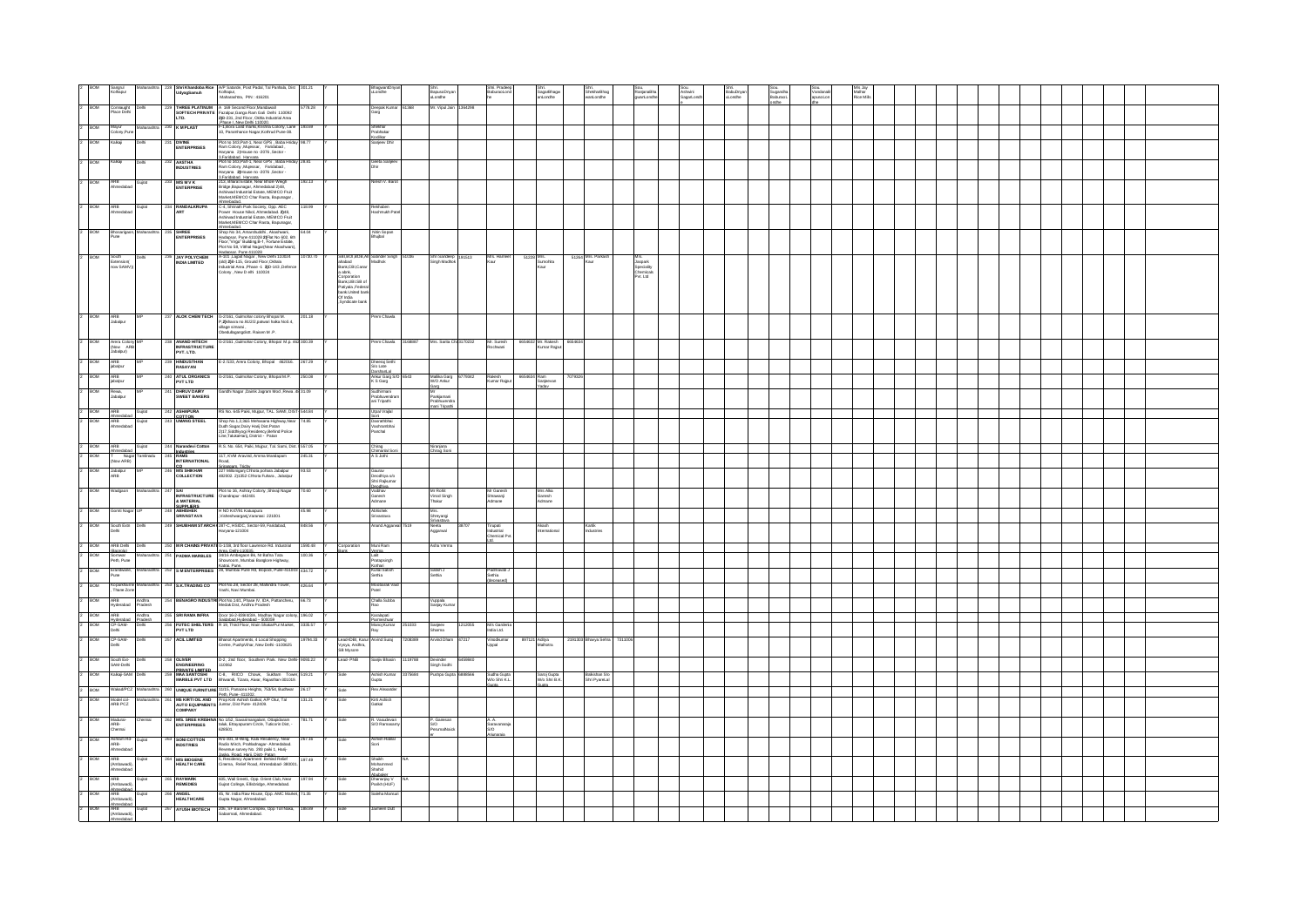|                | Sangrul<br>Kolhapur                                 |                                                                                                                                                                                                                                                                               | 328 Shri Khandoba Rice AIP Satarde, Post Padal, Tal Panhala, Dist 301.21<br>UdyogSamuh Kohapur, Naharashtra, PIN: 416201                                                                                                                                                                                                                                                                                |          |                                                                                                                                                           | arbno.                                                  | BapusoDnya<br>uLondhe                                    | BaburaoLor                             | SagarBhagv<br>anLondhe            | ShekharBha<br>wanLondhe        | anjanaBha<br>ianLondh              | Ashwini<br>SagarLondh | BabuDnya<br>uLondhe |  | Mahar<br>Rice Mils |  |  |  |  |  |  |
|----------------|-----------------------------------------------------|-------------------------------------------------------------------------------------------------------------------------------------------------------------------------------------------------------------------------------------------------------------------------------|---------------------------------------------------------------------------------------------------------------------------------------------------------------------------------------------------------------------------------------------------------------------------------------------------------------------------------------------------------------------------------------------------------|----------|-----------------------------------------------------------------------------------------------------------------------------------------------------------|---------------------------------------------------------|----------------------------------------------------------|----------------------------------------|-----------------------------------|--------------------------------|------------------------------------|-----------------------|---------------------|--|--------------------|--|--|--|--|--|--|
|                | BOM<br>Place Delhi                                  | naught                                                                                                                                                                                                                                                                        | THREE PLATINUM A 169 Second Floor, Mandawal<br>THREE PLATINUM A Tele Second Hoor, Mandawall<br>SOFTECH PRIVATE Fazalpur, Ganga Ram Gali Delhi 110092<br>LTD. 298-231, 2nd Floor, Okhia Industrial Area                                                                                                                                                                                                  | 5778.28  |                                                                                                                                                           | ) eepak Kuma<br>arg                                     | Mr. Vipul Jain 1364298                                   |                                        |                                   |                                |                                    |                       |                     |  |                    |  |  |  |  |  |  |
| <sub>2</sub>   | BOM                                                 | 230 KMPLAST                                                                                                                                                                                                                                                                   | Phase L New Delli 110020                                                                                                                                                                                                                                                                                                                                                                                | 193.69   |                                                                                                                                                           |                                                         |                                                          |                                        |                                   |                                |                                    |                       |                     |  |                    |  |  |  |  |  |  |
|                | Mayur<br>Colony, Pune<br>BOM<br>alkal               | <b>DIVINE<br/>ENTERPRISES</b>                                                                                                                                                                                                                                                 | F-1,Bora Land marks,Krishna Colony, Lane<br>10, Paramhance Nagar,Kothrud Pune-38.<br>Plot no 343, Part-1, Near GPS, Baba Hrida                                                                                                                                                                                                                                                                          |          |                                                                                                                                                           | Shekhar<br>Prabhakar<br>Codilkar<br>Sanjeev Dhir        |                                                          |                                        |                                   |                                |                                    |                       |                     |  |                    |  |  |  |  |  |  |
|                |                                                     |                                                                                                                                                                                                                                                                               | Ram Colony Mujessar, Faridabad,<br>Haryana 2) House no 2076 , Sector -<br>3.Faridabad, Harvana<br>Plot no 343,Part-1, Near GPS , Baba Hrida                                                                                                                                                                                                                                                             |          |                                                                                                                                                           |                                                         |                                                          |                                        |                                   |                                |                                    |                       |                     |  |                    |  |  |  |  |  |  |
| I2             | BOM<br>alkali                                       | 232 AASTHA<br>INDUSTRIES                                                                                                                                                                                                                                                      | Ram Colony Mujessar, Faridabad,<br>Haryana 2) House no -2076 , Sector -                                                                                                                                                                                                                                                                                                                                 | 28.81    |                                                                                                                                                           | Geeta Sanjee                                            |                                                          |                                        |                                   |                                |                                    |                       |                     |  |                    |  |  |  |  |  |  |
| 2              | <b>BOM</b><br>ARB<br>Ahmedabad                      | 233 M/S M V K<br>ENTERPRISE<br>Guirat                                                                                                                                                                                                                                         | 1 - Alexandr Harvana<br>213, Bharat Estate, Near Bhole Weigh<br>Bridge, Bapunagar, Ahmedabad 2)48,                                                                                                                                                                                                                                                                                                      | 192.13   |                                                                                                                                                           | Vilesh V. Baro                                          |                                                          |                                        |                                   |                                |                                    |                       |                     |  |                    |  |  |  |  |  |  |
|                |                                                     |                                                                                                                                                                                                                                                                               | Ashirwad Industrial Estate, MEMCO Fruit<br>Market, MEMCO Char Rasta, Bapunagar<br>mebadad                                                                                                                                                                                                                                                                                                               |          |                                                                                                                                                           |                                                         |                                                          |                                        |                                   |                                |                                    |                       |                     |  |                    |  |  |  |  |  |  |
| $\overline{2}$ | <b>BOM</b><br>ARB<br>Ahmedabad                      | Guirat<br>234 RANDALKRUPA<br><b>ART</b>                                                                                                                                                                                                                                       | PC-4, Shrinath Park Society, Opp. AEC<br>Power House Nikol, Ahmedabad, 2148,<br>Ashirwad Industrial Estate, MEMCO Fruit<br>Market, MEMCO Char Rasta, Bapunagar,                                                                                                                                                                                                                                         | 118.99   |                                                                                                                                                           | Rekhaben<br>Hashmukh Pati                               |                                                          |                                        |                                   |                                |                                    |                       |                     |  |                    |  |  |  |  |  |  |
| 2 BOM          |                                                     | Bhosarigaon, Maharashtra 235 SHREE<br>Pune ENTERPRISES                                                                                                                                                                                                                        | Americans (Americans III), Akashwani, Hadapan, Punca (Hadapan, Punca (Hadapan, Punca III), Romani, Punca III, Romani, Punca III, Romani, Punca III, Romani, Punca III, Romani, Punca III, Romani, Punca III, Romani, Punca II                                                                                                                                                                           | 64.04    |                                                                                                                                                           | Nitin Sopan<br>Bhujbal                                  |                                                          |                                        |                                   |                                |                                    |                       |                     |  |                    |  |  |  |  |  |  |
|                | <b>BOM</b>                                          | <b>236 JAY POLYCHEM</b><br>INDIA LIMITED<br>net                                                                                                                                                                                                                               |                                                                                                                                                                                                                                                                                                                                                                                                         | 10730.70 |                                                                                                                                                           | SBI, BOI, BOB, All Satinder Singh                       | Shri Sandeep 191513<br>51036                             | Mrs. Hame<br>Kaur                      | 51228 Mrs.<br>Sumohita            | 51264 Mrs. Parka               |                                    |                       |                     |  |                    |  |  |  |  |  |  |
|                | South<br>Extension(<br>now SAMV))                   |                                                                                                                                                                                                                                                                               |                                                                                                                                                                                                                                                                                                                                                                                                         |          |                                                                                                                                                           | Madhok                                                  | Singh Madhok                                             |                                        |                                   |                                | Specialty<br>Chemicals<br>Pvt. Ltd |                       |                     |  |                    |  |  |  |  |  |  |
|                |                                                     |                                                                                                                                                                                                                                                                               |                                                                                                                                                                                                                                                                                                                                                                                                         |          |                                                                                                                                                           |                                                         |                                                          |                                        |                                   |                                |                                    |                       |                     |  |                    |  |  |  |  |  |  |
|                |                                                     |                                                                                                                                                                                                                                                                               |                                                                                                                                                                                                                                                                                                                                                                                                         |          | SBI,BOI,BOB,All<br>ahabad<br>ank,CBI,Canar<br>a abrk,<br>Corporation<br>Bark,UBI.SB of<br>Brk,UBI,SB of<br>bark.United bark<br>Of India<br>Syndicate bark |                                                         |                                                          |                                        |                                   |                                |                                    |                       |                     |  |                    |  |  |  |  |  |  |
|                | BOW<br>ARB<br>Jabalpur                              | 237 ALOK CHEM TECH                                                                                                                                                                                                                                                            |                                                                                                                                                                                                                                                                                                                                                                                                         |          |                                                                                                                                                           | n Chaw                                                  |                                                          |                                        |                                   |                                |                                    |                       |                     |  |                    |  |  |  |  |  |  |
|                |                                                     |                                                                                                                                                                                                                                                                               | G-2/161, Gulmohar colony Bhopal M.<br>P,2)khasra no.91/2/2,patwari halka No0.4,<br>village simarai ,<br>Obedullagangdisti: Raisen M .P.                                                                                                                                                                                                                                                                 |          |                                                                                                                                                           |                                                         |                                                          |                                        |                                   |                                |                                    |                       |                     |  |                    |  |  |  |  |  |  |
| $\overline{2}$ | BOM<br>Arera Colony<br>(Now ARB<br>Jabalpur)        | <b>ANAND HITECH<br/>INFRASTRUCTURE</b><br>PVT. LTD.                                                                                                                                                                                                                           | G-2/161 ,Gulmohar Colony, Bhopal M.p. 462 300.39                                                                                                                                                                                                                                                                                                                                                        |          |                                                                                                                                                           | rem Chawla                                              | 168887<br>Mrs. Santa Chi 3170232                         | Mr. Suresh<br>Rochwani                 | 6654632 Mr. Rakesh 665463         |                                |                                    |                       |                     |  |                    |  |  |  |  |  |  |
|                | BOM<br>ARB<br>jabalpur                              | HINDUSTHAN<br>RASAYAN                                                                                                                                                                                                                                                         | E-2/133, Arera Colony, Bhopal 462016. 267.29                                                                                                                                                                                                                                                                                                                                                            |          |                                                                                                                                                           | Dheeraj Seth<br>S/o Late<br>DarshanLal                  |                                                          |                                        |                                   |                                |                                    |                       |                     |  |                    |  |  |  |  |  |  |
| E              | ARB<br>jabalpur<br><b>BOW</b>                       | ATUL ORGANICS<br>PVT LTD                                                                                                                                                                                                                                                      | 3-2/161, Gulmohar Colony, Bhopal M.P.                                                                                                                                                                                                                                                                                                                                                                   | 250.08   |                                                                                                                                                           | Ankur Garg S/C<br>K S Garg                              | Malika Garg<br>W/O Ankur<br>79342                        | Rakesh<br>Kumar Rajput                 | 6654634 Ram<br>Sanjeevan<br>Yaday |                                |                                    |                       |                     |  |                    |  |  |  |  |  |  |
|                | BOM<br>Rewa,<br>Jabaipur                            | <b>DHRUV DAIRY<br/>SWEET BAKERS</b>                                                                                                                                                                                                                                           | Gandhi Nagar ,Dainik Jagram Mod ,Rewa .4831.09                                                                                                                                                                                                                                                                                                                                                          |          |                                                                                                                                                           | Sudhirmani<br><sup>s</sup> rabhuvendrai<br>ini Tripathi | Mr<br>Parikjamani                                        |                                        |                                   |                                |                                    |                       |                     |  |                    |  |  |  |  |  |  |
|                | BOW                                                 | 242 ASHAPURA<br>COTTON<br>243 UMANG STEEL<br>Gujrat                                                                                                                                                                                                                           | RS No. 645 Paiki, Mujpur, TAL. SAMI, DIST-544.84                                                                                                                                                                                                                                                                                                                                                        |          |                                                                                                                                                           | Jtpal Vrajlal                                           | <sup>3</sup> rabhuvendra<br>nani Trinathi                |                                        |                                   |                                |                                    |                       |                     |  |                    |  |  |  |  |  |  |
| $\overline{z}$ | BOM                                                 | Ahmedahari<br>ARB Gujrat<br>Ahmedabad                                                                                                                                                                                                                                         | 18<br>Shop No.1,2,3&5 Mehasana Highway, Near<br>Duch Sagar, Dairy Harij Dist, Palan<br>2)17,Siddhiyogi Residency, Behind Police<br>Line,TakkaHarij, District - Patan                                                                                                                                                                                                                                    | 4.85     |                                                                                                                                                           | Soni<br>Dasrathbhai<br>Vashrambhai<br>Panchal           |                                                          |                                        |                                   |                                |                                    |                       |                     |  |                    |  |  |  |  |  |  |
|                | $2$ BOM<br>ARB<br>Ahmedabad                         | Guirat                                                                                                                                                                                                                                                                        | R.S. No. 654, Palki, Mujpur, Tal. Sami, Dist. 1557.05                                                                                                                                                                                                                                                                                                                                                   |          |                                                                                                                                                           |                                                         | Niranjana<br>Chirag Soni                                 |                                        |                                   |                                |                                    |                       |                     |  |                    |  |  |  |  |  |  |
| 1z             | BOM                                                 | T Nagar Tamihadu<br> Now ARB)                                                                                                                                                                                                                                                 | 117, KVM Aravind, Amma Mandapam<br>Road,                                                                                                                                                                                                                                                                                                                                                                | 245.31   |                                                                                                                                                           | Chirag<br>Chimanial Soni<br>A S Jothi                   |                                                          |                                        |                                   |                                |                                    |                       |                     |  |                    |  |  |  |  |  |  |
|                | Jabalpur<br>ARB<br>BOM                              | $\begin{tabular}{c c} 244 & \textbf{Narandevi Cottom} \\ \hline \textbf{Induction} \\ \hline \textbf{245} & \textbf{RAMS} \\ \hline \textbf{NTERNATIONAL} \\ \hline \textbf{100} \\ \hline \textbf{246} & \textbf{MS SHIKHAR} \\ \hline \textbf{COLLECTION} \\ \end{tabular}$ | nuwu,<br>Srimnoam, Trichy<br>227 Milloniganj Chhota pohara Jabalpur<br>482002. 2)1352 Chhota Fuhara , Jabalpur                                                                                                                                                                                                                                                                                          |          |                                                                                                                                                           | Gaurav<br>Deodhiya s/o<br>Shri Rajkumar                 |                                                          |                                        |                                   |                                |                                    |                       |                     |  |                    |  |  |  |  |  |  |
| 2              | <b>BOM</b><br>Wadgaon                               |                                                                                                                                                                                                                                                                               | 7 SAI Pict no 16, Ashray Colony , Shivaji Nagar 70.60<br>INFRASTRUCTURE Chandrapur -442401<br>& MATERIAL                                                                                                                                                                                                                                                                                                |          |                                                                                                                                                           | Deodhiva<br>Vaibhav<br>Ganesh<br>Admane                 | Mr Rohit<br>Vinod Singh<br>Thakur                        | Mr Ganesh<br>Shrawanji<br>Admane       | Mrs Alka<br>Ganesh<br>Admane      |                                |                                    |                       |                     |  |                    |  |  |  |  |  |  |
|                | <b>BOM</b>                                          | 248 ABHISHEK<br>248 ABHISHEK<br>SRIVASTAVA<br>iomti Nagar                                                                                                                                                                                                                     | H NO K47/91 Katuapura<br>,Visheshwarganj,Varanasi 221001                                                                                                                                                                                                                                                                                                                                                | 45.98    |                                                                                                                                                           | Abhishek<br>Srivastava                                  | Mrs.<br>Shreyangi                                        |                                        |                                   |                                |                                    |                       |                     |  |                    |  |  |  |  |  |  |
| I2             | BOM                                                 | South Extr Delhi<br>Delhi                                                                                                                                                                                                                                                     | 249 SHUBHAM STARCH (287-C, HSIDC, Sector-59, Faridabad,<br>Haryana-121004                                                                                                                                                                                                                                                                                                                               | 848.56   |                                                                                                                                                           | <b>Anand Aggarwal</b>                                   | 7519<br>Neeta<br>Aggarwal<br>38707                       | Tirupati<br>Industrial<br>Chemical Pvt | Akash<br>International            | Kartik<br>Industries           |                                    |                       |                     |  |                    |  |  |  |  |  |  |
|                | $\frac{2}{2}$ BOM                                   | ARB Dehi Dehi                                                                                                                                                                                                                                                                 |                                                                                                                                                                                                                                                                                                                                                                                                         |          | Corporation<br>Bank                                                                                                                                       | Muni Ram<br>Verma                                       | Asha Verma                                               |                                        |                                   |                                |                                    |                       |                     |  |                    |  |  |  |  |  |  |
|                | Bancola)<br>Somwar<br>Peth, Pune                    | Maharashtra                                                                                                                                                                                                                                                                   | 250 <b>IM R CHAINS PRIVATE</b> G-1/38, 3rd floor Lawrence Rd. Industrial 1590.48 Y<br>251 <b>PADMA MARBLES</b> 34/16 Ambegaon Bk, Nr Bafre Tata 1261<br>39/16 Minibal Barglore Highway, 100.36 Y<br>Showston, Mumbai Barglore Highway, 100.36 Y                                                                                                                                                         |          |                                                                                                                                                           | Lalit<br>Pratapsingh                                    |                                                          |                                        |                                   |                                |                                    |                       |                     |  |                    |  |  |  |  |  |  |
| 2 BOM          | Erandwane,<br>Pune                                  |                                                                                                                                                                                                                                                                               | Katrai, Pune, Napa, Bonda Pune, 252 S. M. ENTERPRISES 28, Mumbai Pune Rd, Bopodi, Pune-411003 434.72                                                                                                                                                                                                                                                                                                    |          |                                                                                                                                                           | Kothari<br>Kunal Satish<br>Sethia                       | Satish J<br>Settia                                       | Padmavati<br>Setha                     |                                   |                                |                                    |                       |                     |  |                    |  |  |  |  |  |  |
| $\overline{z}$ | <b>BOM</b>                                          | Kocarkhairre Maharashtra<br>Thane Zone                                                                                                                                                                                                                                        | 253 S.K.TRADING CO Plot No.28, Sector 28, Mahindra Tower,                                                                                                                                                                                                                                                                                                                                               | 426.64   |                                                                                                                                                           | Moobarak Va<br>late <sup>c</sup>                        |                                                          |                                        |                                   |                                |                                    |                       |                     |  |                    |  |  |  |  |  |  |
| 2 BOM          |                                                     | ARB Andhra<br>Hyderabad Pradesh                                                                                                                                                                                                                                               | 254 BENAGRO INDUSTRI Plot No.14/1, Phase IV, IDA, Pattancheru, 66.73 Medak Dist, Andhra Pradesh                                                                                                                                                                                                                                                                                                         |          |                                                                                                                                                           | Challa Subba<br>Rao                                     | Vuppala<br>Sanjay Kumar                                  |                                        |                                   |                                |                                    |                       |                     |  |                    |  |  |  |  |  |  |
| 2 BOM          | ARB<br>$2 - BOM$<br>CP-SAM-<br>Delhi                | ARB Andhra<br>Hyderabad Pradesh<br>Dehi                                                                                                                                                                                                                                       | $\begin{tabular}{ c c c c c c c c } \hline 255 & \textbf{SRI RAM} \textbf{INFRA} & \textbf{Doot 16-0:8394/3/A}, \textbf{Machw Nagar oblony, 196.02} \\ \hline \multicolumn{2}{ c }{\textbf{RIS} & \textbf{Sabilahad Hrichand 1=500050} \\ \hline \multicolumn{2}{ c }{\textbf{PUT LTE} } & \textbf{R 19}, \textbf{Tind Pbox, Mahn ShalarPur Mankt, 3335.57} \\ \hline \multicolumn{2}{ c }{\textbf{PUT$ |          |                                                                                                                                                           | Karalapati<br>Parmeshwar<br>Manoj Kumar                 | 251033<br>Sanjeev<br>Sharma<br>1212055                   | M/s Garde<br>India Ltd.                |                                   |                                |                                    |                       |                     |  |                    |  |  |  |  |  |  |
| Þ              | CP-SAM-<br><b>BOM</b><br>Dehi                       | 257 ACL LIMITED<br>Dehi                                                                                                                                                                                                                                                       | Bhanot Apartments, 4 Local Shopping<br>Centre, PushpVihar, New Delhi -1100625                                                                                                                                                                                                                                                                                                                           | 19794.33 | Lead-IDBI, Karur Arvind Surai                                                                                                                             | Ray                                                     | Arvind Dham 47217<br>7208389                             | Vinodkumar                             | 897121 Aditya<br>Malhotra         | 2191303 Bhayya Sehra 7311006   |                                    |                       |                     |  |                    |  |  |  |  |  |  |
| $\overline{z}$ | <b>BOM</b><br>South Ext-                            | Delt                                                                                                                                                                                                                                                                          | D-2, 2nd floor, Southern Park. New Delhi-9093.22<br>110062                                                                                                                                                                                                                                                                                                                                              |          | Vysya, Andhra,<br>SB Mysore<br>Lead-PNB                                                                                                                   | Sanily Bhasin                                           | 119788<br>6459840                                        |                                        |                                   |                                |                                    |                       |                     |  |                    |  |  |  |  |  |  |
|                | SAM-Dehi<br><b>BOM</b>                              | Kalkaji-SAM Dehi                                                                                                                                                                                                                                                              | 258 OLIVER D-2, 2nd floor, Southern Park. New Delhi-9033.22<br>ENVIDEERING 11062<br>289 MAR SANTOSHI D-8, RICO Chowk, Sultann Tower, 519.21<br>MARSLE PVT LTD Briwand, Tizara, Alwar, Rajasthan-301019,                                                                                                                                                                                                 |          |                                                                                                                                                           | Ashish Kumar                                            | Devinder<br>Singh Sodhi<br>ushpa Guota 6888566<br>375684 |                                        |                                   |                                |                                    |                       |                     |  |                    |  |  |  |  |  |  |
|                | $2$ BOM                                             | Wakad/PCZ Maharashtra                                                                                                                                                                                                                                                         |                                                                                                                                                                                                                                                                                                                                                                                                         |          |                                                                                                                                                           | Gupta<br>Rex Alexande                                   |                                                          | Sudha Gupta<br>W/o Shri K.L.           | Saroj Gupta<br>W/o Shri B.K.      | Balkishan S/o<br>Shri PyareLal |                                    |                       |                     |  |                    |  |  |  |  |  |  |
| 2 BOM          | Model col-<br>ARB PCZ                               | <b>Maharashtr</b>                                                                                                                                                                                                                                                             |                                                                                                                                                                                                                                                                                                                                                                                                         |          |                                                                                                                                                           | Kirti Ashish<br>Gatkal                                  |                                                          |                                        |                                   |                                |                                    |                       |                     |  |                    |  |  |  |  |  |  |
| 2              | <b>BOM</b><br>Madurai<br>ARB-<br>Chennai            | Chernal                                                                                                                                                                                                                                                                       | 262 WS. SREE KRISHNA No 1/52, Savarimangalam, Ottapidaram<br>ENTERPRISES Taluk, Ettayapuram Circle, Tuticorin Dist, -<br>628501.                                                                                                                                                                                                                                                                        | 781.71   | Sole                                                                                                                                                      | R. Vasudevan<br>S/O Ramasan                             | P. Ganesan<br>S/O                                        | A. A.<br>Saravanara                    |                                   |                                |                                    |                       |                     |  |                    |  |  |  |  |  |  |
|                | <b>BOM</b>                                          | 263 SONI COTTON                                                                                                                                                                                                                                                               |                                                                                                                                                                                                                                                                                                                                                                                                         | 267.16   |                                                                                                                                                           | Ashish Ratilal                                          | PerumalNajor                                             | sm                                     |                                   |                                |                                    |                       |                     |  |                    |  |  |  |  |  |  |
|                | <b>BOM</b><br><b>ARR</b>                            | Ashram Rd- Gujrat<br>ARB-<br>Ahmedabad<br><b>IDSTRIES</b><br>Guira                                                                                                                                                                                                            | R/o-301, B-Wing, Kala Residency, Near<br>Radio Mirch, Prahiadragar- Ahmedabad<br>Revenue survey No. 293 paiki 1, Hari-<br>Jaska. Road Harii, Distri- Patrin<br>Jaska. Road Harii, Distri Patrind Relief<br>Cinema, Relief Road, Ahmedabad- 38                                                                                                                                                           | 197.49   |                                                                                                                                                           | <b>Shalish</b>                                          |                                                          |                                        |                                   |                                |                                    |                       |                     |  |                    |  |  |  |  |  |  |
|                | <br>mbawadi)<br>medabad                             | <b>M'S BIOGENE<br/>HEALTH CARE</b>                                                                                                                                                                                                                                            |                                                                                                                                                                                                                                                                                                                                                                                                         |          |                                                                                                                                                           | lohammed<br>'ahid                                       |                                                          |                                        |                                   |                                |                                    |                       |                     |  |                    |  |  |  |  |  |  |
|                | <b>BOM</b><br><b>ARR</b><br>Ahmedaba<br>ARB         | <b>RAYMARK</b><br>REMEDIES                                                                                                                                                                                                                                                    | 605, Wall Sreet1, Opp. Orient Club, Near<br>Gujrat College, Ellisbridge, Ahmedabad.                                                                                                                                                                                                                                                                                                                     | 197 94   |                                                                                                                                                           | suusasuu<br>Dhananjay V<br>Parikh (HUF)                 |                                                          |                                        |                                   |                                |                                    |                       |                     |  |                    |  |  |  |  |  |  |
|                | <b>BOM</b><br><br>mbrannet                          | ANGEL<br>HEALTHCARE<br>Gujrat                                                                                                                                                                                                                                                 | 45, Nr. India Raw House, Opp. AMC Market, 71.35<br>Gupta Nagar, Ahmedabad.                                                                                                                                                                                                                                                                                                                              |          |                                                                                                                                                           | ileha Mansu                                             |                                                          |                                        |                                   |                                |                                    |                       |                     |  |                    |  |  |  |  |  |  |
| $\overline{a}$ | Ahmedabad<br>ARB<br>(Ambawadi),<br>Ahmedabad<br>BOM | 267 AYUSH BIOTECH<br>Gujrat                                                                                                                                                                                                                                                   | 206, SF Baronet Complex, Opp Toll Naka, 188.89<br>Sabarmati, Ahmedabad.                                                                                                                                                                                                                                                                                                                                 |          |                                                                                                                                                           | imeen Dutt                                              |                                                          |                                        |                                   |                                |                                    |                       |                     |  |                    |  |  |  |  |  |  |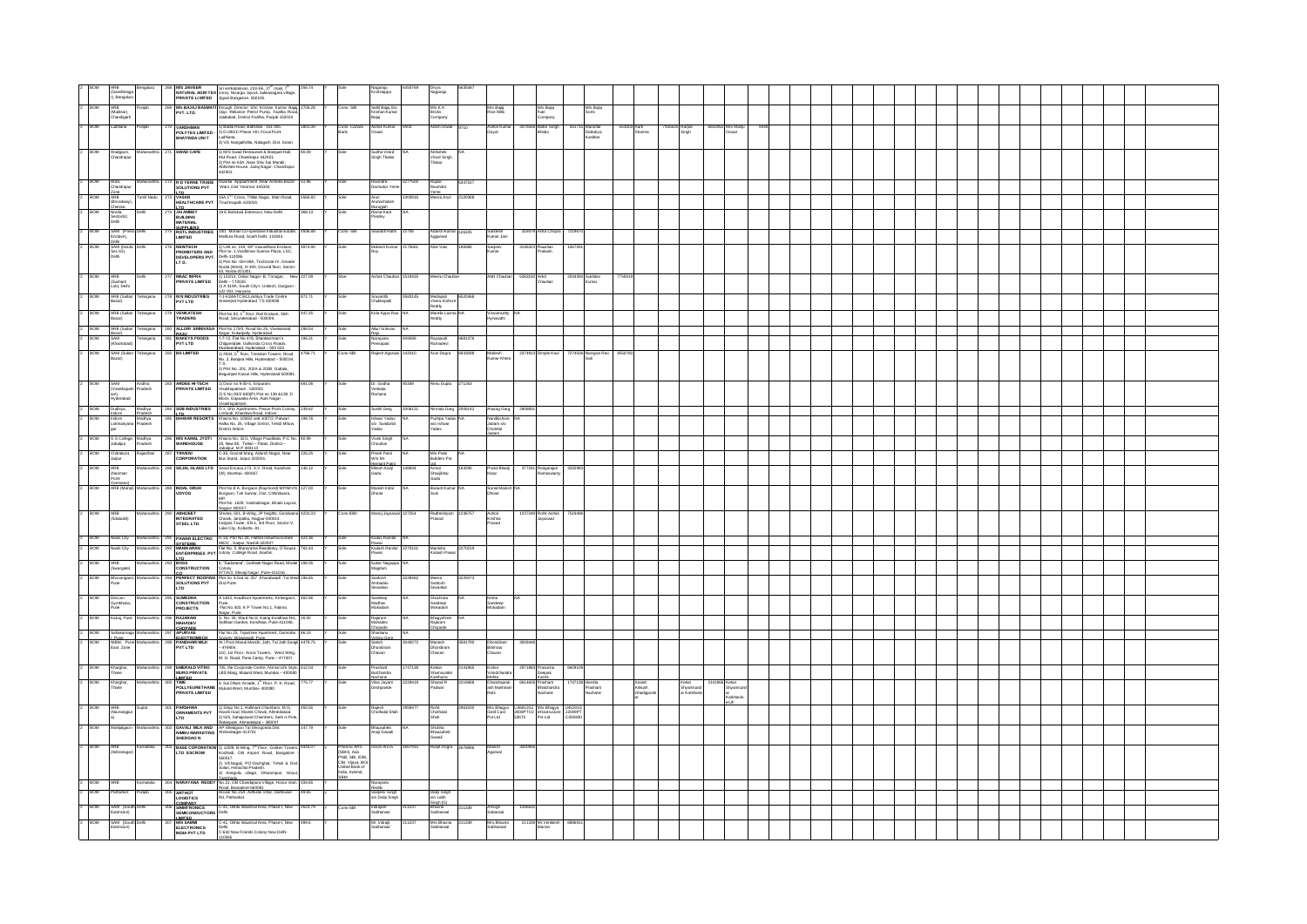| ARB<br>(Gandhinaga<br>r), Bengaluru                            |                                                |          |                                                                                                                                    | MS JAIVEER Sti verkatanivas, 224-SE, 27 <sup>th</sup> main, 7 <sup>th</sup><br>NATURAL AGRI TEX cross, Nisarga. layout, bukkasagara vilage,<br>PRIVATE LI MITED Jigani Bangalore. 560105.                                                |                   |                                                                                                          | Nagaraju<br>Krishnappa                                              |         | Divya<br>dagaraju                        |         |                                       |                                                                 |                 |                                     |                             |                                  |                            |  |  |  |  |  |  |
|----------------------------------------------------------------|------------------------------------------------|----------|------------------------------------------------------------------------------------------------------------------------------------|------------------------------------------------------------------------------------------------------------------------------------------------------------------------------------------------------------------------------------------|-------------------|----------------------------------------------------------------------------------------------------------|---------------------------------------------------------------------|---------|------------------------------------------|---------|---------------------------------------|-----------------------------------------------------------------|-----------------|-------------------------------------|-----------------------------|----------------------------------|----------------------------|--|--|--|--|--|--|
| ARB<br>(Muktsar),                                              |                                                |          | <b>M's BAJAJ BASMAT</b><br>PVT. LTD.                                                                                               | i<br>Inough Director Shri Krishan Kumar Bajaj,<br>Opp. Reliance Petrol Pump, Fazilia Road,<br>Jalalabad, District Fazilia, Punjab 152024                                                                                                 |                   |                                                                                                          | Sahil Bajaj S/o<br>Krishan Kumar                                    |         | M/s K K                                  |         | M/s Bajaj<br>Rice Mills               | M's Bajaj<br>Fuel<br>Company                                    |                 | M/s Bajaj<br>iorts                  |                             |                                  |                            |  |  |  |  |  |  |
| Chandigart<br>BOM<br>udhiana                                   |                                                |          | <b>VARDHMAN<br/>POLYTEX LIMITED</b>                                                                                                |                                                                                                                                                                                                                                          | 801.08            | Cons- Canara<br>Bank                                                                                     | Baiai<br>Ashok Kumar<br>Oswali                                      |         | Bricks<br>Company                        |         | Ashok Kuma<br>Goyal                   | 56 Balbir Singh                                                 |                 |                                     | 551803 Aarti<br>Sharma      | 156525 Harpal<br>Singh           | 5932062 Mrs Manju<br>Oswal |  |  |  |  |  |  |
|                                                                |                                                |          | HATINDA UNI T                                                                                                                      | 1) Badal Road, Bathinda - 151 005.<br>2) D-295/1/ Phase VIII, Focal Point<br>Ludhiana.<br>3) Vill. NangalNihia, Nalagarh, Dist. Solan.                                                                                                   |                   |                                                                                                          |                                                                     |         |                                          |         |                                       |                                                                 |                 | 15 Marohar<br>Dattatrya<br>Kanitkar |                             |                                  |                            |  |  |  |  |  |  |
| ROM<br>Wadgaon,<br>Chandrapur                                  |                                                |          | SWAD CAFE                                                                                                                          | 1) M/S Swad Restaurant & Banquet Hall,<br>Mul Road. Chandrapur 442401.<br>2) Plot no 63A , Near Shiv Sai Mandir,<br>Abhishek House, Jairaj Nagar, Chandrapur<br>442401.                                                                  |                   |                                                                                                          | Sudha Vinod<br>Singh Thakur                                         |         | Abhishek<br>Vinod Singh<br>Thakur        |         |                                       |                                                                 |                 |                                     |                             |                                  |                            |  |  |  |  |  |  |
|                                                                |                                                |          | 272 R D YERNE TRADE                                                                                                                |                                                                                                                                                                                                                                          |                   |                                                                                                          |                                                                     |         |                                          |         |                                       |                                                                 |                 |                                     |                             |                                  |                            |  |  |  |  |  |  |
| <b>BOW</b><br>Wani,<br>Chandrapur                              |                                                |          | SOLUTIONS PVT                                                                                                                      | .<br>Dwarka: Appaartment ,Near Ashoka Bazar<br>Wani ,Dist Yeotmal: 445304                                                                                                                                                                | (1.96)            |                                                                                                          | Ravindra<br>Damodar Yerne                                           |         | Rupali<br>Ravindra<br>Yeme<br>Meera Arun | 4722    |                                       |                                                                 |                 |                                     |                             |                                  |                            |  |  |  |  |  |  |
| Zone<br>ARB<br>(Broadway),<br><b>BOM</b>                       |                                                |          |                                                                                                                                    | 15A,1 <sup>97</sup> Cross, Thillai Nagar, Main Road,<br>Tiruchirapalli-620018.<br>19 E Bahubali Extension, New Delhi                                                                                                                     | 5560.82<br>368.13 | Sole                                                                                                     | Arun<br>Arunachalam                                                 |         |                                          | 2120368 |                                       |                                                                 |                 |                                     |                             |                                  |                            |  |  |  |  |  |  |
| Chennai<br>Chennai<br>Noida,<br>Sector62,<br>BOM               |                                                |          |                                                                                                                                    |                                                                                                                                                                                                                                          |                   |                                                                                                          | Municialis<br>Rama Kart<br>Pandey                                   |         |                                          |         |                                       |                                                                 |                 |                                     |                             |                                  |                            |  |  |  |  |  |  |
| SAM (Pres<br>Enclave),<br><b>BOM</b>                           |                                                |          | <b>171 VASAN<br/> YASAN<br/> HEALTHCARE PVT<br/> 274 JAN AMBEY<br/> BULDING<br/> MATERIAL<br/> 275 ROTL NDUSTRIES<br/> LIMITED</b> | 24/1 Mohan Co-operative Industrial Estate,<br>Mathura Road, South Delhi, 110044.                                                                                                                                                         | 1936.88           | Cons-SBI                                                                                                 | aurabh Rath                                                         |         | Adarsh Kumar 126105<br>Aggarwal          |         | Sandesh<br>Kumar Jain                 |                                                                 |                 |                                     |                             |                                  |                            |  |  |  |  |  |  |
| Delhi<br>SAM (Noida<br>Sec 62),<br>Delhi<br>BOM                |                                                |          | NEWTECH<br>PROMOTERS AND<br>DEVELOPERS PVT.<br>LT D.                                                                               |                                                                                                                                                                                                                                          |                   |                                                                                                          | Mukesh Kuma                                                         |         | lok Vats                                 | 88385   | Sanjeev<br>Kumar                      | 136323 Raushan<br>Prakash                                       |                 |                                     |                             |                                  |                            |  |  |  |  |  |  |
|                                                                |                                                |          |                                                                                                                                    | musular topology (1992)<br>19 Unit no. 219, SF Vistandhara Enclave, 4874.96<br>Plot no. 219, SF Vistandhara Enclave, 4874.96<br>Delhi-110096.<br>20 Plot No-GH-60A, Technone-M, Greater<br>51 Nobla (West), H-190, Ground floor, Sector- |                   |                                                                                                          |                                                                     |         |                                          |         |                                       |                                                                 |                 |                                     |                             |                                  |                            |  |  |  |  |  |  |
| 2 BOM<br>ARB<br>(Sushant<br>Lok), Dehi                         |                                                |          | MAAC INFRA<br>PRIVATE LIMITED                                                                                                      |                                                                                                                                                                                                                                          |                   |                                                                                                          | Ashok Chaul                                                         | 19425   | Meenu Chauhan                            |         | Abhi Chauhan                          | 5283192 Ankit<br>Chauhan                                        | 2034394 Sukhder |                                     |                             |                                  |                            |  |  |  |  |  |  |
| BOM<br>ARB (Sultan<br>Bazar)                                   |                                                |          | 278 M N INDUSTRIES<br>PVT LTD                                                                                                      | .<br>22.001. Harvana<br>-1-618/ATC/613.Aditya Trade Centre<br>eerpet Hyderabad TS 500038                                                                                                                                                 | 371.71            |                                                                                                          | Sravanthi<br>Chukkapalli                                            | 3583145 | Medapati 6520468<br>Veera Kishore        |         |                                       |                                                                 |                 |                                     |                             |                                  |                            |  |  |  |  |  |  |
| ARB (Sultan<br>Bazar)<br><b>BOM</b>                            |                                                | elangana | 279 VENKATESH<br>TRADERS                                                                                                           | Plot No.92, 1 <sup>at</sup> floor, Rail Enclave, Sikh<br>Road, Secunderabad - 500009.                                                                                                                                                    | 447.25            |                                                                                                          | Kola Appa Rai                                                       |         | ifarella Laxmi<br>Reddy                  |         | Vissamsetty<br>Hynavathi              |                                                                 |                 |                                     |                             |                                  |                            |  |  |  |  |  |  |
| ARB (Sultan<br>$2 - BOM$                                       |                                                | elangana | 280 ALLURI SRINIVASA<br><b>RA.ILI</b>                                                                                              | Plot No.179/3, Road No.25, Vivekanand                                                                                                                                                                                                    | 298.54            | Sole                                                                                                     | Alluri Srinivas<br>Raiu                                             |         |                                          |         |                                       |                                                                 |                 |                                     |                             |                                  |                            |  |  |  |  |  |  |
| Bazar)<br>SAM<br>(Khairtabad)<br>BOW                           |                                                |          | 281 BAKEYS FOODS<br>282 BS LIMITED                                                                                                 | Vagar, Kukatoally, Hyderabad,<br>1-7-12, Flat No 416, Shantasmiram's<br>Chippendale, Golkonda Cross Roads,<br>Musheerabad, Hyderabad – 500 020.                                                                                          | 96.21             |                                                                                                          | Narayana<br>Peesapati                                               |         | Rayapudi<br>Ramadevi                     | 681376  |                                       |                                                                 |                 |                                     |                             |                                  |                            |  |  |  |  |  |  |
| SAM (Sultan<br>BOW<br>Bazar)                                   |                                                | langana  |                                                                                                                                    | 1) #504, 5 <sup>th</sup> floor, Trendset Towers, Road<br>No. 2, Banjara Hills, Hyderabad - 500034,<br>i .a.<br>2) Plot No. 201, 202A & 202B, Guttala,                                                                                    |                   |                                                                                                          | tajosh Agarwa                                                       |         | Arun Dogra                               | 33090   | Mahesh<br>Kumar Khera                 | 2374913 Dimple Kaul                                             |                 | 274506 Narayan Rao<br>Gali          |                             |                                  |                            |  |  |  |  |  |  |
| BOM                                                            |                                                |          |                                                                                                                                    | Begumpet Kavuri Hills, Hyderabad 500081                                                                                                                                                                                                  | 691.06            |                                                                                                          |                                                                     | 90349   | <b>Renu Gupta</b>                        | 271263  |                                       |                                                                 |                 |                                     |                             |                                  |                            |  |  |  |  |  |  |
| SAM<br>(Visakhapa<br>am).<br>Hyderabad                         | Andhra<br>Pradesh                              |          | 283 ARDEE HI-TECH<br>PRIVATE LIMITED                                                                                               | 1) Door no 9-30-4, Siripuram,<br>Visakhapatnam , 530003.<br>2) S No 83/2 &83(P) Plot no 138 &139, D<br>Block, Gajuwaka Area ,Auto Nagar ,                                                                                                |                   |                                                                                                          | Dr. Godha<br>Venkata<br>Ramana                                      |         |                                          |         |                                       |                                                                 |                 |                                     |                             |                                  |                            |  |  |  |  |  |  |
| Dudhiya,<br>2 BOW                                              | Madhya<br>Pradesh                              |          | 284 SDB NDUSTRIES<br>1TD<br>285 ISHWAR RESORTS                                                                                     | stock, Osymua Pieur Petar Papa Papa Pictor<br>Cal Shiri Apartments, Peace Point Colony,<br>Gin Shiri Apartments, Peace Point<br>Limbodi. Khandwa Road. Indone.<br>Haka No. 26, Village Simrol, Tehsil Mhow,<br>District Indone.          | 239.62            |                                                                                                          | Sushil Garg                                                         |         | amala Garg 2006142                       |         | Anurag Garg                           |                                                                 |                 |                                     |                             |                                  |                            |  |  |  |  |  |  |
| <b>BOM</b>                                                     | Indore<br>Indore Pradesh<br>Lolmanyana Pradesh |          |                                                                                                                                    |                                                                                                                                                                                                                                          | 98.76             |                                                                                                          | Ishwar Yadav<br>s/o Sundarlal                                       |         | Pushpa Yada<br>wo Ishwar<br>Yadav        |         | restates to:<br>Jadam s/o<br>Chotelal |                                                                 |                 |                                     |                             |                                  |                            |  |  |  |  |  |  |
| BOM<br>G S College<br>Jabaipur                                 | Madhya<br>Pradesh                              |          | 286 M'S KAMAL JYOTI<br>WAREHOUSE                                                                                                   | Khasra No. 32/1, Village Paudkala, P.C No.<br>35, New 80, Tehsil - Patan, District -                                                                                                                                                     | 90.99             |                                                                                                          | Vivek Singh<br>Chouhan                                              |         |                                          |         |                                       |                                                                 |                 |                                     |                             |                                  |                            |  |  |  |  |  |  |
| <b>BOM</b><br>Chitrakpot.<br>Jaipur                            |                                                |          | 287 TRIVENI<br>CORPORATION                                                                                                         | 15, New 80, Tensil - Commissioners<br>Jabalour, M.P. 483113<br>C-36, Govind Marg, Adarsh Nagar, Near<br>Bus Stand, Jaipur 302004.                                                                                                        | 226.25            |                                                                                                          | Preet Patri<br>W/o Mr.                                              |         | M/s Patni<br>Builders Pvt.               |         |                                       |                                                                 |                 |                                     |                             |                                  |                            |  |  |  |  |  |  |
| ARB<br><b>BOM</b><br>(Nariman<br>Point                         |                                                |          | 288 SEJAL GLASS LTD                                                                                                                | Sezal Encasa, 173, S.V. Road, Kandivali<br>(W), Mumbai- 400067.                                                                                                                                                                          | 146.12            | Sole                                                                                                     | Hemant Patr<br>Mitesh Kanji<br>Gada                                 |         | Ltd<br>Amrut<br>Shavjibhai<br>Gada       |         |                                       | Praful Bhanji 377241 Rengarajan<br>Kiring Ramaswamy             | 333296          |                                     |                             |                                  |                            |  |  |  |  |  |  |
| Overseas)<br>ARB (Mahal)<br><b>BOM</b>                         |                                                |          | harashtra 289 INDAL GRUH<br>UDYOG                                                                                                  | Plot No.8 A, Borgaon (Raymond) MPAKVN 127.00<br>Borgaon, Tah Sunsar, Dist. Chrindwara,                                                                                                                                                   |                   |                                                                                                          | Manish Indal<br>Dhone                                               |         | <b>Basant Kuma</b><br>Soni               |         | Sonal Manis<br>Dhone                  |                                                                 |                 |                                     |                             |                                  |                            |  |  |  |  |  |  |
|                                                                |                                                |          |                                                                                                                                    | <br>Plot No. 1629, Vaishalinagar, Binaki Layout,                                                                                                                                                                                         |                   |                                                                                                          |                                                                     |         |                                          |         |                                       |                                                                 |                 |                                     |                             |                                  |                            |  |  |  |  |  |  |
| <b>BOM</b><br>ARB<br>(Sitabuldi)                               |                                                |          | <b>ABHUEET</b><br>INTEGRATED<br>STEEL LTD.                                                                                         | .<br>Shivlok, 601, B-Wing, JP heights, Gondwana<br>Shivlok, 601, B-Wing, JP heights, Gondwana<br>Chowk, Jaripatka, Nagpur-440014.<br>Insignia Tower, EN-1, 3rd Floor, Sector-V,<br>Lake City, Kolkotta -91.                              | 231.03            | Cors-IDB                                                                                                 | Manoj Jayas                                                         |         | Racheshyam<br>Prasad                     |         | Ashok<br>Krishna<br>Prasad            | 9 Rohit Ashok<br>Jayaswal                                       |                 |                                     |                             |                                  |                            |  |  |  |  |  |  |
| 2 BOM<br>Nasik City                                            |                                                | 291      | <b>PAWAR ELECTRO</b>                                                                                                               | .<br>D-18, Plot No.28, Flatted Industrial Estate                                                                                                                                                                                         | 424.36            | Sole                                                                                                     | Kailas Ramlal                                                       |         |                                          |         |                                       |                                                                 |                 |                                     |                             |                                  |                            |  |  |  |  |  |  |
| dasik City                                                     |                                                |          | SYSTEMS<br>ENTERPRISES PV                                                                                                          | MIDC , Satour, Nashik 422007<br>Flat No. 5, Manorama Residency, D'Souza<br>colony ,College Road ,Nashik.                                                                                                                                 | 762.44            |                                                                                                          | Pawar<br>Kailash Ramia<br>Pawar                                     |         | Marisha<br>Kailash Paw                   |         |                                       |                                                                 |                 |                                     |                             |                                  |                            |  |  |  |  |  |  |
| BOM<br>ARB<br>(Swargate)                                       |                                                |          | 1TD<br>293 BOSS<br>CONSTRUCTION                                                                                                    | 6, "Sadanard", Golihale Nagar Road, Model 198.35<br>Colony.<br>977/A/3. Shivaii Nagar .Pune-411016.<br>Plot no 4,Gat no 357 ,Khanabwadi .Tal kihad 196.65<br>Dist Pune                                                                   |                   | Sole                                                                                                     | Kuber Nagapp<br>Magdum                                              |         |                                          |         |                                       |                                                                 |                 |                                     |                             |                                  |                            |  |  |  |  |  |  |
| BOM<br>Bhosarigad<br>Pune                                      |                                                |          | 294 PERFECT ROOFING<br>SOLUTIONS PVT<br>LTD                                                                                        |                                                                                                                                                                                                                                          |                   | Sole                                                                                                     | Santosh<br>Ambadas<br>Sevankar                                      |         | Meera<br>Santosh<br>Sevankar             | 29473   |                                       |                                                                 |                 |                                     |                             |                                  |                            |  |  |  |  |  |  |
| <b>BOM</b><br>Deccan<br>Gymkhana                               |                                                |          | 295 SUMEDHA                                                                                                                        | 1403. Avadhoot Apartments. Ambegaon. 462.96                                                                                                                                                                                              |                   | Sole                                                                                                     | Sandeep<br>Madhav<br>Mokadam                                        |         | Shushruta<br>Sandeep<br>Mokadam          |         | Nisha<br>Sandeep<br>Mokadam           |                                                                 |                 |                                     |                             |                                  |                            |  |  |  |  |  |  |
| Pune<br>Katrai, Pune<br><b>BOM</b>                             |                                                |          | SUMEDIA<br>CONSTRUCTION<br>PROJECTS<br>296 RAJARAM                                                                                 | runa.<br>Flat No.403, K P Tower No.1, Fatima<br>Nagar, Pune.<br>S. No. 34, Ward No.8, Katraj Kondhwa Rd.,<br>Sidhban Garden, Kondhwa, Pune-411046.                                                                                       | 26.00             | Sole                                                                                                     | Rajaram<br>Mahadev                                                  |         | Bhagyshree<br>Rajaram                    |         |                                       |                                                                 |                 |                                     |                             |                                  |                            |  |  |  |  |  |  |
| BOW                                                            |                                                |          | MAHADEV<br>CHOPADE<br>297 APURVAE<br>ELECTROMECH                                                                                   | Flat No.25, Tejashree Apartment, Damodar                                                                                                                                                                                                 | 86.19             | Sole                                                                                                     |                                                                     |         | obeon                                    |         |                                       |                                                                 |                 |                                     |                             |                                  |                            |  |  |  |  |  |  |
| Sahakarnaga<br>r. Pune<br>NIBM, Pun<br>East Zone<br><b>BOM</b> |                                                |          | 298 PANDHARI MILK<br>PVT LTD                                                                                                       | Fiar World, Rightmann, Damond, Barbon<br>Society, Bibwewadi, Pune,<br>41 / Post Manuti Mandir, Jath, Tai Jath Sangli<br>- 416404.<br>110, 1st Floor, Arora Towers, West Wing, M. G. Road, Pune Camp, Pune -411001.                       | 4479.75           |                                                                                                          | manuer<br>Chopade<br>Shartaru<br>Vishru Gore<br>Dhondiram<br>Chavan |         | Manesh<br>Dhondiram<br>Chavan            | 3581780 | Dhondira<br>Bhimrao                   |                                                                 |                 |                                     |                             |                                  |                            |  |  |  |  |  |  |
|                                                                |                                                |          |                                                                                                                                    |                                                                                                                                                                                                                                          |                   |                                                                                                          |                                                                     |         |                                          |         | Chavan                                |                                                                 |                 |                                     |                             |                                  |                            |  |  |  |  |  |  |
| Kharghar,<br>Thane                                             |                                                |          | <b>EMERALD VITRO</b><br>MURO PRIVATE                                                                                               | .<br>105, the Corporate Centre, Nirmal Life Style<br>LBS Marg, Mulund West, Mumbai – 400080                                                                                                                                              | 75.77             |                                                                                                          | Prashant<br>Balchandra                                              |         | Kettan<br>Shamsunder                     | 41965   | Kishor<br>Vinodchandr                 | Prasarna<br>Deepak<br>Karrik                                    |                 |                                     |                             |                                  |                            |  |  |  |  |  |  |
| Kharghar,<br>Thane                                             |                                                |          | TIME<br>TIME<br>POLLYEURETHANE<br>PRIVATE LIMITED                                                                                  | 8, Sai Dham Arcade, 1 <sup>17</sup> Floor, P. K. Road,<br>Mulund-West, Mumbai- 400080                                                                                                                                                    |                   |                                                                                                          | Nachana<br>Vilas Jayant<br>Deshpande                                |         | Karkhanis<br>Sharad R<br>Padwal          |         | Mehta<br>Chandraprak<br>ash Mukhiram  | Prashant<br>Bhaichandh<br>Nachane                               |                 | 18 Harsha<br>Prashant<br>Nachane    | Anand<br>Ankush<br>Ghadigao | letan<br>ihyamsund<br>r Karkhani | Ketan<br>Shyamsi           |  |  |  |  |  |  |
| ARB<br>(Navrangpu                                              |                                                |          | ORNAMENTS PVT                                                                                                                      | l) Shop No 1, Hallmark Chambers, M.G.<br>Haveli road, Manek Chowk, Ahmedabad.                                                                                                                                                            |                   |                                                                                                          | Rajesh<br>Chothalal Shah                                            |         | Rohit<br>Chothalal                       |         | M's Bhagy<br>Gold Cast<br>Pvt Ltd     | U36912GJ M/s Bhagya<br>2008PTC0 Infrastructure<br>53670 Pvt Ltd | J2009P          |                                     |                             |                                  |                            |  |  |  |  |  |  |
| <b>BOM</b>                                                     |                                                |          | LTD <sup>-1</sup><br><b>GAVALI MLK AND<br/>NIMBU MARKETING<br/>SHEDGAO N</b>                                                       | Haven road, warsen crown, Ammudator.<br>2) 525, Sahajanand Chambers, Seth ni Pole.<br>Ratanzole. Ahmedabad – 380001.<br>AP Shedgaon Tal Shrogonda Dist.<br>Ahmednagar-413701.                                                            | 47.79             |                                                                                                          | shausaheb                                                           |         | Shah<br>Shobha<br>Bhausaheb<br>Gawal     |         |                                       |                                                                 | <b>v</b> ctor   |                                     |                             |                                  |                            |  |  |  |  |  |  |
| BOM<br>ARB                                                     |                                                |          |                                                                                                                                    |                                                                                                                                                                                                                                          | 9343.07           |                                                                                                          | Anaji Gawali<br>sh Arora                                            | 1667915 | Ranjit Dogra 2678996                     |         |                                       |                                                                 |                 |                                     |                             |                                  |                            |  |  |  |  |  |  |
| (Indirangos                                                    |                                                |          |                                                                                                                                    | BASE COPORATION 1) 128/8, B-Wing, 7 <sup>th</sup> Floor, Golden Towers,<br>LTD ESCROW Kodhall, Old Airport Road, Bangalore<br>SROD17                                                                                                     |                   | Phoenix ARC<br>(SBH), Axis<br>PNB, SBI, IDBI,<br>CBI, Vijaya, BOI.<br>United Bank of<br>India, IndisInd, |                                                                     |         |                                          |         | Manish<br>Agarwal                     |                                                                 |                 |                                     |                             |                                  |                            |  |  |  |  |  |  |
|                                                                |                                                |          |                                                                                                                                    | سمت<br>2) Vill.Nagali, PO-Oachghat, Tehsil & Dist<br>Solan, Himachal Pradesh.<br>3) Anegoliu village, Dharampuri, Hosu                                                                                                                   |                   |                                                                                                          |                                                                     |         |                                          |         |                                       |                                                                 |                 |                                     |                             |                                  |                            |  |  |  |  |  |  |
| 2 BOM<br>ARB<br>BOM<br>Pathankot                               | Karnataka<br>Punjab                            |          | 304 NARAYANA REDDY<br>305 ARTHOT                                                                                                   | Tamihadu<br>No.21, Old Chandapura Village, Hosur main<br>Road, Bangabre-560081<br>House No.21A, Adhunik Vihar, Dalhousie<br>Rd, Pathankot.                                                                                               | 334.65<br>49.65   |                                                                                                          | Narayana<br>Reddy                                                   |         |                                          |         |                                       |                                                                 |                 |                                     |                             |                                  |                            |  |  |  |  |  |  |
| BOM                                                            |                                                |          | LOGISTICS<br>COMPANY<br>306 SIMMTRONICS<br>SEMICONDUCTORS                                                                          | C-41, Okhla Industrial Area, Phase-I, New                                                                                                                                                                                                | 2623.79           | Cons-SB                                                                                                  | Sanjeev Singh<br>s/o Dalip Singh                                    | 11237   | Dalip Singh<br>s/o Labh<br>Singh (G)     |         |                                       |                                                                 |                 |                                     |                             |                                  |                            |  |  |  |  |  |  |
| SAM (Sout)<br>Extension)<br>SAM (South                         |                                                |          | I IMITED.<br>M/S SAMMI                                                                                                             | C-41, Okhla Industrial Area, Phase-I, New                                                                                                                                                                                                |                   |                                                                                                          | Indrajeet<br>Sabharwal<br>Mr. Indrajit<br>Sabharwal                 |         | Bhavna<br>Sabharwal<br>Mrs. Bhavna       | 211339  | Amogh<br>Sabarwal<br>Mrs.Bhavn        | 211339 Mr. Verktesh                                             |                 |                                     |                             |                                  |                            |  |  |  |  |  |  |
| (noianskef)                                                    |                                                |          | ELECTRONICS<br>INDIA PVT LTD                                                                                                       | Delhi.<br>C-642 New Friends Colony New Delhi-                                                                                                                                                                                            |                   |                                                                                                          |                                                                     |         | abharwal                                 |         | iabharwal                             | arian                                                           |                 |                                     |                             |                                  |                            |  |  |  |  |  |  |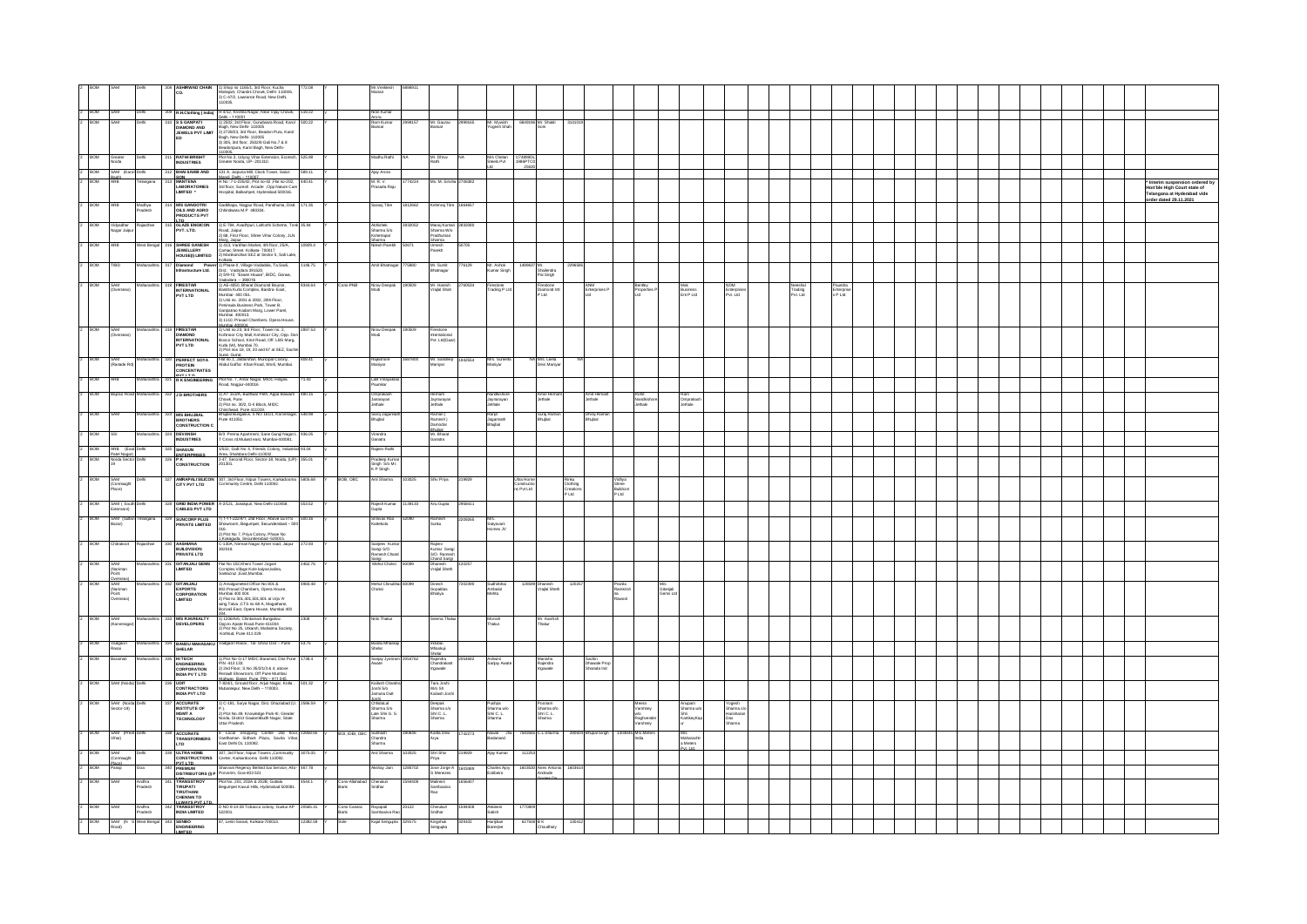|                       |                                              |                                       |                                                                | 1) Shop no 1165/1, 3rd Floor, Kucha                                                                                                                                                                                                                                                                                                                                                                                                                                                                       |          |                        |                                                                |        |                                                  |                                    |         |                                        |                                        |                                      |                                             |                               |                              |                              |                                |                                 |  |  |  |  |  |                                                                                               |
|-----------------------|----------------------------------------------|---------------------------------------|----------------------------------------------------------------|-----------------------------------------------------------------------------------------------------------------------------------------------------------------------------------------------------------------------------------------------------------------------------------------------------------------------------------------------------------------------------------------------------------------------------------------------------------------------------------------------------------|----------|------------------------|----------------------------------------------------------------|--------|--------------------------------------------------|------------------------------------|---------|----------------------------------------|----------------------------------------|--------------------------------------|---------------------------------------------|-------------------------------|------------------------------|------------------------------|--------------------------------|---------------------------------|--|--|--|--|--|-----------------------------------------------------------------------------------------------|
|                       |                                              |                                       | lco.                                                           | Mahajani, Chandni Chowk, Delhi- 110006.<br>2) C-47/2, Lawrance Road, New Delhi,                                                                                                                                                                                                                                                                                                                                                                                                                           |          |                        | Aarian                                                         |        |                                                  |                                    |         |                                        |                                        |                                      |                                             |                               |                              |                              |                                |                                 |  |  |  |  |  |                                                                                               |
| BOM                   |                                              | Delt                                  |                                                                | 10035.<br>309 R.H.Clothing (India) H-4/12, Krishna Nagar, Near Vijay Chowk, 518.22                                                                                                                                                                                                                                                                                                                                                                                                                        |          |                        | Vitin Kumar                                                    |        |                                                  |                                    |         |                                        |                                        |                                      |                                             |                               |                              |                              |                                |                                 |  |  |  |  |  |                                                                                               |
|                       |                                              |                                       | S S GANPATI                                                    | nehi  110051<br>1) 2502, 3rd Floor, Gurudwara Road, Karol                                                                                                                                                                                                                                                                                                                                                                                                                                                 | 500.22   |                        | Arora<br>Ram Kumar                                             |        | Mr. Gaus                                         |                                    |         | 36 Mr. Sha                             |                                        |                                      |                                             |                               |                              |                              |                                |                                 |  |  |  |  |  |                                                                                               |
|                       |                                              |                                       | DIAMOND AND<br>JEWELS PVT LIMIT                                | Bagh, New Delhi- 110005<br>2) 2728/23, 3rd Floor, Beadon Pura, Karol                                                                                                                                                                                                                                                                                                                                                                                                                                      |          |                        | lansal                                                         |        | lansal                                           | Mr. Mywish<br>Yogesh Shah          |         | Soni                                   |                                        |                                      |                                             |                               |                              |                              |                                |                                 |  |  |  |  |  |                                                                                               |
|                       |                                              |                                       |                                                                | Bagh, New Delhi- 110005<br>3) 305, 3rd floor, 2502/8 Gali No.7 & 8<br>Beadonpura, Karol Bagh, New Delhi-                                                                                                                                                                                                                                                                                                                                                                                                  |          |                        |                                                                |        |                                                  |                                    |         |                                        |                                        |                                      |                                             |                               |                              |                              |                                |                                 |  |  |  |  |  |                                                                                               |
| BOM                   |                                              |                                       | .<br>Rathi Bright<br>Industries                                | 110005<br>Plot No.3, Udyog Vihar Extension, Ecotech, 525.98<br>Greater Noida, UP- 201310.                                                                                                                                                                                                                                                                                                                                                                                                                 |          |                        | .<br>Madhu Rathi                                               |        | Mr. Dhruv<br>Rathi                               | M/s Chetan<br>Steels Pvt           | U74899D |                                        |                                        |                                      |                                             |                               |                              |                              |                                |                                 |  |  |  |  |  |                                                                                               |
|                       | Greater<br>Noida                             |                                       | 312 BHAI SAHIB AND                                             |                                                                                                                                                                                                                                                                                                                                                                                                                                                                                                           | 589.11 Y |                        | Ajay Arora                                                     |        |                                                  |                                    |         |                                        |                                        |                                      |                                             |                               |                              |                              |                                |                                 |  |  |  |  |  |                                                                                               |
| 2 BOM<br>lz.<br>ROM   |                                              | SAM (Karol Dehi<br>Bagh)<br>ARB Telan |                                                                | 131 A, Jaipuria MII, Clock Tower, Sabzi<br>Mandi. Dehi – 110007.<br>H Mor: T-123542, Plot no-42, Flat no-2022, 440.41<br>3rd floor, Suresh Arcade. Opp Nature Cure<br>Hospital, Balkampet, Hyderabad 500016.                                                                                                                                                                                                                                                                                              |          |                        | M. R. V.<br>Prasada Raju                                       | 74224  | Ms. M. Sirisha 270638                            |                                    |         |                                        |                                        |                                      |                                             |                               |                              |                              |                                |                                 |  |  |  |  |  |                                                                                               |
|                       |                                              |                                       | SON<br>MANTENA<br>LABORATORIES<br>LIMITED                      |                                                                                                                                                                                                                                                                                                                                                                                                                                                                                                           |          |                        |                                                                |        |                                                  |                                    |         |                                        |                                        |                                      |                                             |                               |                              |                              |                                |                                 |  |  |  |  |  | * Interim suspension ordered by<br>Hon'ble High Court state of<br>Telangana at Hyderabad vide |
| BOM                   |                                              |                                       |                                                                |                                                                                                                                                                                                                                                                                                                                                                                                                                                                                                           |          |                        | Saraoj Titre                                                   | 12662  | mraj Titre                                       |                                    |         |                                        |                                        |                                      |                                             |                               |                              |                              |                                |                                 |  |  |  |  |  | order dated 29.11.2021                                                                        |
|                       |                                              | Madhya<br>Pradesh                     | <b>M'S GANGOTRI<br/>OILS AND AGRO<br/>PRODUCTS PVT</b>         | Gadkhapa, Nagpur Road, Pandhurna, Distt. 171.35<br>Chhindwara M.P 480334.                                                                                                                                                                                                                                                                                                                                                                                                                                 |          |                        |                                                                |        |                                                  |                                    |         |                                        |                                        |                                      |                                             |                               |                              |                              |                                |                                 |  |  |  |  |  |                                                                                               |
| <b>BOM</b>            | adhar<br>lagar Jaipu                         |                                       | <b>ITD</b><br>GLAZE ENGICON<br>PVT. LTD.                       | 1) E-784, Avadhpuri, LalKothi Scheme, Tonk 35.94                                                                                                                                                                                                                                                                                                                                                                                                                                                          |          |                        | Abhishek<br>Sharma S.Io<br>Kshetrapal                          |        | ilanoj Kumi                                      |                                    |         |                                        |                                        |                                      |                                             |                               |                              |                              |                                |                                 |  |  |  |  |  |                                                                                               |
|                       |                                              |                                       |                                                                | Road, Jaipur<br>2) 88, First Floor, Shree Vihar Colony, JLN                                                                                                                                                                                                                                                                                                                                                                                                                                               |          |                        | Sharma<br>Kilesh Pareki                                        |        | Sharma W/o<br>Pradhuman<br>Sharma                |                                    |         |                                        |                                        |                                      |                                             |                               |                              |                              |                                |                                 |  |  |  |  |  |                                                                                               |
| <b>BOM</b>            |                                              |                                       | SHREE GANESH<br>JEWELLERY<br>HOUSE(I) LIMTED                   | Maro, Jaiour<br>1) 413, Vardhan Market, 4th floor, 25/A,<br>Camac Street, Kolkata- 700017<br>2) Marikanchan SEZ at Sector 5, Salt Lake,                                                                                                                                                                                                                                                                                                                                                                   | 0929.4   |                        |                                                                |        | Umesh<br>Parekh<br>50705                         |                                    |         |                                        |                                        |                                      |                                             |                               |                              |                              |                                |                                 |  |  |  |  |  |                                                                                               |
| BOM                   |                                              |                                       |                                                                |                                                                                                                                                                                                                                                                                                                                                                                                                                                                                                           | 1146.75  |                        | lmit Bhatnaga                                                  | 5880   | Mr. Sumit<br>Bhatnagar<br>776129                 | Mr. Ashok<br>Kumar Singl           |         | 489637 Mr.<br>Shalendra                |                                        |                                      |                                             |                               |                              |                              |                                |                                 |  |  |  |  |  |                                                                                               |
|                       |                                              |                                       |                                                                |                                                                                                                                                                                                                                                                                                                                                                                                                                                                                                           |          |                        |                                                                |        |                                                  |                                    |         | Pal Singh                              |                                        |                                      |                                             |                               |                              |                              |                                |                                 |  |  |  |  |  |                                                                                               |
|                       | <b>BOM</b>                                   |                                       | FIRESTAR<br>INTERNATIONAL<br>PVT LTD                           | <b>UDER (MRTED <math>\begin{bmatrix} 0 &amp; \text{Mationed, and } \overline{3} &amp; \text{Z} &amp; \text{S} &amp; \text{S} &amp; \text{S} &amp; \text{S} &amp; \text{S} \\ \text{M0000} &amp; \text{M0000} &amp; \text{M0000} &amp; \text{M0000} &amp; \text{S} &amp; \text{S} &amp; \text{S} &amp; \text{S} &amp; \text{S} \\ \text{M00000} &amp; \text{M0000} &amp; \text{M00000} &amp; \text{M00000} &amp; \text{S} &amp; \text{S} &amp; \text{S} &amp; \text{S} &amp; \text{S} \\ \text{</math></b> | 344.64   | Cons-PNB               | Nirav Deepak<br>Modi                                           |        | Mr. Haresh<br>Vrajlal Shah                       | Firestone<br>Trading P Lt          |         | Firestone<br>Diamond Int<br>P Ltd      |                                        |                                      | Bentley<br>Properties f                     |                               | Mak<br>Business<br>Ent P Ltd | NDM<br>Enterpris<br>Pvt. Ltd | Neeshal<br>Trading<br>Pvt. Ltd | Paundra<br>Erterpris<br>s P Ltd |  |  |  |  |  |                                                                                               |
|                       |                                              |                                       |                                                                |                                                                                                                                                                                                                                                                                                                                                                                                                                                                                                           |          |                        |                                                                |        |                                                  |                                    |         |                                        |                                        |                                      |                                             |                               |                              |                              |                                |                                 |  |  |  |  |  |                                                                                               |
|                       |                                              |                                       |                                                                |                                                                                                                                                                                                                                                                                                                                                                                                                                                                                                           |          |                        |                                                                |        |                                                  |                                    |         |                                        |                                        |                                      |                                             |                               |                              |                              |                                |                                 |  |  |  |  |  |                                                                                               |
|                       |                                              |                                       |                                                                |                                                                                                                                                                                                                                                                                                                                                                                                                                                                                                           |          |                        |                                                                |        |                                                  |                                    |         |                                        |                                        |                                      |                                             |                               |                              |                              |                                |                                 |  |  |  |  |  |                                                                                               |
| <b>BOM</b>            | SAM<br><b>Tuersear</b>                       |                                       | FIRESTAR                                                       | Mumhailannona<br>1) Unit no.23, 3rd Floor, Tower no. 2,<br>Kohinoor City Mall, Kohinoor City, Opp. Don<br>Bosco School, Kirol Road, Off. LBS Marg.                                                                                                                                                                                                                                                                                                                                                        | 2897.53  |                        | Nirav Deepak<br>Modi                                           | 90509  | International<br>Pvt. Ltd(Guar                   |                                    |         |                                        |                                        |                                      |                                             |                               |                              |                              |                                |                                 |  |  |  |  |  |                                                                                               |
|                       |                                              |                                       | DIAMOND<br>INTERNATIONAL<br>PVT LTD                            | Kurla (W), Mumbai 70.<br>2) Plot nos 18, 19, 20 and 67 at SEZ, Sachir                                                                                                                                                                                                                                                                                                                                                                                                                                     |          |                        |                                                                |        |                                                  |                                    |         |                                        |                                        |                                      |                                             |                               |                              |                              |                                |                                 |  |  |  |  |  |                                                                                               |
| <b>ROM</b>            | SAM                                          |                                       | <b>PERFECT SOYA</b>                                            | 2) Pl0t nos 10, 19, 26 ans or an other, exercited<br>Surat Guirat<br>Flat no.1, Jaldarshan, Muncipal Colony,<br>Abdul Gaffar Khan Road, Worli, Mumbai.                                                                                                                                                                                                                                                                                                                                                    |          |                        | Rajkishore                                                     |        | Mr. Sandeep<br>1942554                           | Mrs. Suneet<br>Maniyar             |         | Mrs. Leela<br>Devi Maniyar             |                                        |                                      |                                             |                               |                              |                              |                                |                                 |  |  |  |  |  |                                                                                               |
|                       | Ranade Rd                                    |                                       | <b>PROTEIN</b><br>CONCENTRATES                                 |                                                                                                                                                                                                                                                                                                                                                                                                                                                                                                           |          |                        | Aaniyar                                                        |        | faniyar                                          |                                    |         |                                        |                                        |                                      |                                             |                               |                              |                              |                                |                                 |  |  |  |  |  |                                                                                               |
| BOM                   |                                              |                                       | <b>PVTITO</b><br>321 RK ENGINEERING                            | Plot No. 7, Amar Nagar, MIDC Hingna<br>Road, Nagpur-440016                                                                                                                                                                                                                                                                                                                                                                                                                                                | 71.43    |                        | Lalit Vinaya<br>Paunikar                                       |        |                                                  |                                    |         |                                        |                                        |                                      |                                             |                               |                              |                              |                                |                                 |  |  |  |  |  |                                                                                               |
| <b>BOM</b>            |                                              |                                       | <b>D BROTHERS</b>                                              | 1) AT 153/A, Budhwar Peth, Appa Balwant 480.15                                                                                                                                                                                                                                                                                                                                                                                                                                                            |          |                        | Omprakash                                                      |        |                                                  |                                    |         | Amol Hema                              | Amit Herna<br>Jethale                  |                                      |                                             |                               |                              |                              |                                |                                 |  |  |  |  |  |                                                                                               |
|                       |                                              |                                       |                                                                | Chowk, Pune<br>2) Plot no. 30/2, D-II Block, MIDC                                                                                                                                                                                                                                                                                                                                                                                                                                                         |          |                        | lanarayan<br>Jethale                                           |        | Hemant<br>Jaynarayan<br>Jethale                  | Jaynarayan<br>Jethale              |         | Jethale                                |                                        |                                      | Rohit<br>Nandkishois<br><sup>s</sup> sthale |                               | Ram<br>Omprakasi<br>Jethale  |                              |                                |                                 |  |  |  |  |  |                                                                                               |
|                       |                                              |                                       | <b>M'S BHUJBAL</b><br>BROTHERS                                 | Chinchwad, Pune 411019,<br>Bhijbal Bungalow, S. NO 161/1, Karvenagar, 548.98<br>Pune 411051.                                                                                                                                                                                                                                                                                                                                                                                                              |          |                        | Saroj Jagann<br>Indust                                         |        | Raman (<br>Ramesh )<br>Damodar                   | Ranjit<br>Jagannath<br>Bhujbal     |         | Suraj Ramar<br>Bhujbal                 | Dhiraj Rami<br>Bhujbal                 |                                      |                                             |                               |                              |                              |                                |                                 |  |  |  |  |  |                                                                                               |
|                       |                                              |                                       | <b>CONSTRUCTION C</b>                                          |                                                                                                                                                                                                                                                                                                                                                                                                                                                                                                           |          |                        |                                                                |        |                                                  |                                    |         |                                        |                                        |                                      |                                             |                               |                              |                              |                                |                                 |  |  |  |  |  |                                                                                               |
| BOM                   |                                              |                                       | <b>DEVANSH</b><br>INDUSTRIES                                   | B/3 Prema Apartment, Sane Guruj Nagat L 936.05<br>T Cross rd.Mulund east, Mumbai-400081.                                                                                                                                                                                                                                                                                                                                                                                                                  |          |                        | Virendra<br>Ganatra                                            |        | Bhubal<br>Mr. Bharat<br>Ganatra                  |                                    |         |                                        |                                        |                                      |                                             |                               |                              |                              |                                |                                 |  |  |  |  |  |                                                                                               |
| 2 BOW<br>ROM          | Patel Nagari                                 | ARB (East Delt                        | SHAGUN<br>ENTERPRISES                                          | 1/532, Gall No 4, Friends Colony, Industrial 93.04                                                                                                                                                                                                                                                                                                                                                                                                                                                        |          |                        | .<br>Rajeev Rathi                                              |        |                                                  |                                    |         |                                        |                                        |                                      |                                             |                               |                              |                              |                                |                                 |  |  |  |  |  |                                                                                               |
|                       |                                              |                                       | P K<br>CONSTRUCTION                                            | Area, Shahdara Dehi-110032<br>J-47, Second Floor, Sector-18, Noida, (UP)- 355.01<br>201301.                                                                                                                                                                                                                                                                                                                                                                                                               |          |                        | Pradeep Kuma<br>Singh_S/o Mr.<br>K P Singh                     |        |                                                  |                                    |         |                                        |                                        |                                      |                                             |                               |                              |                              |                                |                                 |  |  |  |  |  |                                                                                               |
| ROM                   |                                              |                                       | AMRAPALISILICON<br>CITY PVT LTD                                | 307, 3rd Floor, Nipun Towers, Karkadooma<br>Community Centre, Delhi 110092.                                                                                                                                                                                                                                                                                                                                                                                                                               | 83,2082  | BOB, OBC               | inil Sharma                                                    | 13025  | Shiv Priva<br>219929                             |                                    |         |                                        |                                        |                                      |                                             |                               |                              |                              |                                |                                 |  |  |  |  |  |                                                                                               |
|                       | anm<br>Connaught<br><sup>a</sup> lace)       |                                       |                                                                |                                                                                                                                                                                                                                                                                                                                                                                                                                                                                                           |          |                        |                                                                |        |                                                  |                                    |         |                                        | Rinku<br>Clothing<br>Creation<br>P Ltd | Vidhya<br>Shree<br>Buildcor<br>P Ltd |                                             |                               |                              |                              |                                |                                 |  |  |  |  |  |                                                                                               |
| ROM                   | SAM / South                                  |                                       | GRID INDIA POWER<br>CABLES PVT LTD                             | A-2/121, Janakpuri, New Delhi-110058.                                                                                                                                                                                                                                                                                                                                                                                                                                                                     | 553.52   |                        | Rajesh Kumar<br>Gupta                                          | 139133 | inii Giinta<br>2958411                           |                                    |         |                                        |                                        |                                      |                                             |                               |                              |                              |                                |                                 |  |  |  |  |  |                                                                                               |
| <b>ROM</b>            | SAM (Suitar                                  | ision)                                | <b>SUNCORP PLUS</b>                                            | 1) 1-11-222/4/1, 2nd Floor, Above LEVTS 500.16                                                                                                                                                                                                                                                                                                                                                                                                                                                            |          |                        | <b>Sriniyas Ran</b>                                            |        | 2209265                                          |                                    |         |                                        |                                        |                                      |                                             |                               |                              |                              |                                |                                 |  |  |  |  |  |                                                                                               |
|                       |                                              |                                       | <b>RIVATE LIMTED</b>                                           | mom, Begumpet, Secunderabad - 50                                                                                                                                                                                                                                                                                                                                                                                                                                                                          |          |                        | mekola                                                         |        |                                                  | tyavani<br>mes JV                  |         |                                        |                                        |                                      |                                             |                               |                              |                              |                                |                                 |  |  |  |  |  |                                                                                               |
|                       |                                              |                                       |                                                                | ord.<br>2) Plot No 7, Priya Colony, Phase No                                                                                                                                                                                                                                                                                                                                                                                                                                                              |          |                        |                                                                |        |                                                  |                                    |         |                                        |                                        |                                      |                                             |                               |                              |                              |                                |                                 |  |  |  |  |  |                                                                                               |
| <b>BOM</b>            | trakno                                       |                                       | <b>AASHIANA</b><br><b>BUILDVISION<br/>PRIVATE LTD</b>          | ry - Carl Wales Control County, Presse No.<br>15 Kaleswarts Serverdershart J50015<br>C-130A, Niman Nagar Ajmer road, Jaipur<br>302019.                                                                                                                                                                                                                                                                                                                                                                    | 272.93   |                        | Sanjeev Kum<br>Sangi S/O<br>Ramesh Chan                        |        | Rajeev<br>Kumar Sangi<br>S/O Ramesh              |                                    |         |                                        |                                        |                                      |                                             |                               |                              |                              |                                |                                 |  |  |  |  |  |                                                                                               |
| <b>BOM</b>            | SAM                                          |                                       | <b>GITANJALI GEMS</b>                                          | Flat No 102, Kheni Tower Jogani                                                                                                                                                                                                                                                                                                                                                                                                                                                                           | 2462.76  |                        | šangi<br>Mehul Choksi                                          |        | Chand Sand<br>Dhanesh<br>Vrajlal Sheth<br>120257 |                                    |         |                                        |                                        |                                      |                                             |                               |                              |                              |                                |                                 |  |  |  |  |  |                                                                                               |
|                       | (Nariman)<br>Point                           |                                       | <b>MITED</b>                                                   | Complex, Village Kole kalyan, kalina,<br>Santacruz ,East, Mumbai.                                                                                                                                                                                                                                                                                                                                                                                                                                         |          |                        |                                                                |        |                                                  |                                    |         |                                        |                                        |                                      |                                             |                               |                              |                              |                                |                                 |  |  |  |  |  |                                                                                               |
| <b>BOM</b>            | SAM<br>SAM<br>(Nariman<br>Point<br>Overseas) |                                       | GITANJALI                                                      | 1) Amalgameted Office No 801 &<br>802, Prasad Chambers, Opera House,                                                                                                                                                                                                                                                                                                                                                                                                                                      | 4983.48  |                        | Mehul Chinubi<br><b>Choksi</b>                                 |        | Dinesh<br>7202390                                | Sudhifbha<br>Ambalal<br>Mehta      |         | Dhanesh<br>Vrajlal Sheth               | 1202                                   | Pranila<br>Ramkrish                  |                                             | M/s<br>Gitanjali<br>Gerrs Ltd |                              |                              |                                |                                 |  |  |  |  |  |                                                                                               |
|                       |                                              |                                       | EXPORTS<br>CORPORATION<br>LIMITED                              | Mumbai 400 004.<br>2) Flat no 301,401,501,601 at Urja 'A'                                                                                                                                                                                                                                                                                                                                                                                                                                                 |          |                        |                                                                |        | Gopaldas<br>Bhatiya                              |                                    |         |                                        |                                        |                                      |                                             |                               |                              |                              |                                |                                 |  |  |  |  |  |                                                                                               |
|                       |                                              |                                       |                                                                | wing,Tatva ,CTS no 68 A, Magathane,<br>Borivali East, Opera House, Mumbai 400                                                                                                                                                                                                                                                                                                                                                                                                                             |          |                        |                                                                |        |                                                  |                                    |         |                                        |                                        |                                      |                                             |                               |                              |                              |                                |                                 |  |  |  |  |  |                                                                                               |
| BOM                   | SAM<br>Karvenaga                             |                                       | <b>M'S R.M.REALTY</b><br><b>DEVELOPERS</b>                     | uus.<br>1) 1205/A/6, Chintamani Bungalow<br>Opp.to Apate Road.Pune-411004                                                                                                                                                                                                                                                                                                                                                                                                                                 |          |                        | ı Thaku                                                        |        | ma Thak                                          | Monish<br>Thakur.                  |         | Mr. Aashis<br>Thakur                   |                                        |                                      |                                             |                               |                              |                              |                                |                                 |  |  |  |  |  |                                                                                               |
|                       |                                              |                                       |                                                                | 2) Plot No 25, Utkarsh, Mahatma Society,<br>Kothrud, Pune 411 029.                                                                                                                                                                                                                                                                                                                                                                                                                                        |          |                        |                                                                |        |                                                  |                                    |         |                                        |                                        |                                      |                                             |                               |                              |                              |                                |                                 |  |  |  |  |  |                                                                                               |
|                       | Vadgaon<br>Rasai                             |                                       | <b>BANDU MAHASAKU</b><br>SHELAR                                | adgaon Rasai , Tal- Shirur Dist :- Pune                                                                                                                                                                                                                                                                                                                                                                                                                                                                   | 53.75    |                        | sandu Mhas<br>Sholar                                           |        | Indubai<br>Mhaskuji                              |                                    |         |                                        |                                        |                                      |                                             |                               |                              |                              |                                |                                 |  |  |  |  |  |                                                                                               |
| <b>BOM</b>            |                                              |                                       |                                                                |                                                                                                                                                                                                                                                                                                                                                                                                                                                                                                           | 738.4    |                        | Sanjay Jyot                                                    |        | helar.<br>4682                                   | Ashwiri<br>Sanjay Awat             |         |                                        |                                        |                                      |                                             |                               |                              |                              |                                |                                 |  |  |  |  |  |                                                                                               |
|                       |                                              |                                       | HITECH<br>ENGINEERING<br>CORPORATION<br>INDIA PV T LTD         | 1) Plot No G-17 MIDC Baramati, Dist Pune<br>PIN -413 133.<br>22 and Foot, S.No 35/2/1/3 & 4, above<br>Renault Showroom, Off Pune Mumbai<br>Highwav. Barar: Pune. PIN -411 045.<br>T-824/1, Ground floor, Arjun Nagar, Koda.<br>Mubarakpur, New D                                                                                                                                                                                                                                                          |          |                        |                                                                |        | Rajendra<br>Chandrakant<br>Ingawale              |                                    |         | Manisha<br>Rajendra<br>Ingawale        | Sachin<br>Dhawale Pro<br>Sharada Ind   |                                      |                                             |                               |                              |                              |                                |                                 |  |  |  |  |  |                                                                                               |
|                       |                                              |                                       |                                                                |                                                                                                                                                                                                                                                                                                                                                                                                                                                                                                           | 01.32    |                        |                                                                |        |                                                  |                                    |         |                                        |                                        |                                      |                                             |                               |                              |                              |                                |                                 |  |  |  |  |  |                                                                                               |
|                       |                                              |                                       | UDIT<br>CONTRACTORS<br>INDIA PVT LTD                           |                                                                                                                                                                                                                                                                                                                                                                                                                                                                                                           |          |                        | Kailash Chan<br>Ioshi S <i>i</i> o<br>Iamuna Dutt              |        | Tara Joshi<br>W/o Sh<br>Kailash Joshi            |                                    |         |                                        |                                        |                                      |                                             |                               |                              |                              |                                |                                 |  |  |  |  |  |                                                                                               |
|                       | SAM (Nok<br>Sector-19)                       |                                       | <b>ACCURATE</b><br>INSTITUTE OF<br>MGMT A<br>TECHNOLOGY        | '-181, Surya Nagar, Dist. Ghaziabad (U                                                                                                                                                                                                                                                                                                                                                                                                                                                                    |          |                        | Joshi<br>ChhidaLal<br>Sharma S.lo<br>Late Shri G. S.<br>Charma |        | Deepak<br>Sharma s/o<br>Shri C. L.<br>Sharma     | Pushpa<br>Sharma wio<br>Shri C. L. |         | Poonam<br>Sharma dio<br>Shri C. L.<br> |                                        |                                      | neera<br>/arshney                           |                               | inupam<br>Iharma wio         | gesh<br>arma sk              |                                |                                 |  |  |  |  |  |                                                                                               |
|                       |                                              |                                       |                                                                | P.).<br>2) Plot No.49, Knowledge Park-III, Greater<br>Noida, District GautamBuch Nagar, State<br>Uttar Pradesh.                                                                                                                                                                                                                                                                                                                                                                                           |          |                        | ma                                                             |        |                                                  |                                    |         |                                        |                                        |                                      |                                             |                               | .<br>IikeyKa                 |                              |                                |                                 |  |  |  |  |  |                                                                                               |
| ROM                   | SAM (Preet)                                  |                                       |                                                                |                                                                                                                                                                                                                                                                                                                                                                                                                                                                                                           |          | BOI, IDBI, OBC Subhash |                                                                |        | Kanta Devi<br>42273                              |                                    |         | : I Sharma                             |                                        |                                      | rshney<br>304845 M/c Moto                   |                               |                              |                              |                                |                                 |  |  |  |  |  |                                                                                               |
|                       | <br>Thar)                                    |                                       | ACCURATE<br>TRANSFORMERS<br>LTD                                | 8 Local Shopping Centre 2nd floor, 22858.65<br>Vardhaman Sidhant Plaza, Savita Vihar,<br>East Dehi DL 110092.                                                                                                                                                                                                                                                                                                                                                                                             |          |                        | ouxuan<br>Chandra<br>Sharma                                    |        | irya                                             | Nawal .<br>Bedarand                |         |                                        |                                        |                                      |                                             |                               | mra<br>Maharasht<br>Avi Itd  |                              |                                |                                 |  |  |  |  |  |                                                                                               |
| BOM                   | SAM<br>(Connaught                            |                                       | 339 ULTRA HOME<br>CONSTRUCTIONS                                | -<br>307, 3rd Floor, Nipun Towers ,Community<br>Center, Karkardooma Delhi 110092.                                                                                                                                                                                                                                                                                                                                                                                                                         | 075.05   |                        | Anil Sharma                                                    | 03025  | Shri Shiv<br>Priya<br>219929                     | Ajay Kuma                          |         |                                        |                                        |                                      |                                             |                               |                              |                              |                                |                                 |  |  |  |  |  |                                                                                               |
| <b>BOM</b>            | lace)<br>Ianaji                              |                                       |                                                                | PREMIUM<br>PREMIUM Sharvani Regency Behind Sai Service, Alto- 467.78<br>DISTRIBUTORS (I) P Porvorim, Goa-403 521                                                                                                                                                                                                                                                                                                                                                                                          |          |                        | shay Jain                                                      | 285702 | Jose Jorge A<br>G Menezes<br>603489              | Charles Ajoy<br>Estibeiro          |         | 1603530 Aires Antonio                  |                                        |                                      |                                             |                               |                              |                              |                                |                                 |  |  |  |  |  |                                                                                               |
| <b>BOM</b>            |                                              |                                       |                                                                | Plot No. 201, 202A & 202B, Guttala<br>Begumpet Kavuri Hills, Hyderabad 500081.                                                                                                                                                                                                                                                                                                                                                                                                                            |          | Cons-Allahabad<br>Bank | Cherukuri                                                      |        |                                                  |                                    |         |                                        |                                        |                                      |                                             |                               |                              |                              |                                |                                 |  |  |  |  |  |                                                                                               |
|                       |                                              | Andhra<br>Pradesh                     | TRANSSTROY<br>TIRUFAATI<br>TIRUFAAN<br>CHENNAITO<br>TRANSSTROY |                                                                                                                                                                                                                                                                                                                                                                                                                                                                                                           |          |                        |                                                                |        | Malineni<br>Sambasiva                            |                                    |         |                                        |                                        |                                      |                                             |                               |                              |                              |                                |                                 |  |  |  |  |  |                                                                                               |
| BOM                   |                                              |                                       |                                                                |                                                                                                                                                                                                                                                                                                                                                                                                                                                                                                           | 20565.41 |                        |                                                                |        |                                                  |                                    |         |                                        |                                        |                                      |                                             |                               |                              |                              |                                |                                 |  |  |  |  |  |                                                                                               |
|                       |                                              | Andhra<br>Pradesh                     | INDIA LIMITED                                                  | D NO 8-14-28 Tobacco colony, Guntur AP<br>522001.                                                                                                                                                                                                                                                                                                                                                                                                                                                         |          | Cons-Canara<br>Bank    | Rayapati<br>Sambasiva Ra                                       |        | Cherukuri<br>Sridhar                             | Akkineni<br>Satish                 |         |                                        |                                        |                                      |                                             |                               |                              |                              |                                |                                 |  |  |  |  |  |                                                                                               |
| $\overline{a}$<br>BOM | SAM (N<br>Road)                              |                                       | SENBO<br>ENGINEERING                                           | 17. Lenin Sarani, Kolkata-700013.                                                                                                                                                                                                                                                                                                                                                                                                                                                                         | 2382.59  | šole                   | lajal Sengupta                                                 |        | Kingshuk<br>Sengupta<br>329102                   | Harijiban<br>Banerjee              |         | 38 B K<br>Choudhary                    |                                        |                                      |                                             |                               |                              |                              |                                |                                 |  |  |  |  |  |                                                                                               |
|                       |                                              |                                       | <b>MITED</b>                                                   |                                                                                                                                                                                                                                                                                                                                                                                                                                                                                                           |          |                        |                                                                |        |                                                  |                                    |         |                                        |                                        |                                      |                                             |                               |                              |                              |                                |                                 |  |  |  |  |  |                                                                                               |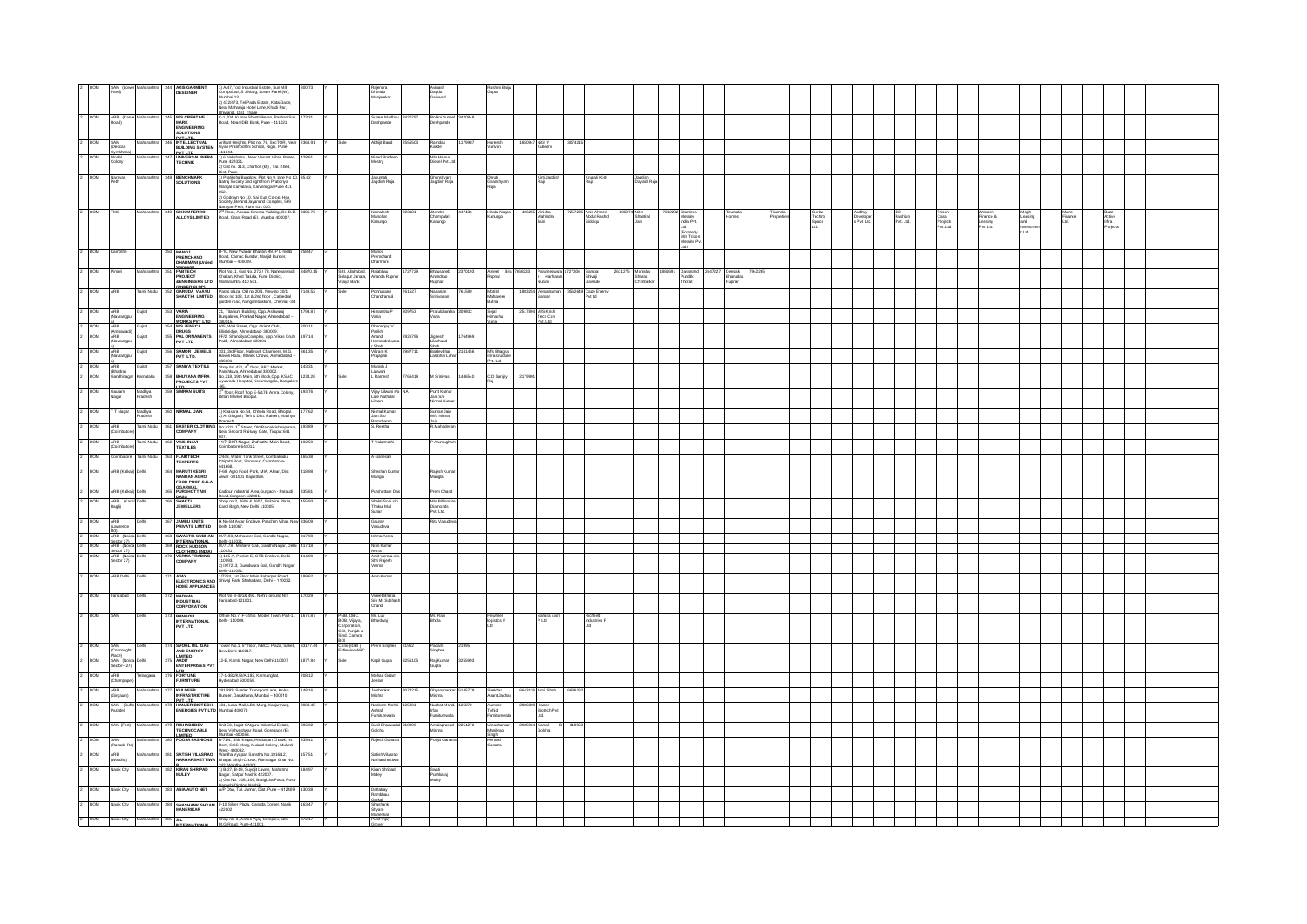|                              | SAM (Low<br>Parel)                |                                   | <b>AXIS GARMENT</b><br>DESIGNER                                                                       |                                                                                                                                                                                           |          |                                                            | Dhondu<br>Manjarekar                  | Avinash<br>Dagdu<br>Gaikwad                  | Gupta                        |                                                                                    |                                         |                                 |                                          |                                      |                        |                                   |                                    |                            |                                         |                                   |                        |                         |                         |  |
|------------------------------|-----------------------------------|-----------------------------------|-------------------------------------------------------------------------------------------------------|-------------------------------------------------------------------------------------------------------------------------------------------------------------------------------------------|----------|------------------------------------------------------------|---------------------------------------|----------------------------------------------|------------------------------|------------------------------------------------------------------------------------|-----------------------------------------|---------------------------------|------------------------------------------|--------------------------------------|------------------------|-----------------------------------|------------------------------------|----------------------------|-----------------------------------------|-----------------------------------|------------------------|-------------------------|-------------------------|--|
|                              |                                   |                                   |                                                                                                       | 1) A/47,Todi Industrial Estate, Sun Mill<br>Compound, S.J Marg, Lower Parel (W),<br>Mumbai 13.<br>2) 472/473, Tell-Pada Estate, KatalGaon,<br>Near Maharaja Hotel Lane, Khad Par,         |          |                                                            |                                       |                                              |                              |                                                                                    |                                         |                                 |                                          |                                      |                        |                                   |                                    |                            |                                         |                                   |                        |                         |                         |  |
|                              |                                   |                                   |                                                                                                       |                                                                                                                                                                                           |          |                                                            |                                       |                                              |                              |                                                                                    |                                         |                                 |                                          |                                      |                        |                                   |                                    |                            |                                         |                                   |                        |                         |                         |  |
|                              | ARB (Kar<br>Road)                 |                                   | <b>MS.CREATIVE</b>                                                                                    | Rhiwandi, Dist. Thane<br>C-1,704, Kumar Shantiniketan, Pashan-Sus<br>Road, Near IDBI Bark, Pune - 411021.                                                                                 |          |                                                            | Sunael Madha<br>shpande               | Rohini Suneel 3420848<br>eshpande            |                              |                                                                                    |                                         |                                 |                                          |                                      |                        |                                   |                                    |                            |                                         |                                   |                        |                         |                         |  |
|                              |                                   |                                   | MARK<br>ENGINEERING<br>SOLUTIONS                                                                      |                                                                                                                                                                                           |          |                                                            |                                       |                                              |                              |                                                                                    |                                         |                                 |                                          |                                      |                        |                                   |                                    |                            |                                         |                                   |                        |                         |                         |  |
| BOM                          | SAM<br>(Deccan                    |                                   | <b>PYTITO</b><br>INTELLECTUAL<br>BUILDING SYSTEM                                                      | Arihant Heights, Plot no. 76, SecTOR, Near 2368.91<br>Gyan Prabhodhini School, Nigdi, Pune-                                                                                               |          |                                                            | bhijt Band                            | Ramdas<br>Kakde                              | Haressh<br>Vanvari           | 17 Nitin Y<br>Kulkami                                                              |                                         |                                 |                                          |                                      |                        |                                   |                                    |                            |                                         |                                   |                        |                         |                         |  |
|                              | <b>Gymkhan</b>                    |                                   | PVT ITD<br>UNIVERSAL INFR<br>TECHNIK                                                                  |                                                                                                                                                                                           | 428.6    |                                                            | Ninad Prade                           |                                              |                              |                                                                                    |                                         |                                 |                                          |                                      |                        |                                   |                                    |                            |                                         |                                   |                        |                         |                         |  |
|                              | Model<br>Colony                   |                                   |                                                                                                       | 411044.<br>1) 6 Nakshatra , Near Vasant Vihar, Baner,<br>Pune 422021.<br>2) Gat no. 313, Charholi (kh) , Tal. Khed,                                                                       |          |                                                            | astry                                 | M/s Hansa<br>Diesel Pvt.Ltd                  |                              |                                                                                    |                                         |                                 |                                          |                                      |                        |                                   |                                    |                            |                                         |                                   |                        |                         |                         |  |
|                              |                                   |                                   | <b>BENCHMAR</b>                                                                                       |                                                                                                                                                                                           |          |                                                            |                                       |                                              |                              |                                                                                    |                                         |                                 |                                          |                                      |                        |                                   |                                    |                            |                                         |                                   |                        |                         |                         |  |
|                              | Narayar<br>Peth                   |                                   | SOLUTIONS                                                                                             | Dist. Pune.<br>1) Pratischa Bunglow, Plot No 9, lane No 10, 35.62<br>1) Ratraj Society 2nd right from Pratidnya<br>Mangal Karyalaya, Karvenagar Pune 411                                  |          |                                                            | Jasumati<br>Jagdish Raja              | Ghanshyam<br>Jagdish Raja                    | Dhruti<br>Ghanshyam<br>Raia  | Kirti Jagdish<br>Raja                                                              | Krupal Kirt<br>Raja                     | lagdish<br>Dayalal Raja         |                                          |                                      |                        |                                   |                                    |                            |                                         |                                   |                        |                         |                         |  |
|                              |                                   |                                   |                                                                                                       |                                                                                                                                                                                           |          |                                                            |                                       |                                              |                              |                                                                                    |                                         |                                 |                                          |                                      |                        |                                   |                                    |                            |                                         |                                   |                        |                         |                         |  |
|                              |                                   |                                   |                                                                                                       | Uta2<br>2) Godowin No 10, Sai Kurij Co-op. Hsg<br>Society, Behind Jayanand Complex, 569<br>Maravan Peth. Pune 411.030.<br>2 <sup>nd</sup> Floor, Apsara Cinema Vuilding, Dr. D.B. 3386.76 |          |                                                            |                                       |                                              |                              |                                                                                    |                                         |                                 |                                          |                                      |                        |                                   |                                    |                            |                                         |                                   |                        |                         |                         |  |
| BOM                          |                                   |                                   | SIKKIM FERRO<br>ALLOYS LIMITED                                                                        | Road, Grant Road (E), Mumbai 400007.                                                                                                                                                      |          |                                                            | Kamalesh<br>Manchar<br>Kanungo        | Jitendra<br>Champalal<br>Kanungo<br>447436   | Hiralal Nagraj<br>Kanungo    | 55 Vinisha<br>Mahindra<br>Jain                                                     | 5 Anis Ahmed<br>Abdul Rashid<br>Siddood | Shantilal                       | 142282 Stainless<br>Metalex<br>India Pvt | Tirumala<br>Homes                    | Tirumala<br>Properties |                                   | Aadhay<br>Developer<br>s Pvt. Ltd. |                            |                                         |                                   | Megh<br>Leasing<br>and | Mane<br>Finance<br>Ltd. | Buzz<br>Active<br>Infra |  |
|                              |                                   |                                   |                                                                                                       |                                                                                                                                                                                           |          |                                                            |                                       |                                              |                              |                                                                                    | diqui                                   |                                 |                                          |                                      |                        | Gorias<br>Techno<br>Space<br>Ltd. |                                    | DS<br>Fashion<br>Pvt. Ltd. | Trison<br>Casa<br>Projects<br>Pvt. Ltd. | Finance &<br>Leasing<br>Pvt. Ltd. |                        |                         |                         |  |
|                              |                                   |                                   |                                                                                                       |                                                                                                                                                                                           |          |                                                            |                                       |                                              |                              |                                                                                    |                                         |                                 | (Formerly<br>M/s Trisor                  |                                      |                        |                                   |                                    |                            |                                         |                                   |                        |                         |                         |  |
|                              |                                   |                                   |                                                                                                       |                                                                                                                                                                                           |          |                                                            |                                       |                                              |                              |                                                                                    |                                         |                                 | etalex Pvt                               |                                      |                        |                                   |                                    |                            |                                         |                                   |                        |                         |                         |  |
| <b>BOM</b><br>2              | Camothe                           |                                   | MANOJ<br>PREMCHAND<br>DHARMANI (United                                                                | B-10. New Vyapar Bhavan, 49, P D'mello<br>Road, Carnac Bundar, Masjid Bundar,<br>Mumbai – 400009.                                                                                         | 258.47   |                                                            | Manoj<br>Premchand<br>Dharmani        |                                              |                              |                                                                                    |                                         |                                 |                                          |                                      |                        |                                   |                                    |                            |                                         |                                   |                        |                         |                         |  |
|                              |                                   |                                   |                                                                                                       |                                                                                                                                                                                           |          |                                                            |                                       |                                              |                              |                                                                                    |                                         |                                 |                                          |                                      |                        |                                   |                                    |                            |                                         |                                   |                        |                         |                         |  |
| BOM                          | impri                             |                                   | Ehimore)<br>FABTECH<br><b>PROJECT</b>                                                                 | Plot No. 1, Gat No. 272 / 73, Nanskarwadi,<br>Chakan, Khad Taluka, Pune District,<br>Maharashira 410 501.                                                                                 | 34870.15 | SBI, Allahabad,<br>Solapur Janata,<br>Vijaya Bark          | Rajabhau<br>Ananda Rupna              | Bhausaheb<br>Anandrao<br>Rupnar<br>2370193   | Ameet Bira                   | Parameswara 1<br>h Hariharan                                                       | Sampat<br>Shivaji<br>Gawade             | Marisha<br>Sharad<br>Chimbalkar | Dayarand<br>Pundlik<br>Thorat            | 2647227 Deepak<br>Bhanudas<br>Rupnar |                        |                                   |                                    |                            |                                         |                                   |                        |                         |                         |  |
|                              |                                   |                                   | <b><i>BENGINEERS LTD</i></b>                                                                          |                                                                                                                                                                                           |          |                                                            |                                       |                                              |                              | lurani                                                                             |                                         |                                 |                                          |                                      |                        |                                   |                                    |                            |                                         |                                   |                        |                         |                         |  |
| <b>BOM</b>                   | <b>ARR</b>                        |                                   | (UNDER CLRP)<br>GARUDA VAAYU<br>SHAKTHI LIMTED                                                        | .<br>Paras plaza, Old no 2011, New no 3011,<br>Block no 108, 1st & 2nd floor , Cathedral<br>garden road, Nungambakkam, Chennai -34.                                                       | 149.52   |                                                            | onusami<br>andramuli                  | Nagarjan<br>Srinivasan                       | Motial                       | iankar                                                                             | Cape Energy<br>Pvt Itd                  |                                 |                                          |                                      |                        |                                   |                                    |                            |                                         |                                   |                        |                         |                         |  |
|                              |                                   |                                   |                                                                                                       |                                                                                                                                                                                           |          |                                                            |                                       |                                              | Mahaveer<br>Bafna            |                                                                                    |                                         |                                 |                                          |                                      |                        |                                   |                                    |                            |                                         |                                   |                        |                         |                         |  |
| 2 BOM                        | ARB<br>(Navrangpur                | Gujrat                            | 353 VARIA<br>ENGINEERING<br>WORKS PVT ITD<br>354 MS ZENECA<br>355 PAL ORNAMENTS<br>PVT LTD<br>PVT LTD | 21, Titanium Building, Opp. Ashwaraj<br>Bungalows, Prahlad Nagar, Ahmedabad –                                                                                                             | 4793.87  |                                                            | ilmanshu P                            | Prafulchandra 309802<br>ana                  | Sejal<br>Himashu             | M'S Krish<br>Tech Con                                                              |                                         |                                 |                                          |                                      |                        |                                   |                                    |                            |                                         |                                   |                        |                         |                         |  |
|                              | ARB                               | Gujrat                            |                                                                                                       | sannis.<br>605, Wall Street, Opp. Orient Club,                                                                                                                                            | 200.11   |                                                            | Dhananjay V                           |                                              |                              |                                                                                    |                                         |                                 |                                          |                                      |                        |                                   |                                    |                            |                                         |                                   |                        |                         |                         |  |
| $\frac{2}{2}$ BOM            | (Amhawadi)<br>ARB<br>(Navrangpur  | Gujrat                            |                                                                                                       | Filishsidne Ahmedahad, 38000<br>FF/2, Shandiya Complex, opp. Vikas Gruh,<br>Paldi, Ahmedabad 380001                                                                                       | 197.14   |                                                            | Panish.<br>Anand                      | Jignesh<br>Lilachand                         |                              |                                                                                    |                                         |                                 |                                          |                                      |                        |                                   |                                    |                            |                                         |                                   |                        |                         |                         |  |
|                              |                                   |                                   |                                                                                                       |                                                                                                                                                                                           |          |                                                            | endraku                               |                                              |                              |                                                                                    |                                         |                                 |                                          |                                      |                        |                                   |                                    |                            |                                         |                                   |                        |                         |                         |  |
| 2 BOM                        | al<br>ARB<br>(Navrangpur          | Gujrat                            |                                                                                                       | 356 SAMOR JEWELS 301, 3rd Floor, Hallmark Chambers, M.G. 361.35<br>PVT LTD. Havell Road, Manek Chowk, Ahmedabad –                                                                         |          |                                                            | r Shah<br>Vikram K<br>Prajapati       | Shah<br>Baldevohal 2141456<br>Lalabhai Luhar | M/s Bhagya<br>Infrastructure |                                                                                    |                                         |                                 |                                          |                                      |                        |                                   |                                    |                            |                                         |                                   |                        |                         |                         |  |
| 2 BOM                        | ARB                               | Gujrat                            | 357 SANIYA TEXTILE                                                                                    | 380001<br>Shop No 431, 4 <sup>th</sup> floor, BBC Market,                                                                                                                                 | 143.31   |                                                            | Manish J                              |                                              | M.LM                         |                                                                                    |                                         |                                 |                                          |                                      |                        |                                   |                                    |                            |                                         |                                   |                        |                         |                         |  |
| 2 BOM                        |                                   | (Bhadra)<br>Gandhinagar Karnataka | BHUVANA INFRA<br>PROJECTS PVT                                                                         | Panchlowa, Ahmedabad 380002.<br>No.218, 19th Main, 6th Block, Opp. KSAC 1234.26<br>Ayurveda Hospital, Koramangala, Bangalore                                                              |          |                                                            | Lakwani<br>L Ramesh                   |                                              | C D Sanja                    |                                                                                    |                                         |                                 |                                          |                                      |                        |                                   |                                    |                            |                                         |                                   |                        |                         |                         |  |
| Þ<br><b>BOM</b>              |                                   |                                   | ITD<br>359 SIMRAN SUITS                                                                               | 3 <sup>th</sup> floor, Roof Top E-5/17B Arera Colony, 193.76                                                                                                                              |          |                                                            |                                       |                                              |                              |                                                                                    |                                         |                                 |                                          |                                      |                        |                                   |                                    |                            |                                         |                                   |                        |                         |                         |  |
|                              | Gautam<br>Nagar                   | Madhya<br>Pradesh                 |                                                                                                       | Bittan Market Bhopal.                                                                                                                                                                     |          |                                                            | Vijay Lilwani s/c<br>Late Nathulal    | Punit Kumar<br>Jain S/o<br>Nirmal Kumar      |                              |                                                                                    |                                         |                                 |                                          |                                      |                        |                                   |                                    |                            |                                         |                                   |                        |                         |                         |  |
| $\overline{z}$<br><b>BOW</b> |                                   |                                   | 360 NIRMAL JAIN                                                                                       |                                                                                                                                                                                           |          |                                                            | limal Kuma                            |                                              |                              |                                                                                    |                                         |                                 |                                          |                                      |                        |                                   |                                    |                            |                                         |                                   |                        |                         |                         |  |
|                              |                                   | T Nagar Madhya<br>Pradesh         |                                                                                                       | 1) Khasara No.54, Chhola Road, Bhopal. 177.62<br>2) At Gidgarh, Teh & Dist. Raisen, Madhya                                                                                                |          |                                                            | lain S/o<br>mchara                    | Suman Jain<br>W/o Nirmal                     |                              |                                                                                    |                                         |                                 |                                          |                                      |                        |                                   |                                    |                            |                                         |                                   |                        |                         |                         |  |
|                              | 2 BOM ARB<br>Coimbat              | <b>Tamil Nadu</b>                 |                                                                                                       | Franch<br>361 EASTER CLOTHING No.42/1,1 <sup>41</sup> Street, Old Ramakrishnapuram,<br>COMPANY Near Second Railway Gate, Tinipur:641                                                      | 193.89   |                                                            | . Reetha                              | Mahadev                                      |                              |                                                                                    |                                         |                                 |                                          |                                      |                        |                                   |                                    |                            |                                         |                                   |                        |                         |                         |  |
| 2<br>BOM                     | ARB                               | Tamil Nada                        | 362 VAISH                                                                                             | 11/7, BKR Nagar, 2nd sathy Main Road,                                                                                                                                                     | 192.59   |                                                            | Valarmathi                            | Arumughan                                    |                              |                                                                                    |                                         |                                 |                                          |                                      |                        |                                   |                                    |                            |                                         |                                   |                        |                         |                         |  |
|                              | (Coimbato                         |                                   | <b>TEXTILES</b>                                                                                       | Coimbatore 641012.                                                                                                                                                                        |          |                                                            |                                       |                                              |                              |                                                                                    |                                         |                                 |                                          |                                      |                        |                                   |                                    |                            |                                         |                                   |                        |                         |                         |  |
| Þ<br><b>BOM</b>              |                                   | Coimbatore Tamil Nadu             | 363 FLARTECH<br><b>TEXPERTS</b>                                                                       | 2/443, Water Tark Street, Kombakadu,<br>Ichipatti Post, Somanur, Coimbatore-                                                                                                              | 165.38   |                                                            | Ganesan                               |                                              |                              |                                                                                    |                                         |                                 |                                          |                                      |                        |                                   |                                    |                            |                                         |                                   |                        |                         |                         |  |
| 2<br>BOM                     | ARB (Kalkaji) Delt                |                                   | <b>MARUTIKESRI</b>                                                                                    | 641668.<br>F-69, Agro Food Park, MIA, Alwar, Dist<br>Alwar -301001 Rajasthan.                                                                                                             | 418.98   |                                                            | Sheshan Kur                           | Rajesh Kum<br>Mangla                         |                              |                                                                                    |                                         |                                 |                                          |                                      |                        |                                   |                                    |                            |                                         |                                   |                        |                         |                         |  |
|                              |                                   |                                   | <b>NANDAN AGRO<br/>FOOD PROP S.K.A</b>                                                                |                                                                                                                                                                                           |          |                                                            | Mangla                                |                                              |                              |                                                                                    |                                         |                                 |                                          |                                      |                        |                                   |                                    |                            |                                         |                                   |                        |                         |                         |  |
| $2 - BOM$                    | ARB (Kakaji) Dehi                 |                                   | GOARWAL<br>365 PURSHOTTAM                                                                             | Kadpur Industrial Area Gurgaon - Pataudi 335.81                                                                                                                                           |          |                                                            | Purshotam Da                          | Prem Chand                                   |                              |                                                                                    |                                         |                                 |                                          |                                      |                        |                                   |                                    |                            |                                         |                                   |                        |                         |                         |  |
| E<br><b>BOM</b>              | ARB (Karol Delhi<br>Bagh)         |                                   | 366 SHAKTI<br>JEWELLERS                                                                               | Road Gurgaon 122001.<br>Shop no 2, 2606 & 2607, Solitaire Plaza, 455.93<br>Karol Bagh, New Delhi 110005.                                                                                  |          |                                                            | Shakti Soni si<br>Thakur Mal          | M's Billionain                               |                              |                                                                                    |                                         |                                 |                                          |                                      |                        |                                   |                                    |                            |                                         |                                   |                        |                         |                         |  |
|                              |                                   |                                   |                                                                                                       |                                                                                                                                                                                           |          |                                                            |                                       | Diamonds<br>Pvt. Ltd.                        |                              |                                                                                    |                                         |                                 |                                          |                                      |                        |                                   |                                    |                            |                                         |                                   |                        |                         |                         |  |
| E<br>BOM                     | ARB<br>(Lawrence                  |                                   | JAMBU KNITS<br>PRIVATE LIMITED                                                                        | H.No-84 Avtar Enclave, Paschim Vihar, New 336.09<br>Dehi 110067.                                                                                                                          |          |                                                            | Gaurav<br>Vasudeva                    |                                              |                              |                                                                                    |                                         |                                 |                                          |                                      |                        |                                   |                                    |                            |                                         |                                   |                        |                         |                         |  |
| $2 - BOM$                    | Rd)<br>ARB (Noida Delh            |                                   |                                                                                                       | S68 SWASTIK SUBHAM 1X/7198, Mahaveer Gali, Gandhi Nagar, 317.98                                                                                                                           |          |                                                            | hma Arora                             |                                              |                              |                                                                                    |                                         |                                 |                                          |                                      |                        |                                   |                                    |                            |                                         |                                   |                        |                         |                         |  |
| BOM                          | Sector 27)<br>ARB (Noida Delh     |                                   | INTERNATIONAL                                                                                         | Dehi-110031.<br>IX/7178 , Mahavir Gali, Gandhi Nagar, Delhi 417.18                                                                                                                        |          |                                                            | Nitin Kumar                           |                                              |                              |                                                                                    |                                         |                                 |                                          |                                      |                        |                                   |                                    |                            |                                         |                                   |                        |                         |                         |  |
| <b>BOM</b>                   | Sector 27)<br>ARB (Noida Del      |                                   | CLOTHING (INDIA)                                                                                      | 110031<br>1) 105-A, Pocket-E, GTB Enclave, Delhi- 414.09                                                                                                                                  |          |                                                            | Arora<br>Amit Verma si<br>Shri Rajesh |                                              |                              |                                                                                    |                                         |                                 |                                          |                                      |                        |                                   |                                    |                            |                                         |                                   |                        |                         |                         |  |
|                              | Sector 27)                        |                                   | COMPANY                                                                                               | 110093.<br>2) IX/7213, Gurudwara Gali, Gandhi Nagar,                                                                                                                                      |          |                                                            | erma                                  |                                              |                              |                                                                                    |                                         |                                 |                                          |                                      |                        |                                   |                                    |                            |                                         |                                   |                        |                         |                         |  |
| <b>BOM</b>                   | <b>IRB Deh</b>                    |                                   |                                                                                                       | Dehi-110051.<br>AJAY 1/7224, 1st Floor Main Babarpur Road,<br>ELECTRONICS AND Shivaj Park, Shahadara, Dehi -- 110032.                                                                     | 199.62   |                                                            | .<br>Arun Kumar                       |                                              |                              |                                                                                    |                                         |                                 |                                          |                                      |                        |                                   |                                    |                            |                                         |                                   |                        |                         |                         |  |
|                              |                                   |                                   | HOME APPLIANCES                                                                                       |                                                                                                                                                                                           |          |                                                            |                                       |                                              |                              |                                                                                    |                                         |                                 |                                          |                                      |                        |                                   |                                    |                            |                                         |                                   |                        |                         |                         |  |
| BOM                          |                                   |                                   | MADHAV<br>INDUSTRIAL                                                                                  | Plot No B-491& 492, Nehru ground NIT                                                                                                                                                      | 170.29   |                                                            | Vineet Bhatia<br>S/o Mr Subhas        |                                              |                              |                                                                                    |                                         |                                 |                                          |                                      |                        |                                   |                                    |                            |                                         |                                   |                        |                         |                         |  |
|                              |                                   |                                   | <b>CORPORATION</b>                                                                                    | Faridabad-121001.                                                                                                                                                                         |          |                                                            |                                       |                                              |                              |                                                                                    |                                         |                                 |                                          |                                      |                        |                                   |                                    |                            |                                         |                                   |                        |                         |                         |  |
| BOM                          |                                   |                                   |                                                                                                       | Office No.7, F-14/50, Model Town, Part-1, 1676.87<br>Dehi- 110009.                                                                                                                        |          |                                                            | Mr. Luv<br>Bhardwaj                   | Mr. Ravi<br>Bhola                            | Flywhael<br>logistics P      | Sahara Exim<br>P Ltd                                                               | Richfield<br>Industries P               |                                 |                                          |                                      |                        |                                   |                                    |                            |                                         |                                   |                        |                         |                         |  |
|                              |                                   |                                   | RANGOLI<br>INTERNATIONAL<br>PVT LTD                                                                   |                                                                                                                                                                                           |          | PNB, OBC,<br>BOB, Vijaya,<br>Corporation,<br>CBI, Punjab & |                                       |                                              |                              |                                                                                    |                                         |                                 |                                          |                                      |                        |                                   |                                    |                            |                                         |                                   |                        |                         |                         |  |
|                              |                                   |                                   |                                                                                                       |                                                                                                                                                                                           |          | Sind, Canara,                                              |                                       |                                              |                              |                                                                                    |                                         |                                 |                                          |                                      |                        |                                   |                                    |                            |                                         |                                   |                        |                         |                         |  |
|                              | BOM SAM<br>(Connaught             |                                   | 374 SVOGL OIL GAS<br>AND ENERGY                                                                       | Tower No.1, 5 <sup>th</sup> floor, NBCC Plaza, Saket, 33177.44<br>New Delhi 110017.                                                                                                       |          | But<br>Cons-(IDBI )<br>Eidlewise ARC                       | Prem Singhee                          | Padam<br>Singhee<br>21962<br>21995           |                              |                                                                                    |                                         |                                 |                                          |                                      |                        |                                   |                                    |                            |                                         |                                   |                        |                         |                         |  |
| BOM                          | Place)<br>SAM (Noida              |                                   | <b>IMITED</b>                                                                                         | 12-E, Kamla Nagar, New Delhi-110007                                                                                                                                                       | 1877.84  |                                                            | spil Gupta                            | Raj Kumar<br>256105                          |                              |                                                                                    |                                         |                                 |                                          |                                      |                        |                                   |                                    |                            |                                         |                                   |                        |                         |                         |  |
|                              | Sector-27)                        |                                   | AADIT<br>ENTERPRISES PVT                                                                              |                                                                                                                                                                                           |          |                                                            |                                       | <b>Gupta</b>                                 |                              |                                                                                    |                                         |                                 |                                          |                                      |                        |                                   |                                    |                            |                                         |                                   |                        |                         |                         |  |
| BOM                          | ARB<br>-<br>Champapet)            |                                   | Th<br>376 FORTUNE<br>FURNITURE                                                                        | 17-1-382K/B/A/182, Karmanghat,<br>Hyderabad 500 059.                                                                                                                                      | 208.12   |                                                            | Mohad Gula<br>elani                   |                                              |                              |                                                                                    |                                         |                                 |                                          |                                      |                        |                                   |                                    |                            |                                         |                                   |                        |                         |                         |  |
|                              | ARB                               |                                   | KULDEEP<br>INFRASTRICTIRE                                                                             | .<br>281/283, Sunder Transport Lane, Kolsa<br>Bunder, Darukhana, Mumbai – 400010.                                                                                                         | 48.16    |                                                            | laishankar                            | 72215<br>5145779                             |                              |                                                                                    |                                         |                                 |                                          |                                      |                        |                                   |                                    |                            |                                         |                                   |                        |                         |                         |  |
|                              | Girgaum)                          |                                   |                                                                                                       |                                                                                                                                                                                           |          |                                                            | shra                                  | Ghyarshank<br>Mishra                         | Shekhar<br>Anant Jadhay      |                                                                                    |                                         |                                 |                                          |                                      |                        |                                   |                                    |                            |                                         |                                   |                        |                         |                         |  |
| BOM                          | SAM (Cuffo<br><sup>9</sup> arade) |                                   |                                                                                                       | Burr   Th<br>  HANJER BIOTECH   401, Huma Mall, LBS Marg, Kanjurmarg,<br>  ENERGIES PVT LTD   Mumbai-400078                                                                               | 3988.45  |                                                            | Nadeem Mol<br>Ashraf<br>Furriturewala | irlan<br>Furniturewali                       | Aameer<br>Tohid<br>Fumiturew | 8 Hanjor<br>$\begin{array}{c} r^*\\ \text{Biotach Put.}\\ \text{Lid.} \end{array}$ |                                         |                                 |                                          |                                      |                        |                                   |                                    |                            |                                         |                                   |                        |                         |                         |  |
|                              |                                   |                                   |                                                                                                       |                                                                                                                                                                                           |          |                                                            |                                       |                                              |                              |                                                                                    |                                         |                                 |                                          |                                      |                        |                                   |                                    |                            |                                         |                                   |                        |                         |                         |  |
| <b>BOM</b>                   | SAM (Fort                         |                                   | <b>RISHABHDEV<br/>TECHNOCABLE</b>                                                                     | Unit 53, Jagat SAtguru Industrial Estate,<br>Near Vishveshwar Road, Goregaon (E)                                                                                                          | 896.92   |                                                            | .<br>Sunil Bhanwar<br>olcha           | Amalaprasac<br>Mishra<br>2254272             | Umashark<br>nikrao           | <sup>4</sup> Kamal<br>Golcha                                                       |                                         |                                 |                                          |                                      |                        |                                   |                                    |                            |                                         |                                   |                        |                         |                         |  |
| <b>BOM</b>                   | SAM<br>(Ranade Rd)                |                                   | IMITED<br>BO POOJA FASHIONS                                                                           | Mumhai Lannasa<br>B-71/4, Shiv Krupa, Hindustan Chowk, Nr.<br>Bom, GGS Marg, Mulund Colony, Mulund                                                                                        | 535.41   |                                                            | ajesh Ganatr                          |                                              | Hemaxi<br>Garatra            |                                                                                    |                                         |                                 |                                          |                                      |                        |                                   |                                    |                            |                                         |                                   |                        |                         |                         |  |
|                              |                                   |                                   |                                                                                                       |                                                                                                                                                                                           | 157.51   |                                                            |                                       |                                              |                              |                                                                                    |                                         |                                 |                                          |                                      |                        |                                   |                                    |                            |                                         |                                   |                        |                         |                         |  |
| BOM<br>Þ                     | ARB<br>(Wardha)                   |                                   | <b>B1</b> SATISH VILASRAO                                                                             | West-400082.<br>SATISH VILASRAO Wardha Vyapari Sanstha No.1916/12,<br>NARHARSHETTIWA Bhagat Singh Chowk, Ramnagar Ghar No.                                                                |          |                                                            | .<br>Satish Vilasra<br>Narharshettiw  |                                              |                              |                                                                                    |                                         |                                 |                                          |                                      |                        |                                   |                                    |                            |                                         |                                   |                        |                         |                         |  |
| <b>BOM</b><br>2              | <b>Jasik City</b>                 |                                   |                                                                                                       | R<br>KIRAN SHRIPAD 1) B-27, B-19, Suyojt Lawre, Mahatma<br>MULEY Nagar, Satour Nashk 422007.                                                                                              | 184.97   |                                                            | Kiran Shripad                         | Swati<br>Pushkaraj<br>Mulay                  |                              |                                                                                    |                                         |                                 |                                          |                                      |                        |                                   |                                    |                            |                                         |                                   |                        |                         |                         |  |
|                              |                                   |                                   |                                                                                                       | Nagar, Satpur Nashik 422007.<br>2) Gat No. 108, 109, Badgicha Pada, Post-                                                                                                                 |          |                                                            | luley                                 |                                              |                              |                                                                                    |                                         |                                 |                                          |                                      |                        |                                   |                                    |                            |                                         |                                   |                        |                         |                         |  |
| BOM<br>$\overline{z}$        | asik City                         |                                   | 383 ASIA AUTO NET                                                                                     | Nanashi Dindori Nashik.<br>A/P Otur, Tal. Junnar, Dist. Pune - 412409. 130.38                                                                                                             |          |                                                            | Dattatray<br>Rambhau                  |                                              |                              |                                                                                    |                                         |                                 |                                          |                                      |                        |                                   |                                    |                            |                                         |                                   |                        |                         |                         |  |
| $\overline{z}$<br>BOW        | asik City                         |                                   |                                                                                                       |                                                                                                                                                                                           |          |                                                            | Garkal<br>Shasharik<br>Shyam          |                                              |                              |                                                                                    |                                         |                                 |                                          |                                      |                        |                                   |                                    |                            |                                         |                                   |                        |                         |                         |  |
|                              |                                   |                                   |                                                                                                       | SH SHASHANK SHYAM F-10 Silver Plaza, Canada Corner, Nasik 163.47<br>MANERIKAR 422002                                                                                                      |          |                                                            |                                       |                                              |                              |                                                                                    |                                         |                                 |                                          |                                      |                        |                                   |                                    |                            |                                         |                                   |                        |                         |                         |  |
| $2 - BOM$                    |                                   |                                   | Nask City Maharashtra 385 SL NTERNATIONAL                                                             | Shop no. 3, Ashok Vijay Complex, 326, 372.17 Y<br>M.G. Road, Pune 411001                                                                                                                  |          |                                                            | manangan<br>Punit Vijay               |                                              |                              |                                                                                    |                                         |                                 |                                          |                                      |                        |                                   |                                    |                            |                                         |                                   |                        |                         |                         |  |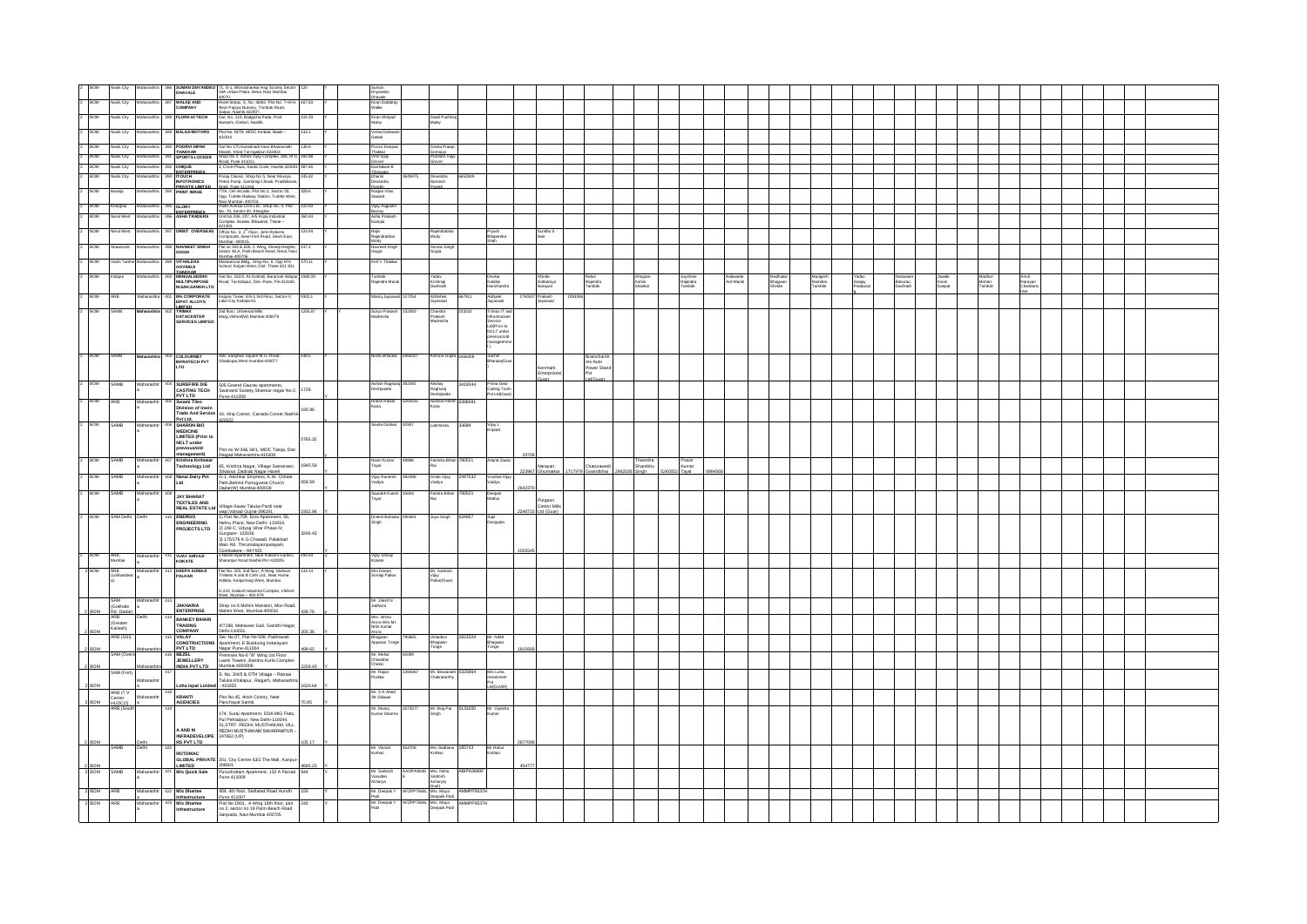|                           | k City                             |                     |                                                                            | SUMAN DNYANDEO 71, G-1, Bhimasharkar Hsg Society Secto                                                                                                                                                                                           |         | Suman<br>Driyandeo                         |                                                                                               |         |                                              |                                 |                     |                             |                     |            |                   |                              |                   |                     |                           |                  |                     |  |  |  |
|---------------------------|------------------------------------|---------------------|----------------------------------------------------------------------------|--------------------------------------------------------------------------------------------------------------------------------------------------------------------------------------------------------------------------------------------------|---------|--------------------------------------------|-----------------------------------------------------------------------------------------------|---------|----------------------------------------------|---------------------------------|---------------------|-----------------------------|---------------------|------------|-------------------|------------------------------|-------------------|---------------------|---------------------------|------------------|---------------------|--|--|--|
| BOW                       | dasik City                         | harashtr            | 387 WALKE AND                                                              |                                                                                                                                                                                                                                                  | 67.83   | uhavale<br>Kiran Dattatray<br>Walke        |                                                                                               |         |                                              |                                 |                     |                             |                     |            |                   |                              |                   |                     |                           |                  |                     |  |  |  |
| BOM                       | ak Cib                             |                     | 388 FLORA HITECH                                                           | 40070.<br>Hotel Status, S. No: 469/2, Plot No: 7+8+9,<br>Hear Papiya Nursery, Trimbak Road,<br>Sabur. Nashik 422007.<br>Gat. No. 118, Badgicha Pada, Post<br>Nanashi, Dindori, Nashik.                                                           | 5.33    |                                            |                                                                                               |         |                                              |                                 |                     |                             |                     |            |                   |                              |                   |                     |                           |                  |                     |  |  |  |
|                           |                                    |                     |                                                                            |                                                                                                                                                                                                                                                  |         | Kiran Shripa<br>Muley                      | Swati Pusl<br>Muley                                                                           |         |                                              |                                 |                     |                             |                     |            |                   |                              |                   |                     |                           |                  |                     |  |  |  |
| BOM                       | asik City                          |                     | 389 BALAJI MOTORS                                                          | Plot No. M/78, MIDC Ambad, Nasik -<br>22010                                                                                                                                                                                                      |         | Vishal Datt<br>Gatkal                      |                                                                                               |         |                                              |                                 |                     |                             |                     |            |                   |                              |                   |                     |                           |                  |                     |  |  |  |
| 2 BOM                     | Nasik City                         |                     | Maharashtra 390 POORVIDIPAK                                                | Gat No 175 Kanadvadi Near Bhairavnath                                                                                                                                                                                                            | 136.9   | Poorvi Deepa                               | Sneha Pratap                                                                                  |         |                                              |                                 |                     |                             |                     |            |                   |                              |                   |                     |                           |                  |                     |  |  |  |
| $2 - BOM$                 | Nasik City                         |                     | Maharashtra 391 SPORTS LOCKER                                              | Mandir, Khed Tal Ingatouri 422402<br>Shop No 3, Ashok Vijay Complex, 326, M G <sup>392-98</sup><br>Boad, Pune 411011.<br>3, Circle Plaza, Sarda Circle, Nashik 422001 387.65                                                                     |         | Thakkar<br>Vinit Vijay                     | šomaiva<br><sup>3</sup> oonam Vijay<br><b>Wer</b>                                             |         |                                              |                                 |                     |                             |                     |            |                   |                              |                   |                     |                           |                  |                     |  |  |  |
| 2 BOM<br><b>BOM</b>       | Nasik City<br>Nasik City           | arashtra 392 UNIQUE |                                                                            |                                                                                                                                                                                                                                                  | 345.42  | Grover<br>Kamlakant B                      |                                                                                               | 62849   |                                              |                                 |                     |                             |                     |            |                   |                              |                   |                     |                           |                  |                     |  |  |  |
|                           |                                    |                     | ENTERPRISES                                                                | Pooja Classic, Shop No 5, Near Mourya<br>Pooja Classic, Shop No 5, Near Mourya<br>Parol Punp, Sambhaji Chowk, Pradrikaran,<br>77/A, Om Arcade, Piet No.1, Sector 20,<br>77/A, Om Arcade, Piet No.1, Sector 20,<br>Nata Marchai. 460702.<br>Parol |         | Tibrewala<br>Dharini<br>Devendra           | Devendra<br>Ramesh<br>arekh                                                                   |         |                                              |                                 |                     |                             |                     |            |                   |                              |                   |                     |                           |                  |                     |  |  |  |
| <b>BOM</b>                | karanja                            |                     | <b>PRIVATE LIMITED</b><br>394 <b>PRINT IMAGE</b>                           |                                                                                                                                                                                                                                                  | 328.6   | Parekh<br>Ranjan Vilas<br>Sawant           |                                                                                               |         |                                              |                                 |                     |                             |                     |            |                   |                              |                   |                     |                           |                  |                     |  |  |  |
| 2 BOM                     | Kharghar                           |                     | Maharashtra 395 GLORY<br>Maharashtra 396 ASHA TRADERS                      |                                                                                                                                                                                                                                                  | 122.93  | Vijay Augustin                             |                                                                                               |         |                                              |                                 |                     |                             |                     |            |                   |                              |                   |                     |                           |                  |                     |  |  |  |
| BOM                       | Nerul West                         |                     |                                                                            |                                                                                                                                                                                                                                                  | 360.44  | Barcey<br>Asha Prakash<br>Kanoja           |                                                                                               |         |                                              |                                 |                     |                             |                     |            |                   |                              |                   |                     |                           |                  |                     |  |  |  |
| <b>BOM</b>                |                                    |                     | 397 ORBIT OVERSEAS                                                         | se isse.<br>Office No. 3, 1 <sup>61</sup> Floor, John Roberts<br>Compound, Sewri Fort Road, Sewri East,                                                                                                                                          | 124.94  | Rajiv<br>Rajendrabhai                      | Rajendrabha<br>Mody                                                                           |         | Piyush<br>Bhupendra                          | Sunitha S<br>Nair               |                     |                             |                     |            |                   |                              |                   |                     |                           |                  |                     |  |  |  |
| <b>BOM</b>                |                                    |                     | 398 NAVNEET SINGE                                                          | Mumhai. Annnts.<br>Flat no 504 & 505, C Wing, Shreeji Heights,<br>Sector 46 A, Palm Beach Road, Nerul, Navi                                                                                                                                      | 247.2   | Navneet Singh<br>Gogla                     | Simran Singh<br>Gogia                                                                         |         |                                              |                                 |                     |                             |                     |            |                   |                              |                   |                     |                           |                  |                     |  |  |  |
|                           | ashi Turbi                         |                     | <b>VITHALDAS</b>                                                           | Mumbai-400706<br>Mansarovar Bidg., Shop No. 6, Opp M K<br>School, Kalyan West, Dist. Thane 421 301.                                                                                                                                              |         | Kirti V Thakka                             |                                                                                               |         |                                              |                                 |                     |                             |                     |            |                   |                              |                   |                     |                           |                  |                     |  |  |  |
|                           |                                    |                     | <b>GOVINDJI</b><br>THAKKAR<br>MANGALSIDDHI                                 |                                                                                                                                                                                                                                                  |         |                                            |                                                                                               |         |                                              |                                 |                     |                             |                     |            |                   |                              |                   |                     |                           |                  |                     |  |  |  |
|                           |                                    |                     | <b>MANGALSIDDHI</b><br>MULTIPURPOSE<br>M.SAH.SANGH LTD                     | Gat No. 162/2, At-Goldhali, Baramati Indapu<br>Road, Tal-Indapur, Dist.-Pune, Pin-413106                                                                                                                                                         |         | Tambile<br>Rajendra Maruti                 | Yadav<br>Krishnaji<br>Dashrath                                                                |         | Devka<br>Kalidas<br>Harichandra              | Shinde<br>Dattatraya<br>Narayan | Rajendra<br>Tambile | Ghogare<br>Ashok<br>Sharkar | Rajendra<br>Tambile | Anil Manik | Bhagwan<br>Shinde | Mangesh<br>Namdeo<br>Tambile | Sanjay<br>Pandura | laburao<br>)ashrath | Jawale<br>Kisan<br>Garpat | Mohan<br>Tambile | Narayan<br>Chandann |  |  |  |
| <b>BOM</b>                |                                    |                     | <b>M's CORPORATE</b><br>ISPAT ALLOYS                                       | signa Tower, EN-1,3rd Floor, Sector-V,                                                                                                                                                                                                           | 3341.1  | Aanoj Jayas                                | Abhishek                                                                                      |         | Abhijoot<br>Jayaswal                         | Prakash<br>Jayaswal             |                     |                             |                     |            |                   |                              |                   |                     |                           |                  |                     |  |  |  |
|                           |                                    |                     | <b>IMITER</b><br>TRIMAX                                                    | ake City Kolkata-91<br>2nd floor, Universal Mills                                                                                                                                                                                                | 255.87  | Surya Prakasl                              | ayaswal                                                                                       |         | Trimax IT a                                  |                                 |                     |                             |                     |            |                   |                              |                   |                     |                           |                  |                     |  |  |  |
|                           |                                    |                     | DATACENTER<br><b>SERVICES LIMITED</b>                                      | Marg, Vikhroli(W), Mumbai-400079                                                                                                                                                                                                                 |         | Aadrecha                                   | Chandra<br>Prakash<br>Madrecha                                                                |         | Infrastructure<br>Service                    |                                 |                     |                             |                     |            |                   |                              |                   |                     |                           |                  |                     |  |  |  |
|                           |                                    |                     |                                                                            |                                                                                                                                                                                                                                                  |         |                                            |                                                                                               |         | Ltd(Prior to<br>NCLT under<br>previous/old   |                                 |                     |                             |                     |            |                   |                              |                   |                     |                           |                  |                     |  |  |  |
|                           |                                    |                     |                                                                            |                                                                                                                                                                                                                                                  |         |                                            |                                                                                               |         | manageem                                     |                                 |                     |                             |                     |            |                   |                              |                   |                     |                           |                  |                     |  |  |  |
| <b>BOM</b>                |                                    |                     | COLOURMET<br>INFRATECH PVT<br>LTD                                          | 308, Sanghavi Square M.G. Road,<br>Ghatkopar, West mumbal-400077                                                                                                                                                                                 | 548.5   | Nisha Bharuka<br>646632                    | ishore Gupta                                                                                  |         | Sachin<br>Bharuka(Gua                        |                                 | ers Auto            |                             |                     |            |                   |                              |                   |                     |                           |                  |                     |  |  |  |
|                           |                                    |                     |                                                                            |                                                                                                                                                                                                                                                  |         |                                            |                                                                                               |         |                                              | .enmark<br>Enterprise           | ower Stand          |                             |                     |            |                   |                              |                   |                     |                           |                  |                     |  |  |  |
| <b>BOM</b><br><b>SAMB</b> |                                    |                     | <b>SUREFIRE DIE</b>                                                        | 505 Govind Gaurav apartments,                                                                                                                                                                                                                    |         |                                            |                                                                                               | 19344   |                                              | usel                            | td(Guar)            |                             |                     |            |                   |                              |                   |                     |                           |                  |                     |  |  |  |
|                           |                                    |                     | <b>CASTING TECH</b>                                                        | Swanand Society, Shankar nagar No-2,<br>Pune-411009                                                                                                                                                                                              | 1728    | Ashish Raghu<br>Deshpande                  | Raghuraj<br>Deshpande                                                                         |         | Prima Gear<br>Cutting Tools<br>Pvt Ltd(Guar) |                                 |                     |                             |                     |            |                   |                              |                   |                     |                           |                  |                     |  |  |  |
| ROM                       |                                    |                     | PVT LTD<br>Swami Tiles<br>Division of Inwin                                |                                                                                                                                                                                                                                                  | 193.96  | <b>Hitesh Ratifal</b>                      | Nandini Hitosh                                                                                | 38858   |                                              |                                 |                     |                             |                     |            |                   |                              |                   |                     |                           |                  |                     |  |  |  |
|                           |                                    |                     | Pyt Ltd.<br>SHARON BIO                                                     | Trade And Service 16, Viraj Comer, Canada Comer, Nashik<br>422022                                                                                                                                                                                |         |                                            |                                                                                               |         |                                              |                                 |                     |                             |                     |            |                   |                              |                   |                     |                           |                  |                     |  |  |  |
| SAMB                      |                                    |                     | <b>MEDICINE</b>                                                            |                                                                                                                                                                                                                                                  |         | Savita Godwa                               | Lait Misra                                                                                    | 33689   | Vijay L<br>Kriplani                          |                                 |                     |                             |                     |            |                   |                              |                   |                     |                           |                  |                     |  |  |  |
|                           |                                    |                     | MEDICINE<br>LIMITED (Prior to<br>NCLT under<br>previous/old<br>management) |                                                                                                                                                                                                                                                  | 5765.32 |                                            |                                                                                               |         |                                              |                                 |                     |                             |                     |            |                   |                              |                   |                     |                           |                  |                     |  |  |  |
| BOM                       |                                    |                     |                                                                            | Plot no W-34& 34/1, MIDC Taloja, Dist-<br>Raigad Maharashtra-410208                                                                                                                                                                              |         |                                            |                                                                                               |         |                                              |                                 |                     |                             |                     |            |                   |                              |                   |                     |                           |                  |                     |  |  |  |
| <b>SAMB</b>               |                                    | Maharas             | Krishna Knitwear<br><b>Technology Ltd</b>                                  | 65. Krishna Nagar, Village Samaryani,                                                                                                                                                                                                            | 1945.59 | Navin Kumar<br>Tayal                       | Farindra Bihari 780521                                                                        |         | Anand Zaw                                    | larayan                         | <b>Saturawe</b>     | Trivendra<br>Shambhu        | Pravin<br>tumar.    |            |                   |                              |                   |                     |                           |                  |                     |  |  |  |
| <b>BOM</b>                | <b>SAMB</b>                        | faharas             | Nanai Dairy Pvt<br>Ltd                                                     | Silvassa Dadra& Nagar Haveli<br>G-1, Avishkar Empress, K.W. Chitale<br>Path,Behind Portuguese Church                                                                                                                                             | 659.59  | Vijay Ramesi<br>Vaidya                     | šmita Vijay<br>/aidya                                                                         | 147532  | Vrushali Vi<br>Vaidya                        |                                 |                     |                             |                     |            |                   |                              |                   |                     |                           |                  |                     |  |  |  |
| ROM<br>SAMR               |                                    |                     | <b>JAY BHARAT</b>                                                          | Dadar(W) Mumbai-400028                                                                                                                                                                                                                           |         | Saurabh Kuar<br>Tayal                      | Faridra Bihari<br>Rai                                                                         | 90521   | Deepak<br>Mathur                             |                                 |                     |                             |                     |            |                   |                              |                   |                     |                           |                  |                     |  |  |  |
|                           |                                    |                     | <b>TEXTILES AND</b><br><b>REAL ESTATE Ltd</b>                              | lage-Savav Taluka Pardi near                                                                                                                                                                                                                     |         |                                            |                                                                                               |         |                                              | Pulgaon<br>Cotton Mil           |                     |                             |                     |            |                   |                              |                   |                     |                           |                  |                     |  |  |  |
| BOM                       | SAM Delhi                          |                     | <b>ENERGO</b>                                                              | wapi Valsad Guirat-396191<br>1) Flat No.709, Eros Apartment, 56,<br>Nehru Place, New Delhi-110019.                                                                                                                                               |         | Dinesh Bahadur 29048 <sup>-</sup><br>Singh | Jaya Singh                                                                                    | 634957  | Sujit<br>Dasgupta                            |                                 |                     |                             |                     |            |                   |                              |                   |                     |                           |                  |                     |  |  |  |
|                           |                                    |                     | <b><i>ENGINEERING</i></b><br><b>PROJECTS LTD</b>                           | 2) 249 C, Udyog Vihar Phase IV,                                                                                                                                                                                                                  | 3246.43 |                                            |                                                                                               |         |                                              |                                 |                     |                             |                     |            |                   |                              |                   |                     |                           |                  |                     |  |  |  |
|                           |                                    |                     |                                                                            | Gurgaon- 122016.<br>3) 175/176 K G Chavadi, Palakkad<br>Main Rd. Thirumalayampalayam,                                                                                                                                                            |         |                                            |                                                                                               |         |                                              |                                 |                     |                             |                     |            |                   |                              |                   |                     |                           |                  |                     |  |  |  |
| BOM                       | ARB,<br>Mumbai                     | Maharash            | <b>VIJAY SHIVAJI</b><br>KOKATE                                             | $imbatore - 641106.$<br>Joimbatore – 641106.<br>Nilesh Apartment, Near Kulkami Garden<br>Iharanpur Road Nashik.Pin: 422005.                                                                                                                      | 34.93   | Vijay Shivaj<br>Kokate                     |                                                                                               |         |                                              |                                 |                     |                             |                     |            |                   |                              |                   |                     |                           |                  |                     |  |  |  |
|                           |                                    | Maharashtr          |                                                                            |                                                                                                                                                                                                                                                  |         |                                            |                                                                                               |         |                                              |                                 |                     |                             |                     |            |                   |                              |                   |                     |                           |                  |                     |  |  |  |
|                           | ARB<br>(Lokhandw                   |                     | DEEPA SOMAJI<br>PALKAR                                                     | Flat No. 203, 2nd floor, A Wing, Mahavir<br>Trinkets A and B CHS Ltd., Near Huma<br>Adlabs, Kanjurmarg West, Mumbai.                                                                                                                             |         | Mrs Deepa<br>Somaji Palkar                 | Mr. Santosl<br>Vijay<br>Palkan(Gua                                                            |         |                                              |                                 |                     |                             |                     |            |                   |                              |                   |                     |                           |                  |                     |  |  |  |
|                           |                                    |                     |                                                                            | )<br>210, Kailash Industrial Complex, Vikhroli<br>Vest-Mumhai  400 079                                                                                                                                                                           |         |                                            |                                                                                               |         |                                              |                                 |                     |                             |                     |            |                   |                              |                   |                     |                           |                  |                     |  |  |  |
| SAM                       | (Gokhale)                          | Maharasht           | <b>JAKHARIA</b>                                                            | Shop no 6 Mohini Mansion, Mori Road,                                                                                                                                                                                                             |         | Mr. Jitesh N<br>Jakharia                   |                                                                                               |         |                                              |                                 |                     |                             |                     |            |                   |                              |                   |                     |                           |                  |                     |  |  |  |
| 2 BOM<br><b>ARR</b>       | <b>Rd</b> Dadar                    | Delhi               | <b>ENTERPRISE</b><br><b>RANKEY RIHARI</b>                                  | Mahim West, Mumbai-400016                                                                                                                                                                                                                        | 439.76  | Mrs. Ishma<br>Arora W/o Mr.<br>Nitin Kumar |                                                                                               |         |                                              |                                 |                     |                             |                     |            |                   |                              |                   |                     |                           |                  |                     |  |  |  |
| 2 BOM                     | (Greater)<br>Kailash)<br>ARR (SSI) |                     | <b>BAINNET BILLY</b><br>TRADING<br>COMPANY                                 | 77198, Mahaveer Gali, Gandhi Nagar,<br>elhi-110031.                                                                                                                                                                                              | an an   |                                            |                                                                                               |         |                                              |                                 |                     |                             |                     |            |                   |                              |                   |                     |                           |                  |                     |  |  |  |
|                           |                                    |                     | VALAY<br>CONSTRUCTIONS                                                     | Deini-110031.<br>Sec No 07, Flat No-508, Padmavati<br>Apartment, E Builduing Indarayani                                                                                                                                                          |         | Arora<br>Bhagwan<br>Apparao Tonge          | Ushadevi<br>Bhagwan<br>Tonge                                                                  | 1823324 | Mr. Nikhil<br>Bhagwan<br>Tonge               |                                 |                     |                             |                     |            |                   |                              |                   |                     |                           |                  |                     |  |  |  |
| 2 BOM                     | SAM (Ove                           |                     | BEZEL<br>JEWELLERY                                                         | Nagar Pune-411004<br>reagar Pune∾i 1004<br>Premises No-6 "B" Wing 1st Floor<br>Laxmi Towers, Bandra Kurla Complex                                                                                                                                | 99.65   | Mr. Mehul<br>Chinubhai<br>Choksi           |                                                                                               |         |                                              |                                 |                     |                             |                     |            |                   |                              |                   |                     |                           |                  |                     |  |  |  |
| 2 BOM                     | SAM (Fort)                         | Maharash            | INDIA PVT LTD                                                              | Mumbai-4000006                                                                                                                                                                                                                                   | 259.43  |                                            |                                                                                               | 5325864 | M's Loha                                     |                                 |                     |                             |                     |            |                   |                              |                   |                     |                           |                  |                     |  |  |  |
| 2 BOM                     |                                    | Maharasht           |                                                                            | S. No. 2/4/5 & OTH Village - Ransai<br>r<br>aluka Khalapur, Raigarh, Maharashtra<br>$-410203$                                                                                                                                                    | 1620.64 | Mr. Rajan<br>Poddar                        | Mr. Biswanath<br>Chakraborthy                                                                 |         | istment                                      |                                 |                     |                             |                     |            |                   |                              |                   |                     |                           |                  |                     |  |  |  |
|                           | ARB (TV                            |                     | <b>Loha Ispat Limited</b>                                                  | Plot No.45, Arish Colony, Near                                                                                                                                                                                                                   |         | Mr. S K Abel<br>SK Dilawar                 |                                                                                               |         |                                              |                                 |                     |                             |                     |            |                   |                              |                   |                     |                           |                  |                     |  |  |  |
| 2 BOM                     | Center<br>HUDCO)<br>ARB (South     |                     | <b>KRANTI</b><br>AGENCIES                                                  | anchayat Samiti,                                                                                                                                                                                                                                 | 0.85    | Mr. Manoj<br>Kumar Sharma<br>2673577       | Mr. Braj Pal 5133200 Mr. Vijendra                                                             |         |                                              |                                 |                     |                             |                     |            |                   |                              |                   |                     |                           |                  |                     |  |  |  |
|                           |                                    |                     |                                                                            | 174, Suraj Apartment, DDA MIG Flats,<br>174, Suraj Apartment, DDA MIG Plats,<br>Pul Pehladpur, New Delhi-110044.<br>51,STRT. REDHI, MUSTHAKAM, VILL.                                                                                             |         |                                            |                                                                                               |         |                                              |                                 |                     |                             |                     |            |                   |                              |                   |                     |                           |                  |                     |  |  |  |
|                           |                                    |                     | A AND M                                                                    | REDHI MUSTHAKAM SAHARANPUR -                                                                                                                                                                                                                     |         |                                            |                                                                                               |         |                                              |                                 |                     |                             |                     |            |                   |                              |                   |                     |                           |                  |                     |  |  |  |
| 2 BOM<br><b>SAMB</b>      |                                    | Delhi<br>Delhi      | INFRADEVELOPE 247662 (UP)<br>RS PVT LTD                                    |                                                                                                                                                                                                                                                  | 105.17  | 454708                                     |                                                                                               |         |                                              |                                 |                     |                             |                     |            |                   |                              |                   |                     |                           |                  |                     |  |  |  |
|                           |                                    |                     |                                                                            | ROTOMAC<br>GLOBAL PRIVATE 201, City Centre 63/2 The Mail, Kanpur-                                                                                                                                                                                |         | Mr. Vikram<br>Kothari                      | Mrs Sadhana 185743<br>Kothari                                                                 |         | Mr Rahul<br>Kothari                          |                                 |                     |                             |                     |            |                   |                              |                   |                     |                           |                  |                     |  |  |  |
| $rac{2}{2}$ BOM<br>SAMB   |                                    | Maharashtr          | LIMITED<br>421 M/s Quick Sale                                              | 208001<br>Purushottam Apartment, 132 A Parvati<br>Purus 411009                                                                                                                                                                                   |         |                                            |                                                                                               | PA3663  |                                              |                                 |                     |                             |                     |            |                   |                              |                   |                     |                           |                  |                     |  |  |  |
|                           |                                    |                     |                                                                            |                                                                                                                                                                                                                                                  |         | Mr. Santosh<br>Vasudeo<br>Acharya          | Mrs. Neha<br>Santosh<br>Acharya(                                                              |         |                                              |                                 |                     |                             |                     |            |                   |                              |                   |                     |                           |                  |                     |  |  |  |
| 2 BOM<br>ARB              |                                    | Maharashtr          | 422 M/s Dhartee<br>Infrastructure                                          | 404. 4th floor, Stellated Road Aundh<br>Pune 411007                                                                                                                                                                                              | 150     | Mr. Deepak Y<br>Patil                      | AFZPP7568L Mrs. Maya AMMPP9537H<br>Deepak Patil AMMPP9537H<br>AFZPP7568L Mrs. Maya AMMPP9537H |         |                                              |                                 |                     |                             |                     |            |                   |                              |                   |                     |                           |                  |                     |  |  |  |
| 2 BOM<br>ARB              |                                    |                     | 423 M/s Dhartee<br>frastructure                                            | Flat No 1801, A Wing 18th floor, plot<br>no 2, sector no 19 Palm Beach Road                                                                                                                                                                      |         | Mr. Deepak Y                               | sepaik Pati                                                                                   |         |                                              |                                 |                     |                             |                     |            |                   |                              |                   |                     |                           |                  |                     |  |  |  |
|                           |                                    |                     |                                                                            | Sanpada, Navi Mumbai 400705                                                                                                                                                                                                                      |         |                                            |                                                                                               |         |                                              |                                 |                     |                             |                     |            |                   |                              |                   |                     |                           |                  |                     |  |  |  |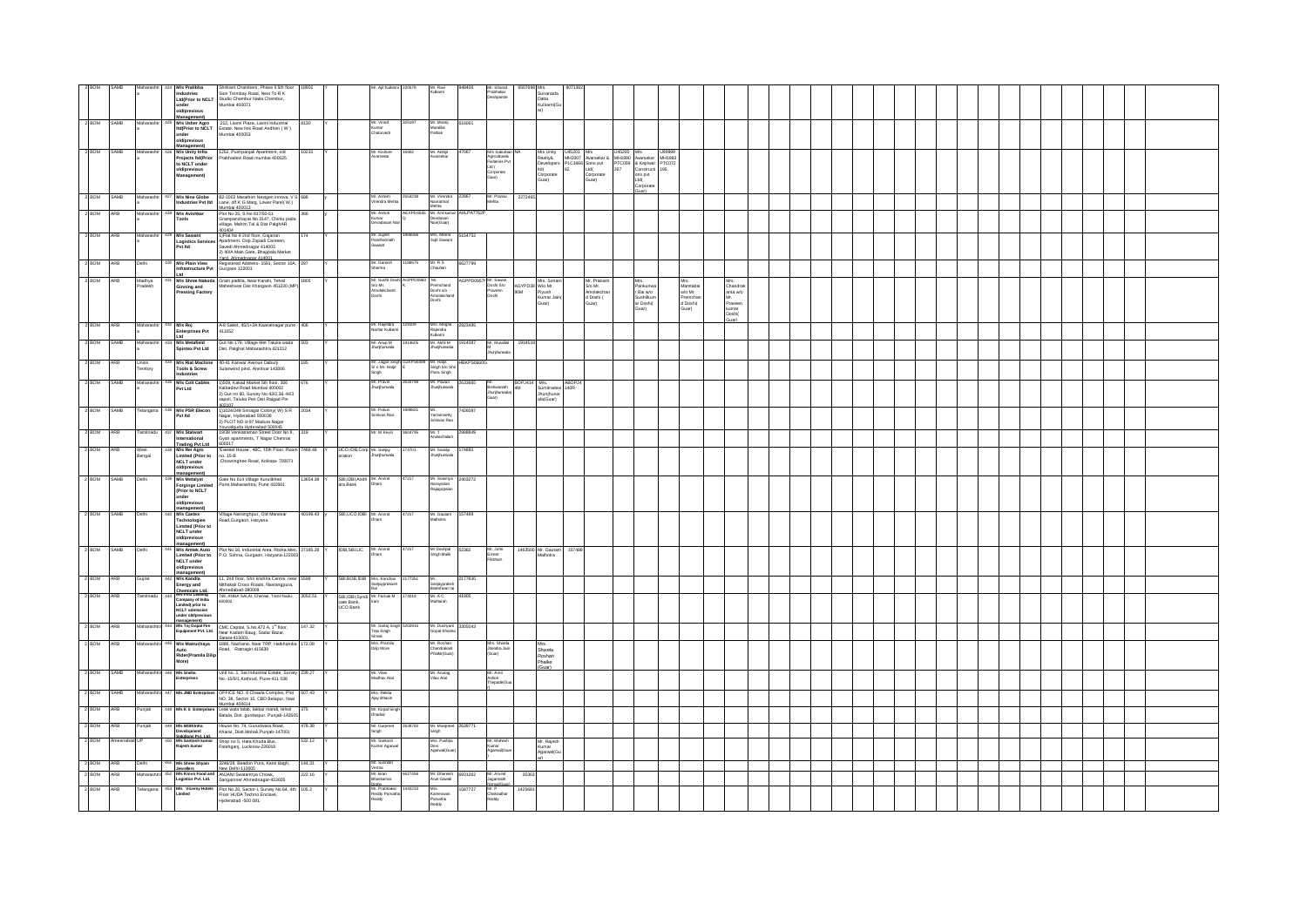|                  |               |                    | M/s Pratibha<br>old/previous<br>Management)                                                                                                       | Shrikant Chambers, Phase II 5th floor<br>Industries<br>Sion Trombay Road, Next To R K<br>Ltd(Prior to NCLT<br>Studio Chembur Naka Chembur,<br>Mumbai 400071                                     | 18901            |                                      |                                                               |         | Mr. Ravi<br><b>Culkami</b>                            | 1406              | Mr. Sharad<br>Prabhakar<br>Deshpande                                     | 8507698 Mrs.           | Sunanada<br>Datta<br>Kulkami(G                                     |        |                                                                                                                                                                                                                                                                                                                                                                                                                                                                         |                                                              |                                                              |                                                                  |  |  |  |  |  |  |
|------------------|---------------|--------------------|---------------------------------------------------------------------------------------------------------------------------------------------------|-------------------------------------------------------------------------------------------------------------------------------------------------------------------------------------------------|------------------|--------------------------------------|---------------------------------------------------------------|---------|-------------------------------------------------------|-------------------|--------------------------------------------------------------------------|------------------------|--------------------------------------------------------------------|--------|-------------------------------------------------------------------------------------------------------------------------------------------------------------------------------------------------------------------------------------------------------------------------------------------------------------------------------------------------------------------------------------------------------------------------------------------------------------------------|--------------------------------------------------------------|--------------------------------------------------------------|------------------------------------------------------------------|--|--|--|--|--|--|
| 2 BOM SAMB       |               | Maharasi           | $\begin{array}{r} 425 \text{ }\text{M/s User Agro} \\ \text{ltd}(\text{Prior to NCLT} \\ \text{under} \end{array}$<br>old/previous<br>Management) | 212, Laxmi Plaza, Laxmi Industrial<br>Estate. New link Road Andheri ( $W$ )<br>Mumbai 400053                                                                                                    | 8130             |                                      | Mr. Vinod<br>Kumar<br>Chaturvedi                              |         | Mr. Manoj<br>Muralial<br>Pathak                       | 616061            |                                                                          |                        |                                                                    |        |                                                                                                                                                                                                                                                                                                                                                                                                                                                                         |                                                              |                                                              |                                                                  |  |  |  |  |  |  |
| 2 BOM SAMB       |               | Maharas            | M/s Unity Infra<br>Projects Itd(Prior<br>to NCLT under<br>old/previous<br>Management)                                                             | 1252, Pushpanjali Apartment, old<br>Prabhadevi Road mumbai 400025                                                                                                                               | 10231            |                                      | Mr. Kishore<br>Avarsekar                                      | 16902   | Mr. Abhijt<br>Avarsekar                               |                   | M/s Suburban<br>Agriculture&<br>Fisheries Pvt<br>Ltd (<br>Ltd (<br>Guar) |                        |                                                                    |        | M/s Unity U45201<br>Realty& MH2007 Avarsekar<br>Developers PLC1666 Sons pvt<br>Hd( 22 Ltd( Corporate Guar)<br>$\begin{tabular}{lllllllllll} \textbf{U45201} & \textbf{Mb} & \textbf{U45200} & \textbf{Mb} & \textbf{U99999} \\ \textbf{MH2007} & \textbf{Avarsekar & MH1990} & \textbf{Avarsekar & MH1993} \\ \textbf{PLC1666} & \textbf{Sons\,pt} & & \textbf{PTC059} & \textbf{\& Kejrival} & \textbf{PTC072} \\ \textbf{B2} & \textbf{Ltd} & & & & \\ \end{tabular}$ | Constructi<br>ons pvt<br>hd(<br>proorat                      |                                                              |                                                                  |  |  |  |  |  |  |
| 2 BOM            | SAMB          | Mahara             | M/s Nine Globe<br>Industries Pvt Itd                                                                                                              | B2-1002 Marathon Nextgen innova, V 9<br>Lane, off K G Marg, Lower Parel(W)<br>Mumhai 400013                                                                                                     |                  |                                      | fr. Ashish<br>Irendra Meht                                    |         | Mr. Virendra<br>Navratmal<br>Mehta                    |                   | Mr. Pranay<br>Mehta                                                      | 227246                 |                                                                    |        |                                                                                                                                                                                                                                                                                                                                                                                                                                                                         |                                                              |                                                              |                                                                  |  |  |  |  |  |  |
| $2$ BOM          | <b>ARR</b>    | Maharasi           | 428 M/s Avishkar<br>ools                                                                                                                          | Plot No 25, S No 817/50-51<br>Flori No. 25, 3 No. 817/90/91<br>Grampanchayat No. 3147, Chintu pada<br>village, Mahim Tal & Dist PalghAR                                                         |                  |                                      | Mr. Ashok<br>.<br>Kumar<br>Devadasan Nair                     |         | Mr. Anil kumar<br>Devdasan<br>Nair(Guar)              | AHI PA7762        |                                                                          |                        |                                                                    |        |                                                                                                                                                                                                                                                                                                                                                                                                                                                                         |                                                              |                                                              |                                                                  |  |  |  |  |  |  |
| 2 BOM            | <b>ARR</b>    | Mahara             |                                                                                                                                                   | M/s Sawant<br>Mark Sawant<br>1914 No 8 2nd floor, Gajanan<br>Logistics Services<br>Apartment. Oop Zopadi Canteen,<br>Pvt Itd<br>Savedi Ahmednagar 414003<br>2) 40/A Main Gate, Bhailpala Market |                  |                                      | Mr. Sujeet<br>Pandharinath<br>Sawant                          |         | Mrs. Meera<br>Sujit Sawart                            | 5154752           |                                                                          |                        |                                                                    |        |                                                                                                                                                                                                                                                                                                                                                                                                                                                                         |                                                              |                                                              |                                                                  |  |  |  |  |  |  |
| 2 BOM            | ARB           | Delhi              | M/s Plain View<br>Infrastructure Pvt<br>ht I                                                                                                      | Start, Ahmednagar 414001<br>Registered Address-1581, Sector 10A, 297<br>Gurgaon 122001                                                                                                          |                  |                                      | Mr. Ganesh<br>Sharma                                          | 186675  | Mr. R S<br>Chauhan                                    | 6627799           |                                                                          |                        |                                                                    |        |                                                                                                                                                                                                                                                                                                                                                                                                                                                                         |                                                              |                                                              |                                                                  |  |  |  |  |  |  |
| 2 BOM            | ARB           | Madhya<br>Pradesh  | M/s Shree Nakoda<br>Ginning and<br>Pressing Factory                                                                                               | Gram padilla, Near Karahi, Tehsil<br>Maheshwar Dist Khargaon 451220 (MP)                                                                                                                        | 1805             |                                      | Mr. Sushil Dos<br>S/o Mr.<br>Amolakchand<br>Doshi             |         | Mr.<br>Premchand<br>Doshi s/o<br>Amolakchand<br>Doshi |                   | Mr. Sawan<br>Doshi S/o<br>Praveen<br>Doshi                               | AGYPD38 W/o Mr.<br>MOR | Mrs. Sona<br>Piyush<br>Kumar Jain(<br>Guar)                        |        | Mr. Prakast<br>S/o Mr.<br>uroww.<br>Amolakcha<br>d Doshi (<br>Guar)                                                                                                                                                                                                                                                                                                                                                                                                     | Mrs.<br>Pankuny<br>Bai w/o<br>Sushilkun<br>ar Doshi(<br>uar) | Mrs.<br>Mamtabai<br>w'o Mr.<br>Premchar<br>d Doshi(<br>Suar) | Mrs.<br>Chandrak<br>anta wo<br>Mr.<br>Praveen<br>kumar<br>Doshi( |  |  |  |  |  |  |
| 2 BOM            | ARB           | Maharash           | M/s Roj<br><b>Enterprises Pvt</b><br>Ltd                                                                                                          | A-8 Saket, 45/1+2A Kaarvenagar pune 406<br>411052                                                                                                                                               |                  |                                      | Mr. Rajendra<br>Narhar Kulkarni                               |         | Mrs. Megha<br>Rajendra<br>Kulkami                     | 2923495           |                                                                          |                        |                                                                    |        |                                                                                                                                                                                                                                                                                                                                                                                                                                                                         |                                                              |                                                              |                                                                  |  |  |  |  |  |  |
| 2 BOM            | <b>SAMB</b>   | Maharas            | M/s Metafield<br>Spintex Pvt Ltd                                                                                                                  | Gut No 179, Village Met Taluka wada<br>Dist. Palghat Maharashtra 421312                                                                                                                         |                  |                                      | Mr. Anup M<br>hunjhunwala                                     |         | Mr. Akhil M<br>hunhurwak                              | 1914587           | Mr. Muralia<br><b><i><u>Ituniturwa</u></i></b>                           | 191451                 |                                                                    |        |                                                                                                                                                                                                                                                                                                                                                                                                                                                                         |                                                              |                                                              |                                                                  |  |  |  |  |  |  |
| 2 BOM            |               | Union<br>Territory | M/s Riat Machine<br><b>Tools &amp; Screw</b><br>ndustries                                                                                         | 40-41 Kanwar Avenue Daburji<br>Sulanwind pind, Amritsar 143006                                                                                                                                  |                  |                                      | Mr. Jagjot Singl<br>S/ o Mr. Harjt                            |         | Mr. Harjit<br>Singh S/o Shri<br>Piara Singh           | <b>HRKPSOWING</b> |                                                                          |                        |                                                                    |        |                                                                                                                                                                                                                                                                                                                                                                                                                                                                         |                                                              |                                                              |                                                                  |  |  |  |  |  |  |
| 2 BOM            | SAMB          |                    | M/s Colt Cables<br>Pvt Ltd                                                                                                                        | 1)509, Kakad Market 5th floor, 306<br>Kalbadevi Road Mumbai 400002<br>2) Gut no 90, Survey No 43/2,3& 44/3<br>sapoli, Taluka Pen Dist Raigad Pin<br>402107                                      |                  |                                      | Mr. Pravin<br>Jhunjhunwala                                    |         | Mr. Pawan<br>Jhunjhurwak                              |                   | <br>Bishwanath<br>Jhunjhurwala                                           |                        | BOPJ414 Mrs. ABOPJ<br>4M Sumitradevi 140R<br>Jhunjhunw<br>la(Guar) |        |                                                                                                                                                                                                                                                                                                                                                                                                                                                                         |                                                              |                                                              |                                                                  |  |  |  |  |  |  |
| 2 BOM            | <b>SAMB</b>   | Telangana          | M/s PSR Elecon<br>Pvt Itd                                                                                                                         | 1) 1024/249 Srinagar Colony(W) S R<br>Nagar, Hyderabad 500038<br>2) PLOT NO d-97 Madura Nagar<br>Yousafquda Hyderabad 500045                                                                    |                  |                                      | Mr. Pokuri<br>Srinivas Rao                                    |         | Mr.<br>Yarramsetty<br>Srinivas Rao                    |                   |                                                                          |                        |                                                                    |        |                                                                                                                                                                                                                                                                                                                                                                                                                                                                         |                                                              |                                                              |                                                                  |  |  |  |  |  |  |
| 2 BOM            | ARB           | Tamilnadu          | M/s Stalwart<br>International<br>Trading Pvt Ltd                                                                                                  | 19/38 Venkatraman Street Door No 8,<br>Gyan apartments, T Nagar Chennai<br>600017                                                                                                               | 319              |                                      | fr. M Kevin                                                   |         | Mr. T<br>unachala                                     |                   |                                                                          |                        |                                                                    |        |                                                                                                                                                                                                                                                                                                                                                                                                                                                                         |                                                              |                                                              |                                                                  |  |  |  |  |  |  |
| $2$ ROM          | <b>ARR</b>    | West<br>Bengal     | 438 M/s Rei Agro<br>Limited (Prior to<br>NCLT under<br>noct ander<br>old/previous<br>management)                                                  | Everest House', 46C, 15th Floor, Room 7488.48<br>no. 15-B<br>no. 15-B<br>Chowringhee Road, Kolkata- 700071                                                                                      |                  | UCO.IOB.Corp Mr. Sanjay              | hunhunwala                                                    | 174701  | Mr. Sandio<br>hunhurwa                                | 174885            |                                                                          |                        |                                                                    |        |                                                                                                                                                                                                                                                                                                                                                                                                                                                                         |                                                              |                                                              |                                                                  |  |  |  |  |  |  |
| 2 BOM            | <b>SAMB</b>   |                    | M/s Metalvst<br>nus metalyst<br>Forgings Limited<br>(Prior to NCLT<br>under<br>old/previous                                                       | Gate No 614 Village Kurulikhed<br>Pune, Maharashtra, Pune 410501                                                                                                                                | 13654.39         | SBI.IDBI.Andh<br>ara Bank            | Mr. Arvind<br>Dham                                            |         | Mr. Sowmya<br>Narayanan<br>Rajagopalar                | 403272            |                                                                          |                        |                                                                    |        |                                                                                                                                                                                                                                                                                                                                                                                                                                                                         |                                                              |                                                              |                                                                  |  |  |  |  |  |  |
| 2 BOM SAMB       |               |                    | management)<br>M/s Castex<br>Technologies<br>Limited (Prior to<br>NCLT under<br>old/previous                                                      | Village Narsinghpur, Old Manesar<br>Road, Gurgaon, Haryana                                                                                                                                      |                  | 40196.43 y SBI, UCO, IDBI Mr. Arvind |                                                               |         | Mr. Gautan                                            | 157488            |                                                                          |                        |                                                                    |        |                                                                                                                                                                                                                                                                                                                                                                                                                                                                         |                                                              |                                                              |                                                                  |  |  |  |  |  |  |
| 2 BOM            | SAMB          | Delh               | inagement)<br>M/s Amtek Auto<br><b>Limited (Prior to</b><br>NCLT under<br>old/previous                                                            | Plot No.16, Industrial Area, Rozka Meo, 27185.28 Y<br>P.O. Sohna, Gurgaon, Haryana-122003                                                                                                       |                  | IDBI,SBI,LIC Mr. Arvind<br>Dham      |                                                               |         | Mr Deshpal<br>Singh Malik                             | 52362             | Mr. John<br>Ernest<br>Fintham                                            |                        | 1463500 Mr. Gautam<br>Malhotra                                     | 157488 |                                                                                                                                                                                                                                                                                                                                                                                                                                                                         |                                                              |                                                              |                                                                  |  |  |  |  |  |  |
| 2 BOM            | ARB           | Gujrat             | management)<br>M/s Kandla<br>Energy and<br>Chemicals Ltd.<br>Ws First Leasing                                                                     | 11, 2nd floor, Shri krishna Centre, near<br>Mthakali Cross Roads, Navrangpura,<br>Ahmedabad-380009                                                                                              | 5598             | IBOL,BOB,IDBI                        | Mrs. Kanchan<br>Sanjayprakash                                 |         | Sanjaypraksh<br>ıleshwar rai                          | 177830            |                                                                          |                        |                                                                    |        |                                                                                                                                                                                                                                                                                                                                                                                                                                                                         |                                                              |                                                              |                                                                  |  |  |  |  |  |  |
| 2 BOM            | ARR           |                    | was Pirat Leasing<br>Company of India<br>Limited( prior to<br>NCLT admission<br>under old/previous                                                | 749, ANNA SALAI, Chennai, Tamil Nadu-                                                                                                                                                           | 3052.51          |                                      | SBI, IDBI, Syndi Mr. Farouk M<br>cate Bank, Irani<br>UCO Bank | 174018  | Mr. A C<br>Muthaiah                                   | 41905             |                                                                          |                        |                                                                    |        |                                                                                                                                                                                                                                                                                                                                                                                                                                                                         |                                                              |                                                              |                                                                  |  |  |  |  |  |  |
| 2 BOM            | ARR           |                    | management)<br>M's Tej Gopal Fire<br>Equipment Pvt. Ltd.                                                                                          | CMC Capital, S.No.472 A, 1 <sup>11</sup> floor,<br>Near Kadam Baug, Sadar Bazar,<br>Satara-415001.<br>1886, Nachane, Near TRP, Hatkhamba 172.08                                                 | 147.32           |                                      | Mr. Sartaj Sing<br>Teja Singh<br>Simak                        |         | Mr. Dushyant<br>Gopal Khanna                          | 3305043           |                                                                          |                        |                                                                    |        |                                                                                                                                                                                                                                                                                                                                                                                                                                                                         |                                                              |                                                              |                                                                  |  |  |  |  |  |  |
| 2 BOM            |               |                    | M/s Matruchaya<br>Auto<br>Rider(Pramila Dilip<br>More)                                                                                            | Road, Ratnagiri 415639                                                                                                                                                                          |                  |                                      | Mrs. Pramila<br>Dilp More                                     |         | Mr. Roshar<br>:<br>Chandrakant<br>Phalke(Guar)        |                   | Mrs. Sharda<br>Jitendra Jak<br>(Guar)                                    |                        | Mrs.<br>Shweta<br>Roshan<br>Phalke<br>Guari                        |        |                                                                                                                                                                                                                                                                                                                                                                                                                                                                         |                                                              |                                                              |                                                                  |  |  |  |  |  |  |
| 2 BOM SAMB       |               | Maharasht          | 446 M's Sneha<br><b>iterprises</b>                                                                                                                | Unit no. 1, Sai Industrial Estate, Survey 239.27<br>No. 15/6/1, Kothrud, Pune-411 038                                                                                                           |                  |                                      | Mr. Vilas<br>Madhav Atal                                      |         | Mr. Anurag<br>Vilas Atal                              |                   | Mr. Amit<br>Ashok<br>Thepade(Gu                                          |                        |                                                                    |        |                                                                                                                                                                                                                                                                                                                                                                                                                                                                         |                                                              |                                                              |                                                                  |  |  |  |  |  |  |
| 2 BOM            | SAMB          | Maharash           |                                                                                                                                                   | M's JMD Enterprises OFFICE NO. 8 Chawla Complex, Plot<br>NO. 38, Sector 15, CBD Belapur, Navi                                                                                                   | 507.43           |                                      | Mrs. Rekha<br>Ajay Bhasin                                     |         |                                                       |                   |                                                                          |                        |                                                                    |        |                                                                                                                                                                                                                                                                                                                                                                                                                                                                         |                                                              |                                                              |                                                                  |  |  |  |  |  |  |
| 2 BOM            | ARP<br>ARB    | Punjab             | <b>M's K S Enterprise</b>                                                                                                                         | Mumbai 400614<br>Leak wala talab, lakkar mandi, tehsil<br>Batala, Dist. gurdaspur. Punjab-143505                                                                                                | 478.38           |                                      | Mr. Kirpal Sing<br>Dhadial<br>Mr. Gurpreet                    |         | Mr. Manpree                                           | 2639771           |                                                                          |                        |                                                                    |        |                                                                                                                                                                                                                                                                                                                                                                                                                                                                         |                                                              |                                                              |                                                                  |  |  |  |  |  |  |
| 2 BOM<br>2 BOM   | Ameenahad LIP | Punjab             | <b>M's MGM Infra</b><br>Development<br>Solutions Put 11d<br>450 M's Santosh kumar                                                                 | .<br>House No. 74, Gurudwara Road,<br>Kharar, Distt.Mohali, Punjab-147001                                                                                                                       | 532.12           |                                      | Singh<br>Mr. Santosh                                          |         | Singh<br>Mrs. Pushpa                                  |                   |                                                                          |                        |                                                                    |        |                                                                                                                                                                                                                                                                                                                                                                                                                                                                         |                                                              |                                                              |                                                                  |  |  |  |  |  |  |
|                  |               |                    | esh kumar                                                                                                                                         | -<br>Shop no 5, Hata Khuda Bux,<br>Fatehganj, Lucknow-226018                                                                                                                                    |                  |                                      | umar Agarwa                                                   |         | .<br>Agarwal(Guar)                                    |                   | Mr. Mahesh<br>Kumar<br>Agarwal(Gua                                       |                        | Mr. Rajesh<br>Kumar<br>Agarwal(Gu                                  |        |                                                                                                                                                                                                                                                                                                                                                                                                                                                                         |                                                              |                                                              |                                                                  |  |  |  |  |  |  |
| $2$ BOM<br>2 BOM | ARB<br>ARB    | Delh<br>Maharash   | <b>M's Shree Shyam</b>                                                                                                                            | 3246/29, Beadon Pura, Karol Bagh,<br>New Delhi-110005<br>Jewellers New Delhi-110005<br>452 M's Krovo Food and ANJANI Swatantrya Chowk,                                                          | 144.31<br>222.16 |                                      | Mr. Surinder<br>Mr. kiran<br>Bhaskarrao                       |         | Mr. Dhanesh<br>Arun Gawali                            | 6931262           | Mr. Arvind                                                               | 35363                  |                                                                    |        |                                                                                                                                                                                                                                                                                                                                                                                                                                                                         |                                                              |                                                              |                                                                  |  |  |  |  |  |  |
| 2 BOM ARB        |               | Telangana          | Logistics Pvt. Ltd.<br>453 M's Viceroy Hotels<br>Limited                                                                                          | Sangamner Ahmednagar-422605<br>Plot No.20, Sector-I, Survey No.64, 4th 105.2                                                                                                                    |                  |                                      | Dighe<br>Mr. Prabhakar                                        | 1442233 | Mrs.                                                  | 1587727           | dtannagal<br>imal/Guar<br>Mr. P                                          | 1425681                |                                                                    |        |                                                                                                                                                                                                                                                                                                                                                                                                                                                                         |                                                              |                                                              |                                                                  |  |  |  |  |  |  |
|                  |               |                    |                                                                                                                                                   | Floor HUDA Techno Enclave,<br>Hyderabad -500 081.                                                                                                                                               |                  |                                      | Reddy Parvatha<br>Reddy                                       |         | Kameswari<br>Parvatha<br>Reddy                        |                   | --- .<br>Chakradhar<br>Reddy                                             |                        |                                                                    |        |                                                                                                                                                                                                                                                                                                                                                                                                                                                                         |                                                              |                                                              |                                                                  |  |  |  |  |  |  |